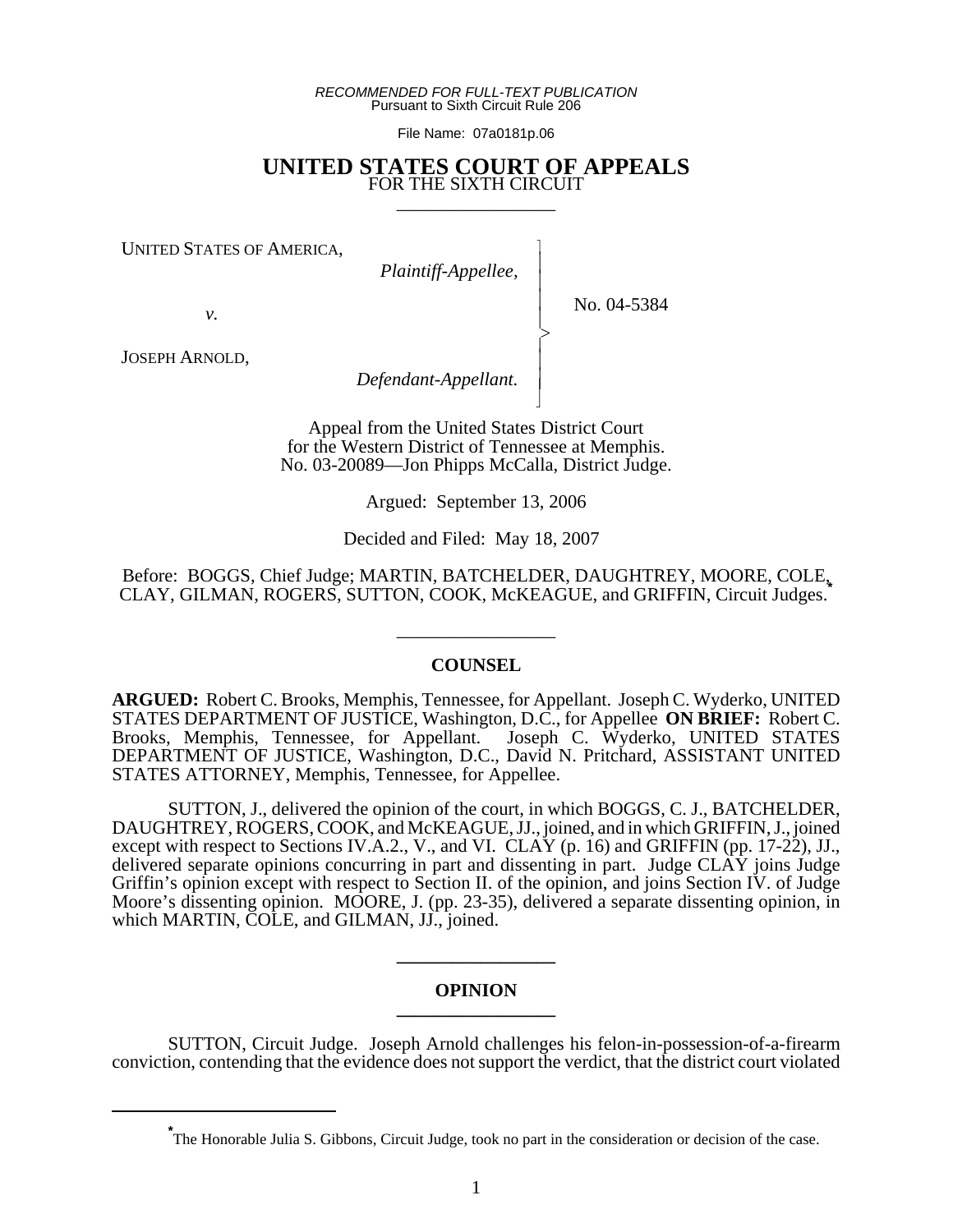*RECOMMENDED FOR FULL-TEXT PUBLICATION* Pursuant to Sixth Circuit Rule 206

File Name: 07a0181p.06

# **UNITED STATES COURT OF APPEALS** FOR THE SIXTH CIRCUIT \_\_\_\_\_\_\_\_\_\_\_\_\_\_\_\_\_

 $\overline{\phantom{a}}$ - - - -  $\mathord{>}$ |<br>|<br>| - - N

UNITED STATES OF AMERICA,

*Plaintiff-Appellee,*

*v.*

No. 04-5384

JOSEPH ARNOLD,

*Defendant-Appellant.*

Appeal from the United States District Court for the Western District of Tennessee at Memphis. No. 03-20089—Jon Phipps McCalla, District Judge.

Argued: September 13, 2006

Decided and Filed: May 18, 2007

Before: BOGGS, Chief Judge; MARTIN, BATCHELDER, DAUGHTREY, MOORE, COLE, CLAY, GILMAN, ROGERS, SUTTON, COOK, McKEAGUE, and GRIFFIN, Circuit Judges.**\***

## **COUNSEL**

\_\_\_\_\_\_\_\_\_\_\_\_\_\_\_\_\_

**ARGUED:** Robert C. Brooks, Memphis, Tennessee, for Appellant. Joseph C. Wyderko, UNITED STATES DEPARTMENT OF JUSTICE, Washington, D.C., for Appellee **ON BRIEF:** Robert C. Brooks, Memphis, Tennessee, for Appellant. Joseph C. Wyderko, UNITED STATES DEPARTMENT OF JUSTICE, Washington, D.C., David N. Pritchard, ASSISTANT UNITED STATES ATTORNEY, Memphis, Tennessee, for Appellee.

SUTTON, J., delivered the opinion of the court, in which BOGGS, C. J., BATCHELDER, DAUGHTREY, ROGERS, COOK, and McKEAGUE, JJ., joined, and in which GRIFFIN, J., joined except with respect to Sections IV.A.2., V., and VI. CLAY (p. 16) and GRIFFIN (pp. 17-22), JJ., delivered separate opinions concurring in part and dissenting in part. Judge  $CLAY$  joins Judge Griffin's opinion except with respect to Section II. of the opinion, and joins Section IV. of Judge Moore's dissenting opinion. MOORE, J. (pp. 23-35), delivered a separate dissenting opinion, in which MARTIN, COLE, and GILMAN, JJ., joined.

## **OPINION \_\_\_\_\_\_\_\_\_\_\_\_\_\_\_\_\_**

**\_\_\_\_\_\_\_\_\_\_\_\_\_\_\_\_\_**

SUTTON, Circuit Judge. Joseph Arnold challenges his felon-in-possession-of-a-firearm conviction, contending that the evidence does not support the verdict, that the district court violated

<sup>\*&</sup>lt;br>The Honorable Julia S. Gibbons, Circuit Judge, took no part in the consideration or decision of the case.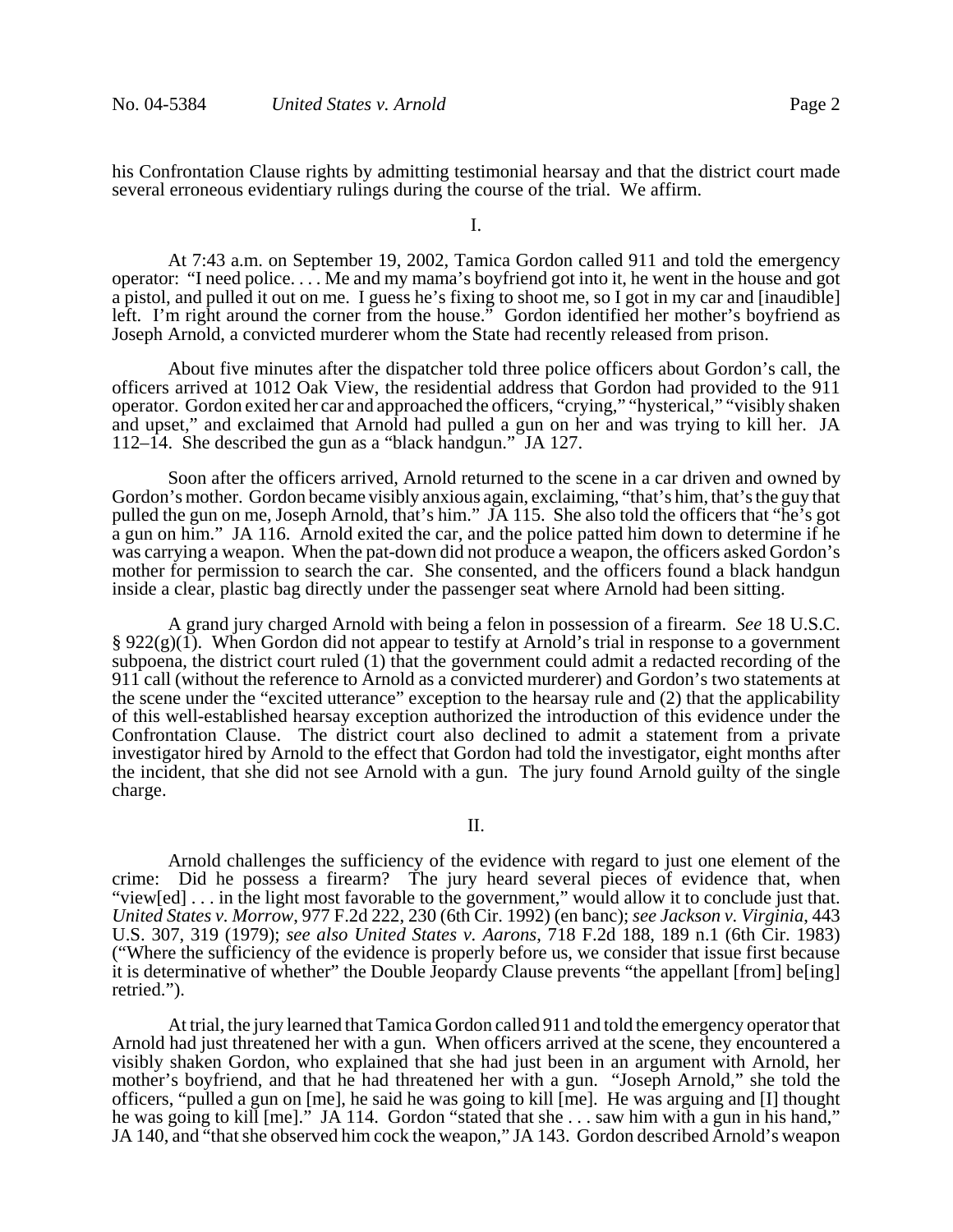his Confrontation Clause rights by admitting testimonial hearsay and that the district court made several erroneous evidentiary rulings during the course of the trial. We affirm.

I.

At 7:43 a.m. on September 19, 2002, Tamica Gordon called 911 and told the emergency operator: "I need police. . . . Me and my mama's boyfriend got into it, he went in the house and got a pistol, and pulled it out on me. I guess he's fixing to shoot me, so I got in my car and [inaudible] left. I'm right around the corner from the house." Gordon identified her mother's boyfriend as Joseph Arnold, a convicted murderer whom the State had recently released from prison.

About five minutes after the dispatcher told three police officers about Gordon's call, the officers arrived at 1012 Oak View, the residential address that Gordon had provided to the 911 operator. Gordon exited her car and approached the officers, "crying," "hysterical," "visibly shaken and upset," and exclaimed that Arnold had pulled a gun on her and was trying to kill her. JA 112–14. She described the gun as a "black handgun." JA 127.

Soon after the officers arrived, Arnold returned to the scene in a car driven and owned by Gordon's mother. Gordon became visibly anxious again, exclaiming, "that's him, that's the guy that pulled the gun on me, Joseph Arnold, that's him." JA 115. She also told the officers that "he's got a gun on him." JA 116. Arnold exited the car, and the police patted him down to determine if he was carrying a weapon. When the pat-down did not produce a weapon, the officers asked Gordon's mother for permission to search the car. She consented, and the officers found a black handgun inside a clear, plastic bag directly under the passenger seat where Arnold had been sitting.

A grand jury charged Arnold with being a felon in possession of a firearm. *See* 18 U.S.C.  $\S 922(g)(1)$ . When Gordon did not appear to testify at Arnold's trial in response to a government subpoena, the district court ruled (1) that the government could admit a redacted recording of the 911 call (without the reference to Arnold as a convicted murderer) and Gordon's two statements at the scene under the "excited utterance" exception to the hearsay rule and (2) that the applicability of this well-established hearsay exception authorized the introduction of this evidence under the Confrontation Clause. The district court also declined to admit a statement from a private investigator hired by Arnold to the effect that Gordon had told the investigator, eight months after the incident, that she did not see Arnold with a gun. The jury found Arnold guilty of the single charge.

II.

Arnold challenges the sufficiency of the evidence with regard to just one element of the crime: Did he possess a firearm? The jury heard several pieces of evidence that, when "view[ed] . . . in the light most favorable to the government," would allow it to conclude just that. *United States v. Morrow*, 977 F.2d 222, 230 (6th Cir. 1992) (en banc); *see Jackson v. Virginia*, 443 U.S. 307, 319 (1979); *see also United States v. Aarons*, 718 F.2d 188, 189 n.1 (6th Cir. 1983) ("Where the sufficiency of the evidence is properly before us, we consider that issue first because it is determinative of whether" the Double Jeopardy Clause prevents "the appellant [from] be[ing] retried.").

At trial, the jury learned that Tamica Gordon called 911 and told the emergency operator that Arnold had just threatened her with a gun. When officers arrived at the scene, they encountered a visibly shaken Gordon, who explained that she had just been in an argument with Arnold, her mother's boyfriend, and that he had threatened her with a gun. "Joseph Arnold," she told the officers, "pulled a gun on [me], he said he was going to kill [me]. He was arguing and [I] thought he was going to kill [me]." JA 114. Gordon "stated that she . . . saw him with a gun in his hand," JA 140, and "that she observed him cock the weapon," JA 143. Gordon described Arnold's weapon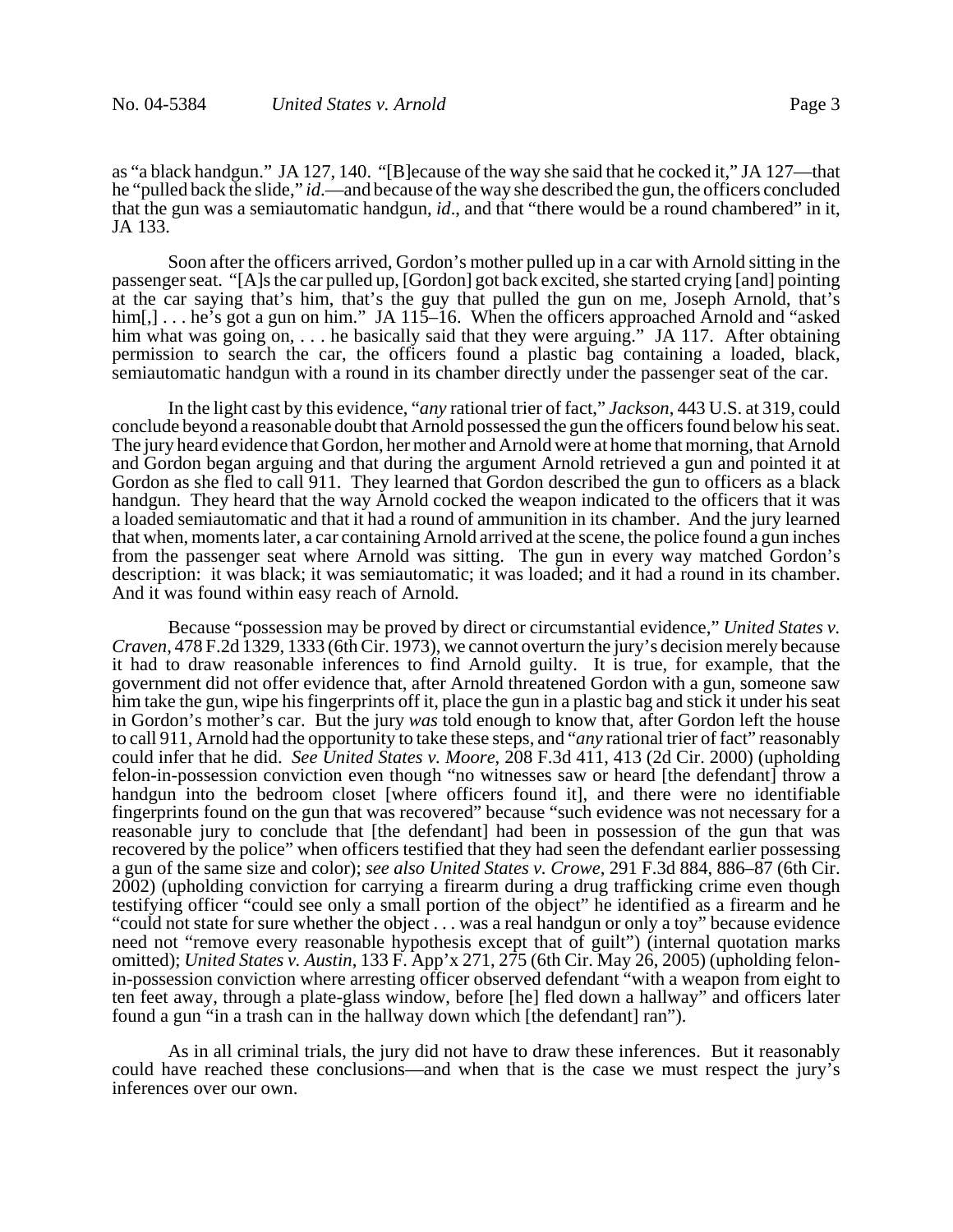as "a black handgun." JA 127, 140. "[B]ecause of the way she said that he cocked it," JA 127—that he "pulled back the slide," *id*.—and because of the way she described the gun, the officers concluded that the gun was a semiautomatic handgun, *id*., and that "there would be a round chambered" in it, JA 133.

Soon after the officers arrived, Gordon's mother pulled up in a car with Arnold sitting in the passenger seat. "[A]s the car pulled up, [Gordon] got back excited, she started crying [and] pointing at the car saying that's him, that's the guy that pulled the gun on me, Joseph Arnold, that's him[,] . . . he's got a gun on him." JA 115–16. When the officers approached Arnold and "asked" him what was going on, . . . he basically said that they were arguing." JA 117. After obtaining permission to search the car, the officers found a plastic bag containing a loaded, black, semiautomatic handgun with a round in its chamber directly under the passenger seat of the car.

In the light cast by this evidence, "*any* rational trier of fact," *Jackson*, 443 U.S. at 319, could conclude beyond a reasonable doubt that Arnold possessed the gun the officers found below his seat. The jury heard evidence that Gordon, her mother and Arnold were at home that morning, that Arnold and Gordon began arguing and that during the argument Arnold retrieved a gun and pointed it at Gordon as she fled to call 911. They learned that Gordon described the gun to officers as a black handgun. They heard that the way Arnold cocked the weapon indicated to the officers that it was a loaded semiautomatic and that it had a round of ammunition in its chamber. And the jury learned that when, moments later, a car containing Arnold arrived at the scene, the police found a gun inches from the passenger seat where Arnold was sitting. The gun in every way matched Gordon's description: it was black; it was semiautomatic; it was loaded; and it had a round in its chamber. And it was found within easy reach of Arnold.

Because "possession may be proved by direct or circumstantial evidence," *United States v. Craven*, 478 F.2d 1329, 1333 (6th Cir. 1973), we cannot overturn the jury's decision merely because it had to draw reasonable inferences to find Arnold guilty. It is true, for example, that the government did not offer evidence that, after Arnold threatened Gordon with a gun, someone saw him take the gun, wipe his fingerprints off it, place the gun in a plastic bag and stick it under his seat in Gordon's mother's car. But the jury *was* told enough to know that, after Gordon left the house to call 911, Arnold had the opportunity to take these steps, and "*any* rational trier of fact" reasonably could infer that he did. *See United States v. Moore*, 208 F.3d 411, 413 (2d Cir. 2000) (upholding felon-in-possession conviction even though "no witnesses saw or heard [the defendant] throw a handgun into the bedroom closet [where officers found it], and there were no identifiable fingerprints found on the gun that was recovered" because "such evidence was not necessary for a reasonable jury to conclude that [the defendant] had been in possession of the gun that was recovered by the police" when officers testified that they had seen the defendant earlier possessing a gun of the same size and color); *see also United States v. Crowe*, 291 F.3d 884, 886–87 (6th Cir. 2002) (upholding conviction for carrying a firearm during a drug trafficking crime even though testifying officer "could see only a small portion of the object" he identified as a firearm and he "could not state for sure whether the object . . . was a real handgun or only a toy" because evidence need not "remove every reasonable hypothesis except that of guilt") (internal quotation marks omitted); *United States v. Austin*, 133 F. App'x 271, 275 (6th Cir. May 26, 2005) (upholding felonin-possession conviction where arresting officer observed defendant "with a weapon from eight to ten feet away, through a plate-glass window, before [he] fled down a hallway" and officers later found a gun "in a trash can in the hallway down which [the defendant] ran").

As in all criminal trials, the jury did not have to draw these inferences. But it reasonably could have reached these conclusions—and when that is the case we must respect the jury's inferences over our own.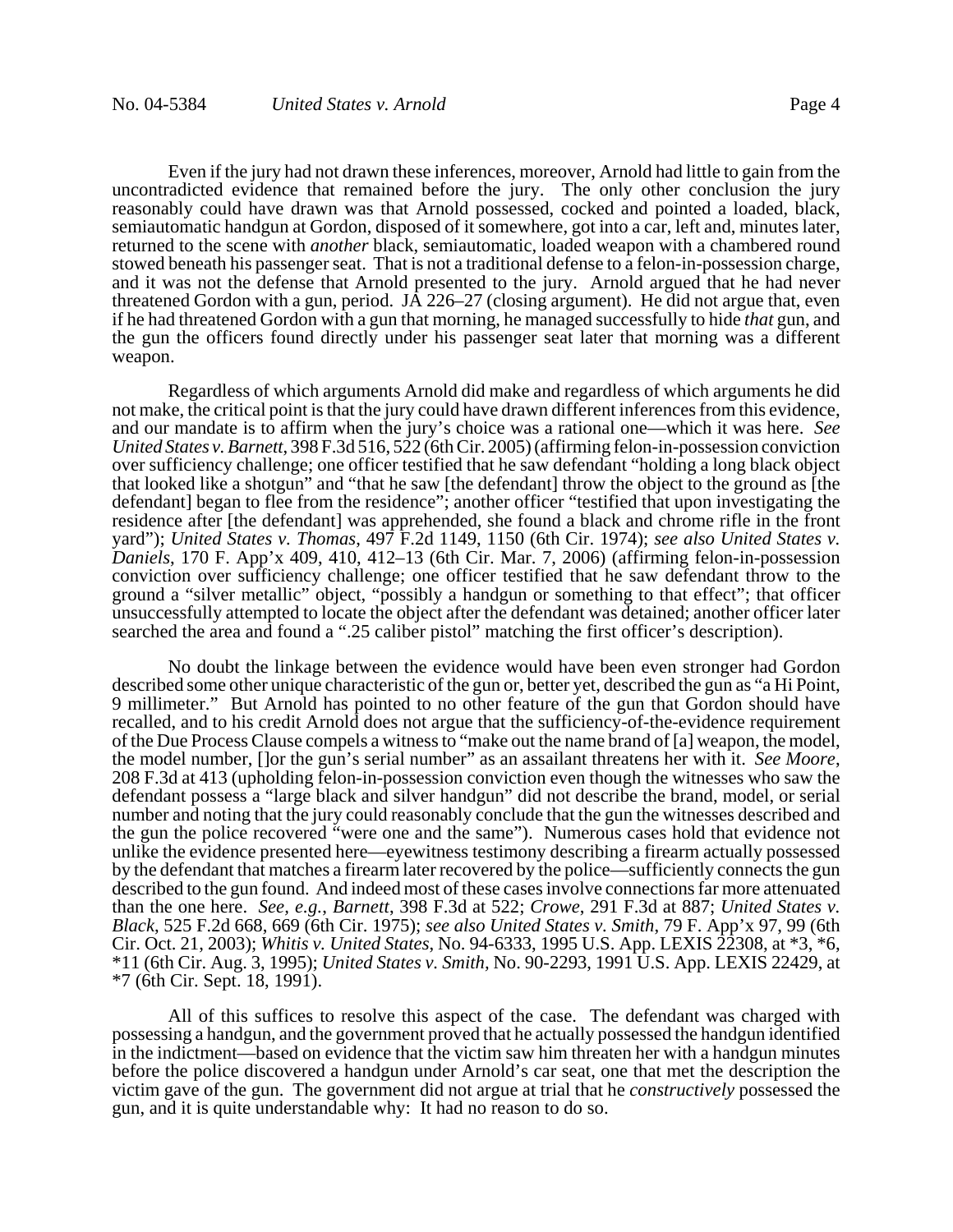Even if the jury had not drawn these inferences, moreover, Arnold had little to gain from the uncontradicted evidence that remained before the jury. The only other conclusion the jury reasonably could have drawn was that Arnold possessed, cocked and pointed a loaded, black, semiautomatic handgun at Gordon, disposed of it somewhere, got into a car, left and, minutes later, returned to the scene with *another* black, semiautomatic, loaded weapon with a chambered round stowed beneath his passenger seat. That is not a traditional defense to a felon-in-possession charge, and it was not the defense that Arnold presented to the jury. Arnold argued that he had never threatened Gordon with a gun, period. JA 226–27 (closing argument). He did not argue that, even if he had threatened Gordon with a gun that morning, he managed successfully to hide *that* gun, and the gun the officers found directly under his passenger seat later that morning was a different weapon.

Regardless of which arguments Arnold did make and regardless of which arguments he did not make, the critical point is that the jury could have drawn different inferences from this evidence, and our mandate is to affirm when the jury's choice was a rational one—which it was here. *See United States v. Barnett*, 398 F.3d 516, 522 (6th Cir. 2005) (affirming felon-in-possession conviction over sufficiency challenge; one officer testified that he saw defendant "holding a long black object that looked like a shotgun" and "that he saw [the defendant] throw the object to the ground as [the defendant] began to flee from the residence"; another officer "testified that upon investigating the residence after [the defendant] was apprehended, she found a black and chrome rifle in the front yard"); *United States v. Thomas*, 497 F.2d 1149, 1150 (6th Cir. 1974); *see also United States v. Daniels*, 170 F. App'x 409, 410, 412–13 (6th Cir. Mar. 7, 2006) (affirming felon-in-possession conviction over sufficiency challenge; one officer testified that he saw defendant throw to the ground a "silver metallic" object, "possibly a handgun or something to that effect"; that officer unsuccessfully attempted to locate the object after the defendant was detained; another officer later searched the area and found a ".25 caliber pistol" matching the first officer's description).

No doubt the linkage between the evidence would have been even stronger had Gordon described some other unique characteristic of the gun or, better yet, described the gun as "a Hi Point, 9 millimeter." But Arnold has pointed to no other feature of the gun that Gordon should have recalled, and to his credit Arnold does not argue that the sufficiency-of-the-evidence requirement of the Due Process Clause compels a witness to "make out the name brand of [a] weapon, the model, the model number, []or the gun's serial number" as an assailant threatens her with it. *See Moore*, 208 F.3d at 413 (upholding felon-in-possession conviction even though the witnesses who saw the defendant possess a "large black and silver handgun" did not describe the brand, model, or serial number and noting that the jury could reasonably conclude that the gun the witnesses described and the gun the police recovered "were one and the same"). Numerous cases hold that evidence not unlike the evidence presented here—eyewitness testimony describing a firearm actually possessed by the defendant that matches a firearm later recovered by the police—sufficiently connects the gun described to the gun found. And indeed most of these cases involve connections far more attenuated than the one here. *See, e.g.*, *Barnett*, 398 F.3d at 522; *Crowe*, 291 F.3d at 887; *United States v. Black*, 525 F.2d 668, 669 (6th Cir. 1975); *see also United States v. Smith*, 79 F. App'x 97, 99 (6th Cir. Oct. 21, 2003); *Whitis v. United States*, No. 94-6333, 1995 U.S. App. LEXIS 22308, at \*3, \*6, \*11 (6th Cir. Aug. 3, 1995); *United States v. Smith,* No. 90-2293, 1991 U.S. App. LEXIS 22429, at \*7 (6th Cir. Sept. 18, 1991).

All of this suffices to resolve this aspect of the case. The defendant was charged with possessing a handgun, and the government proved that he actually possessed the handgun identified in the indictment—based on evidence that the victim saw him threaten her with a handgun minutes before the police discovered a handgun under Arnold's car seat, one that met the description the victim gave of the gun. The government did not argue at trial that he *constructively* possessed the gun, and it is quite understandable why: It had no reason to do so.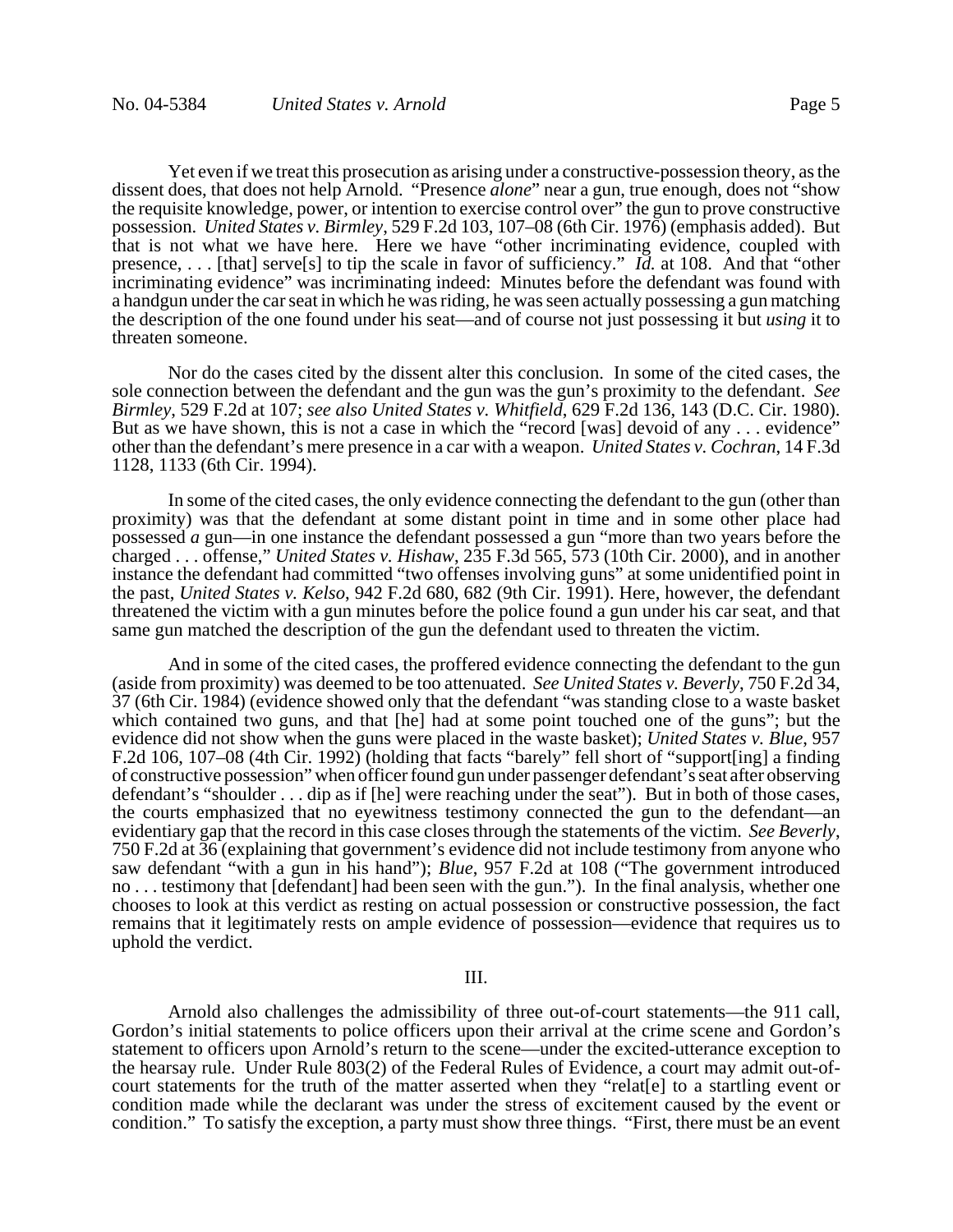Yet even if we treat this prosecution as arising under a constructive-possession theory, as the dissent does, that does not help Arnold. "Presence *alone*" near a gun, true enough, does not "show the requisite knowledge, power, or intention to exercise control over" the gun to prove constructive possession. *United States v. Birmley*, 529 F.2d 103, 107–08 (6th Cir. 1976) (emphasis added). But that is not what we have here. Here we have "other incriminating evidence, coupled with presence, . . . [that] serve[s] to tip the scale in favor of sufficiency." *Id.* at 108. And that "other incriminating evidence" was incriminating indeed: Minutes before the defendant was found with a handgun under the car seat in which he was riding, he was seen actually possessing a gun matching the description of the one found under his seat—and of course not just possessing it but *using* it to threaten someone.

Nor do the cases cited by the dissent alter this conclusion. In some of the cited cases, the sole connection between the defendant and the gun was the gun's proximity to the defendant. *See Birmley*, 529 F.2d at 107; *see also United States v. Whitfield*, 629 F.2d 136, 143 (D.C. Cir. 1980). But as we have shown, this is not a case in which the "record [was] devoid of any ... evidence" other than the defendant's mere presence in a car with a weapon. *United States v. Cochran*, 14 F.3d 1128, 1133 (6th Cir. 1994).

In some of the cited cases, the only evidence connecting the defendant to the gun (other than proximity) was that the defendant at some distant point in time and in some other place had possessed *a* gun—in one instance the defendant possessed a gun "more than two years before the charged . . . offense," *United States v. Hishaw*, 235 F.3d 565, 573 (10th Cir. 2000), and in another instance the defendant had committed "two offenses involving guns" at some unidentified point in the past, *United States v. Kelso*, 942 F.2d 680, 682 (9th Cir. 1991). Here, however, the defendant threatened the victim with a gun minutes before the police found a gun under his car seat, and that same gun matched the description of the gun the defendant used to threaten the victim.

And in some of the cited cases, the proffered evidence connecting the defendant to the gun (aside from proximity) was deemed to be too attenuated. *See United States v. Beverly*, 750 F.2d 34, 37 (6th Cir. 1984) (evidence showed only that the defendant "was standing close to a waste basket which contained two guns, and that [he] had at some point touched one of the guns"; but the evidence did not show when the guns were placed in the waste basket); *United States v. Blue*, 957 F.2d 106, 107–08 (4th Cir. 1992) (holding that facts "barely" fell short of "support[ing] a finding of constructive possession" when officer found gun under passenger defendant's seat after observing defendant's "shoulder . . . dip as if [he] were reaching under the seat"). But in both of those cases, the courts emphasized that no eyewitness testimony connected the gun to the defendant—an evidentiary gap that the record in this case closes through the statements of the victim. *See Beverly*, 750 F.2d at 36 (explaining that government's evidence did not include testimony from anyone who saw defendant "with a gun in his hand"); *Blue*, 957 F.2d at 108 ("The government introduced no . . . testimony that [defendant] had been seen with the gun."). In the final analysis, whether one chooses to look at this verdict as resting on actual possession or constructive possession, the fact remains that it legitimately rests on ample evidence of possession—evidence that requires us to uphold the verdict.

## III.

Arnold also challenges the admissibility of three out-of-court statements—the 911 call, Gordon's initial statements to police officers upon their arrival at the crime scene and Gordon's statement to officers upon Arnold's return to the scene—under the excited-utterance exception to the hearsay rule. Under Rule 803(2) of the Federal Rules of Evidence, a court may admit out-ofcourt statements for the truth of the matter asserted when they "relat[e] to a startling event or condition made while the declarant was under the stress of excitement caused by the event or condition." To satisfy the exception, a party must show three things. "First, there must be an event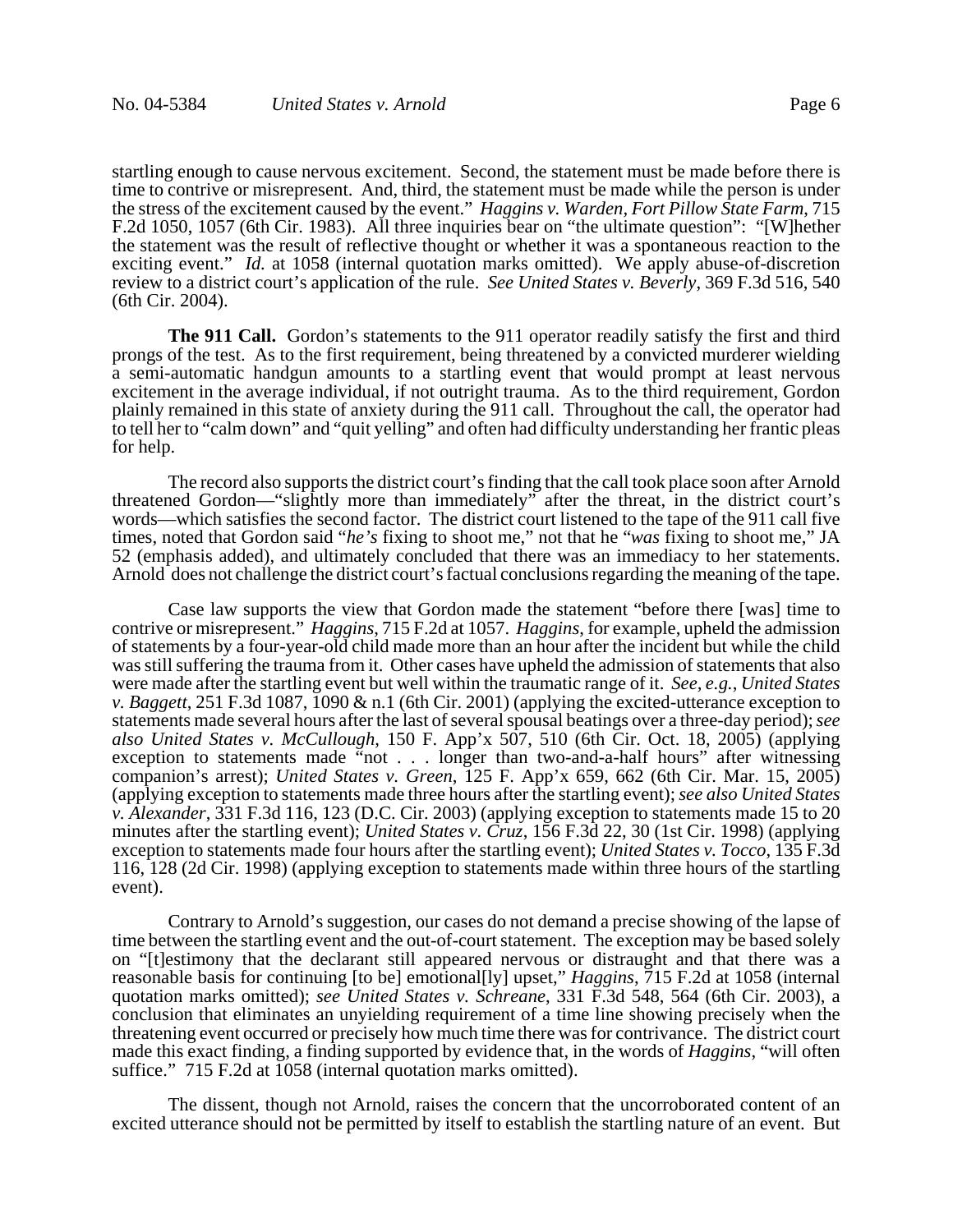startling enough to cause nervous excitement. Second, the statement must be made before there is time to contrive or misrepresent. And, third, the statement must be made while the person is under the stress of the excitement caused by the event." *Haggins v. Warden, Fort Pillow State Farm*, 715 F.2d 1050, 1057 (6th Cir. 1983). All three inquiries bear on "the ultimate question": "[W]hether the statement was the result of reflective thought or whether it was a spontaneous reaction to the exciting event." *Id.* at 1058 (internal quotation marks omitted). We apply abuse-of-discretion review to a district court's application of the rule. *See United States v. Beverly*, 369 F.3d 516, 540 (6th Cir. 2004).

**The 911 Call.** Gordon's statements to the 911 operator readily satisfy the first and third prongs of the test. As to the first requirement, being threatened by a convicted murderer wielding a semi-automatic handgun amounts to a startling event that would prompt at least nervous excitement in the average individual, if not outright trauma. As to the third requirement, Gordon plainly remained in this state of anxiety during the 911 call. Throughout the call, the operator had to tell her to "calm down" and "quit yelling" and often had difficulty understanding her frantic pleas for help.

The record also supports the district court's finding that the call took place soon after Arnold threatened Gordon—"slightly more than immediately" after the threat, in the district court's words—which satisfies the second factor. The district court listened to the tape of the 911 call five times, noted that Gordon said "*he's* fixing to shoot me," not that he "*was* fixing to shoot me," JA 52 (emphasis added), and ultimately concluded that there was an immediacy to her statements. Arnold does not challenge the district court's factual conclusions regarding the meaning of the tape.

Case law supports the view that Gordon made the statement "before there [was] time to contrive or misrepresent." *Haggins*, 715 F.2d at 1057. *Haggins*, for example, upheld the admission of statements by a four-year-old child made more than an hour after the incident but while the child was still suffering the trauma from it. Other cases have upheld the admission of statements that also were made after the startling event but well within the traumatic range of it. *See, e.g.*, *United States v. Baggett*, 251 F.3d 1087, 1090 & n.1 (6th Cir. 2001) (applying the excited-utterance exception to statements made several hours after the last of several spousal beatings over a three-day period); *see also United States v. McCullough*, 150 F. App'x 507, 510 (6th Cir. Oct. 18, 2005) (applying exception to statements made "not . . . longer than two-and-a-half hours" after witnessing companion's arrest); *United States v. Green*, 125 F. App'x 659, 662 (6th Cir. Mar. 15, 2005) (applying exception to statements made three hours after the startling event); *see also United States v. Alexander*, 331 F.3d 116, 123 (D.C. Cir. 2003) (applying exception to statements made 15 to 20 minutes after the startling event); *United States v. Cruz*, 156 F.3d 22, 30 (1st Cir. 1998) (applying exception to statements made four hours after the startling event); *United States v. Tocco*, 135 F.3d 116, 128 (2d Cir. 1998) (applying exception to statements made within three hours of the startling event).

Contrary to Arnold's suggestion, our cases do not demand a precise showing of the lapse of time between the startling event and the out-of-court statement. The exception may be based solely on "[t]estimony that the declarant still appeared nervous or distraught and that there was a reasonable basis for continuing [to be] emotional[ly] upset," *Haggins*, 715 F.2d at 1058 (internal quotation marks omitted); *see United States v. Schreane*, 331 F.3d 548, 564 (6th Cir. 2003), a conclusion that eliminates an unyielding requirement of a time line showing precisely when the threatening event occurred or precisely how much time there was for contrivance. The district court made this exact finding, a finding supported by evidence that, in the words of *Haggins*, "will often suffice." 715 F.2d at 1058 (internal quotation marks omitted).

The dissent, though not Arnold, raises the concern that the uncorroborated content of an excited utterance should not be permitted by itself to establish the startling nature of an event. But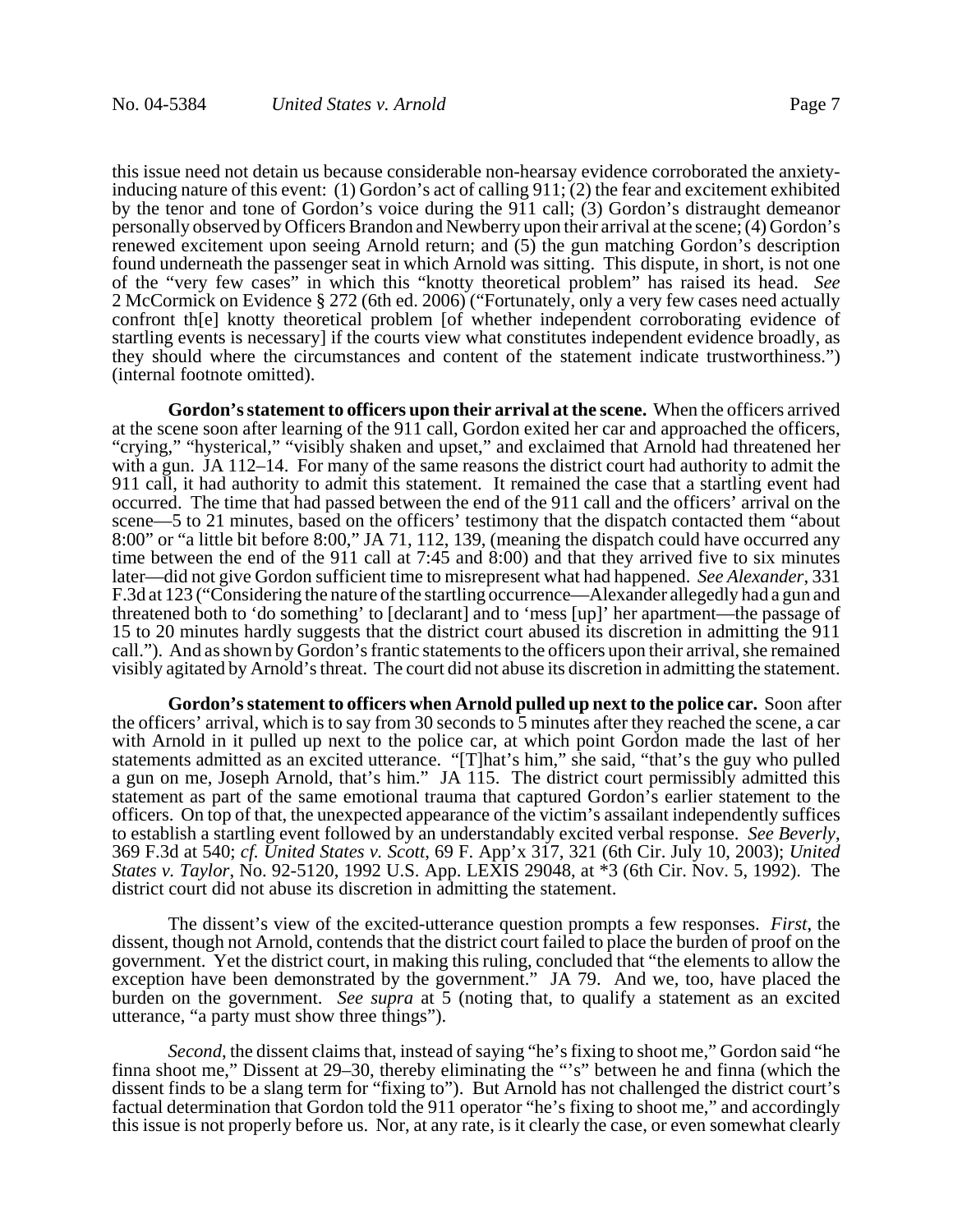this issue need not detain us because considerable non-hearsay evidence corroborated the anxietyinducing nature of this event: (1) Gordon's act of calling 911; (2) the fear and excitement exhibited by the tenor and tone of Gordon's voice during the 911 call; (3) Gordon's distraught demeanor personally observed by Officers Brandon and Newberry upon their arrival at the scene; (4) Gordon's renewed excitement upon seeing Arnold return; and (5) the gun matching Gordon's description found underneath the passenger seat in which Arnold was sitting. This dispute, in short, is not one of the "very few cases" in which this "knotty theoretical problem" has raised its head. *See* 2 McCormick on Evidence § 272 (6th ed. 2006) ("Fortunately, only a very few cases need actually confront th[e] knotty theoretical problem [of whether independent corroborating evidence of startling events is necessary] if the courts view what constitutes independent evidence broadly, as they should where the circumstances and content of the statement indicate trustworthiness.") (internal footnote omitted).

**Gordon's statement to officers upon their arrival at the scene.** When the officers arrived at the scene soon after learning of the 911 call, Gordon exited her car and approached the officers, "crying," "hysterical," "visibly shaken and upset," and exclaimed that Arnold had threatened her with a gun. JA 112–14. For many of the same reasons the district court had authority to admit the 911 call, it had authority to admit this statement. It remained the case that a startling event had occurred. The time that had passed between the end of the 911 call and the officers' arrival on the scene—5 to 21 minutes, based on the officers' testimony that the dispatch contacted them "about 8:00" or "a little bit before 8:00," JA 71, 112, 139, (meaning the dispatch could have occurred any time between the end of the 911 call at 7:45 and 8:00) and that they arrived five to six minutes later—did not give Gordon sufficient time to misrepresent what had happened. *See Alexander*, 331 F.3d at 123 ("Considering the nature of the startling occurrence—Alexander allegedly had a gun and threatened both to 'do something' to [declarant] and to 'mess [up]' her apartment—the passage of 15 to 20 minutes hardly suggests that the district court abused its discretion in admitting the 911 call."). And as shown by Gordon's frantic statements to the officers upon their arrival, she remained visibly agitated by Arnold's threat. The court did not abuse its discretion in admitting the statement.

**Gordon's statement to officers when Arnold pulled up next to the police car.** Soon after the officers' arrival, which is to say from 30 seconds to 5 minutes after they reached the scene, a car with Arnold in it pulled up next to the police car, at which point Gordon made the last of her statements admitted as an excited utterance. "[T]hat's him," she said, "that's the guy who pulled a gun on me, Joseph Arnold, that's him." JA 115. The district court permissibly admitted this statement as part of the same emotional trauma that captured Gordon's earlier statement to the officers. On top of that, the unexpected appearance of the victim's assailant independently suffices to establish a startling event followed by an understandably excited verbal response. *See Beverly*, 369 F.3d at 540; *cf. United States v. Scott*, 69 F. App'x 317, 321 (6th Cir. July 10, 2003); *United States v. Taylor*, No. 92-5120, 1992 U.S. App. LEXIS 29048, at \*3 (6th Cir. Nov. 5, 1992). The district court did not abuse its discretion in admitting the statement.

The dissent's view of the excited-utterance question prompts a few responses. *First*, the dissent, though not Arnold, contends that the district court failed to place the burden of proof on the government. Yet the district court, in making this ruling, concluded that "the elements to allow the exception have been demonstrated by the government." JA 79. And we, too, have placed the burden on the government. *See supra* at 5 (noting that, to qualify a statement as an excited utterance, "a party must show three things").

*Second*, the dissent claims that, instead of saying "he's fixing to shoot me," Gordon said "he finna shoot me," Dissent at 29–30, thereby eliminating the "'s" between he and finna (which the dissent finds to be a slang term for "fixing to"). But Arnold has not challenged the district court's factual determination that Gordon told the 911 operator "he's fixing to shoot me," and accordingly this issue is not properly before us. Nor, at any rate, is it clearly the case, or even somewhat clearly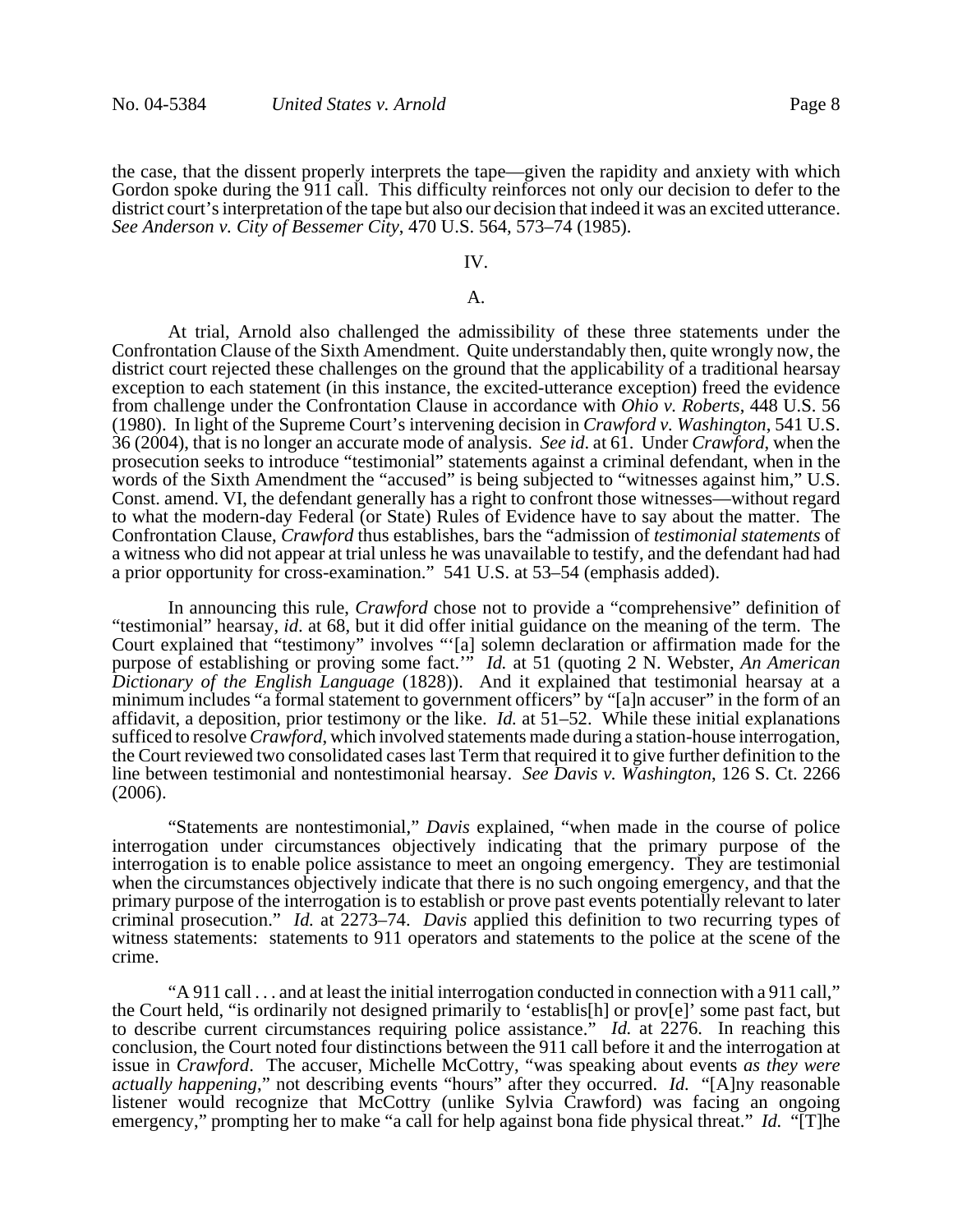the case, that the dissent properly interprets the tape—given the rapidity and anxiety with which Gordon spoke during the 911 call. This difficulty reinforces not only our decision to defer to the district court's interpretation of the tape but also our decision that indeed it was an excited utterance. *See Anderson v. City of Bessemer City*, 470 U.S. 564, 573–74 (1985).

#### IV.

## A.

At trial, Arnold also challenged the admissibility of these three statements under the Confrontation Clause of the Sixth Amendment. Quite understandably then, quite wrongly now, the district court rejected these challenges on the ground that the applicability of a traditional hearsay exception to each statement (in this instance, the excited-utterance exception) freed the evidence from challenge under the Confrontation Clause in accordance with *Ohio v. Roberts*, 448 U.S. 56 (1980). In light of the Supreme Court's intervening decision in *Crawford v. Washington*, 541 U.S. 36 (2004), that is no longer an accurate mode of analysis. *See id*. at 61. Under *Crawford*, when the prosecution seeks to introduce "testimonial" statements against a criminal defendant, when in the words of the Sixth Amendment the "accused" is being subjected to "witnesses against him," U.S. Const. amend. VI, the defendant generally has a right to confront those witnesses—without regard to what the modern-day Federal (or State) Rules of Evidence have to say about the matter. The Confrontation Clause, *Crawford* thus establishes, bars the "admission of *testimonial statements* of a witness who did not appear at trial unless he was unavailable to testify, and the defendant had had a prior opportunity for cross-examination." 541 U.S. at 53–54 (emphasis added).

In announcing this rule, *Crawford* chose not to provide a "comprehensive" definition of "testimonial" hearsay, *id*. at 68, but it did offer initial guidance on the meaning of the term. The Court explained that "testimony" involves "'[a] solemn declaration or affirmation made for the purpose of establishing or proving some fact.'" *Id.* at 51 (quoting 2 N. Webster, *An American Dictionary of the English Language* (1828)). And it explained that testimonial hearsay at a minimum includes "a formal statement to government officers" by "[a]n accuser" in the form of an affidavit, a deposition, prior testimony or the like. *Id.* at 51–52. While these initial explanations sufficed to resolve *Crawford*, which involved statements made during a station-house interrogation, the Court reviewed two consolidated cases last Term that required it to give further definition to the line between testimonial and nontestimonial hearsay. *See Davis v. Washington*, 126 S. Ct. 2266 (2006).

"Statements are nontestimonial," *Davis* explained, "when made in the course of police interrogation under circumstances objectively indicating that the primary purpose of the interrogation is to enable police assistance to meet an ongoing emergency. They are testimonial when the circumstances objectively indicate that there is no such ongoing emergency, and that the primary purpose of the interrogation is to establish or prove past events potentially relevant to later criminal prosecution." *Id.* at 2273–74. *Davis* applied this definition to two recurring types of witness statements: statements to 911 operators and statements to the police at the scene of the crime.

"A 911 call . . . and at least the initial interrogation conducted in connection with a 911 call," the Court held, "is ordinarily not designed primarily to 'establis[h] or prov[e]' some past fact, but to describe current circumstances requiring police assistance." *Id.* at 2276. In reaching this conclusion, the Court noted four distinctions between the 911 call before it and the interrogation at issue in *Crawford*. The accuser, Michelle McCottry, "was speaking about events *as they were actually happening*," not describing events "hours" after they occurred. *Id.* "[A]ny reasonable listener would recognize that McCottry (unlike Sylvia Crawford) was facing an ongoing emergency," prompting her to make "a call for help against bona fide physical threat." *Id.* "[T]he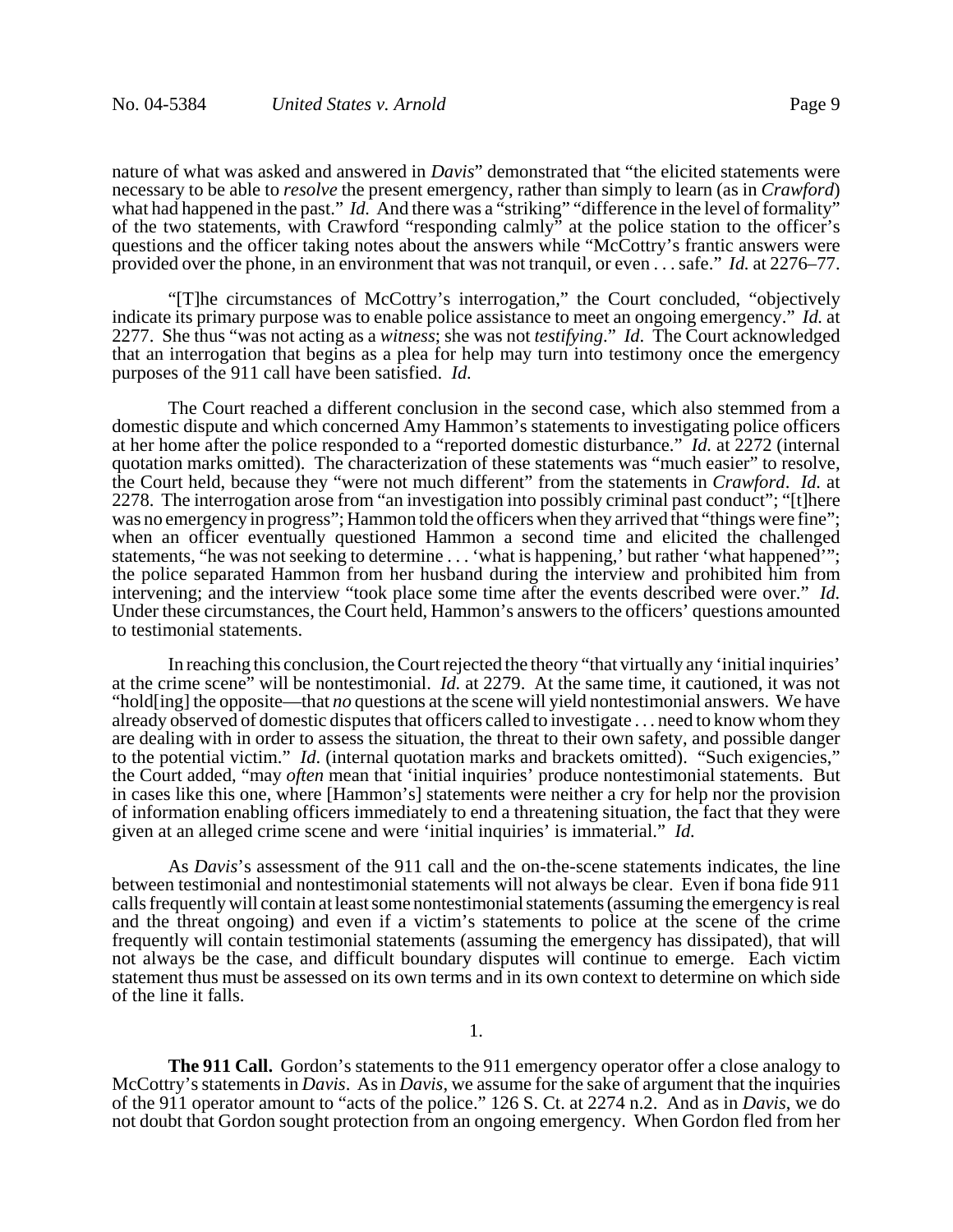nature of what was asked and answered in *Davis*" demonstrated that "the elicited statements were necessary to be able to *resolve* the present emergency, rather than simply to learn (as in *Crawford*) what had happened in the past." *Id.* And there was a "striking" "difference in the level of formality" of the two statements, with Crawford "responding calmly" at the police station to the officer's questions and the officer taking notes about the answers while "McCottry's frantic answers were provided over the phone, in an environment that was not tranquil, or even . . . safe." *Id.* at 2276–77.

"[T]he circumstances of McCottry's interrogation," the Court concluded, "objectively indicate its primary purpose was to enable police assistance to meet an ongoing emergency." *Id.* at 2277. She thus "was not acting as a *witness*; she was not *testifying*." *Id*. The Court acknowledged that an interrogation that begins as a plea for help may turn into testimony once the emergency purposes of the 911 call have been satisfied. *Id.*

The Court reached a different conclusion in the second case, which also stemmed from a domestic dispute and which concerned Amy Hammon's statements to investigating police officers at her home after the police responded to a "reported domestic disturbance." *Id.* at 2272 (internal quotation marks omitted). The characterization of these statements was "much easier" to resolve, the Court held, because they "were not much different" from the statements in *Crawford*. *Id.* at 2278. The interrogation arose from "an investigation into possibly criminal past conduct"; "[t]here was no emergency in progress"; Hammon told the officers when they arrived that "things were fine"; when an officer eventually questioned Hammon a second time and elicited the challenged statements, "he was not seeking to determine . . . 'what is happening,' but rather 'what happened'"; the police separated Hammon from her husband during the interview and prohibited him from intervening; and the interview "took place some time after the events described were over." *Id.* Under these circumstances, the Court held, Hammon's answers to the officers' questions amounted to testimonial statements.

In reaching this conclusion, the Court rejected the theory "that virtually any 'initial inquiries' at the crime scene" will be nontestimonial. *Id.* at 2279. At the same time, it cautioned, it was not "hold[ing] the opposite—that *no* questions at the scene will yield nontestimonial answers. We have already observed of domestic disputes that officers called to investigate . . . need to know whom they are dealing with in order to assess the situation, the threat to their own safety, and possible danger to the potential victim." *Id*. (internal quotation marks and brackets omitted). "Such exigencies," the Court added, "may *often* mean that 'initial inquiries' produce nontestimonial statements. But in cases like this one, where [Hammon's] statements were neither a cry for help nor the provision of information enabling officers immediately to end a threatening situation, the fact that they were given at an alleged crime scene and were 'initial inquiries' is immaterial." *Id.*

As *Davis*'s assessment of the 911 call and the on-the-scene statements indicates, the line between testimonial and nontestimonial statements will not always be clear. Even if bona fide 911 calls frequently will contain at least some nontestimonial statements (assuming the emergency is real and the threat ongoing) and even if a victim's statements to police at the scene of the crime frequently will contain testimonial statements (assuming the emergency has dissipated), that will not always be the case, and difficult boundary disputes will continue to emerge. Each victim statement thus must be assessed on its own terms and in its own context to determine on which side of the line it falls.

**The 911 Call.** Gordon's statements to the 911 emergency operator offer a close analogy to McCottry's statements in *Davis*. As in *Davis*, we assume for the sake of argument that the inquiries of the 911 operator amount to "acts of the police." 126 S. Ct. at 2274 n.2. And as in *Davis*, we do not doubt that Gordon sought protection from an ongoing emergency. When Gordon fled from her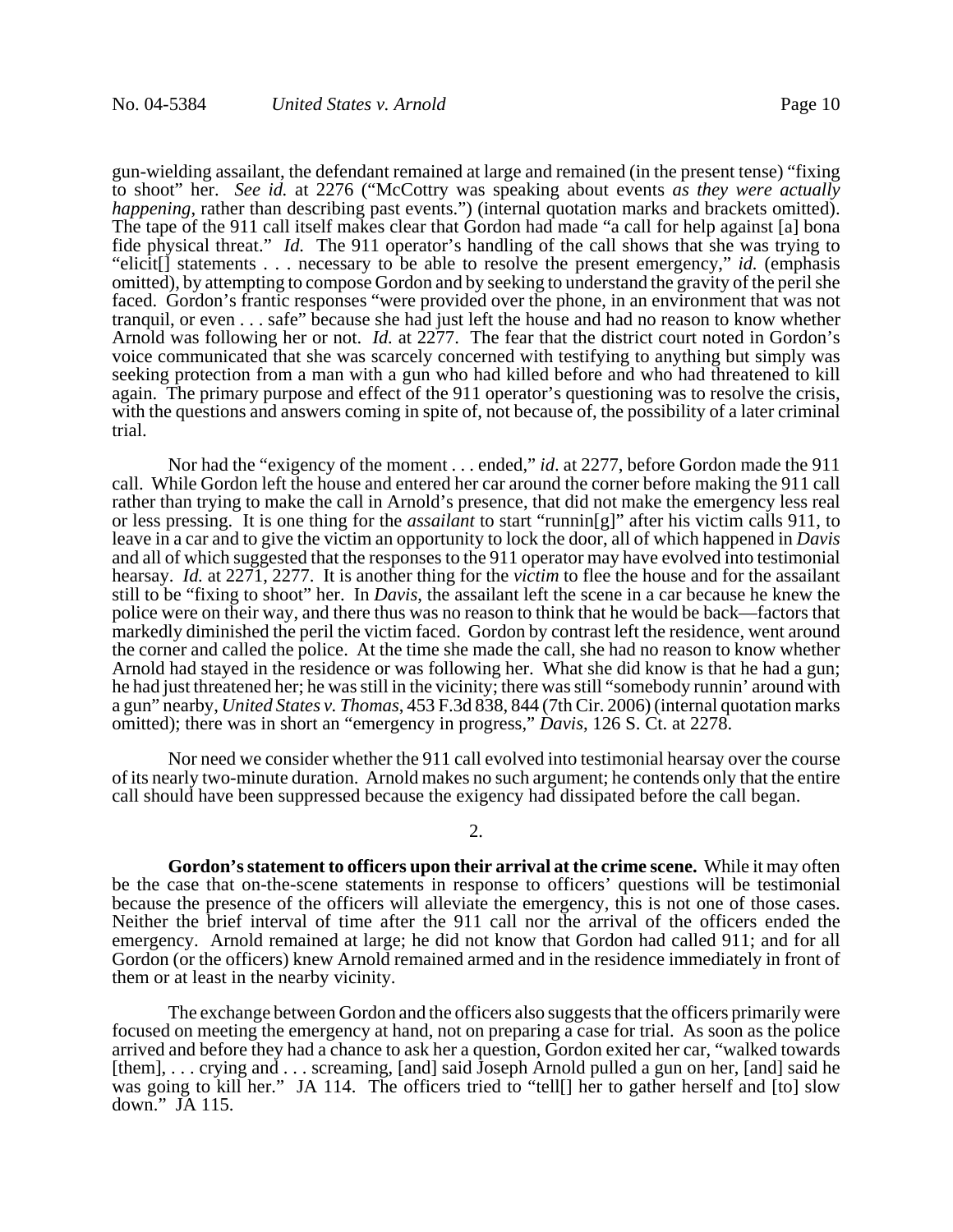gun-wielding assailant, the defendant remained at large and remained (in the present tense) "fixing to shoot" her. *See id.* at 2276 ("McCottry was speaking about events *as they were actually happening*, rather than describing past events.") (internal quotation marks and brackets omitted). The tape of the 911 call itself makes clear that Gordon had made "a call for help against [a] bona fide physical threat." *Id.* The 911 operator's handling of the call shows that she was trying to "elicit[] statements . . . necessary to be able to resolve the present emergency," *id.* (emphasis omitted), by attempting to compose Gordon and by seeking to understand the gravity of the peril she faced. Gordon's frantic responses "were provided over the phone, in an environment that was not tranquil, or even . . . safe" because she had just left the house and had no reason to know whether Arnold was following her or not. *Id.* at 2277. The fear that the district court noted in Gordon's voice communicated that she was scarcely concerned with testifying to anything but simply was seeking protection from a man with a gun who had killed before and who had threatened to kill again. The primary purpose and effect of the 911 operator's questioning was to resolve the crisis, with the questions and answers coming in spite of, not because of, the possibility of a later criminal trial.

Nor had the "exigency of the moment . . . ended," *id*. at 2277, before Gordon made the 911 call. While Gordon left the house and entered her car around the corner before making the 911 call rather than trying to make the call in Arnold's presence, that did not make the emergency less real or less pressing. It is one thing for the *assailant* to start "runnin[g]" after his victim calls 911, to leave in a car and to give the victim an opportunity to lock the door, all of which happened in *Davis* and all of which suggested that the responses to the 911 operator may have evolved into testimonial hearsay. *Id.* at 2271, 2277. It is another thing for the *victim* to flee the house and for the assailant still to be "fixing to shoot" her. In *Davis*, the assailant left the scene in a car because he knew the police were on their way, and there thus was no reason to think that he would be back—factors that markedly diminished the peril the victim faced. Gordon by contrast left the residence, went around the corner and called the police. At the time she made the call, she had no reason to know whether Arnold had stayed in the residence or was following her. What she did know is that he had a gun; he had just threatened her; he was still in the vicinity; there was still "somebody runnin' around with a gun" nearby, *United States v. Thomas*, 453 F.3d 838, 844 (7th Cir. 2006) (internal quotation marks omitted); there was in short an "emergency in progress," *Davis*, 126 S. Ct. at 2278.

Nor need we consider whether the 911 call evolved into testimonial hearsay over the course of its nearly two-minute duration. Arnold makes no such argument; he contends only that the entire call should have been suppressed because the exigency had dissipated before the call began.

#### 2.

**Gordon's statement to officers upon their arrival at the crime scene.** While it may often be the case that on-the-scene statements in response to officers' questions will be testimonial because the presence of the officers will alleviate the emergency, this is not one of those cases. Neither the brief interval of time after the 911 call nor the arrival of the officers ended the emergency. Arnold remained at large; he did not know that Gordon had called 911; and for all Gordon (or the officers) knew Arnold remained armed and in the residence immediately in front of them or at least in the nearby vicinity.

The exchange between Gordon and the officers also suggests that the officers primarily were focused on meeting the emergency at hand, not on preparing a case for trial. As soon as the police arrived and before they had a chance to ask her a question, Gordon exited her car, "walked towards [them], . . . crying and . . . screaming, [and] said Joseph Arnold pulled a gun on her, [and] said he was going to kill her." JA 114. The officers tried to "tell[] her to gather herself and [to] slow down." JA 115.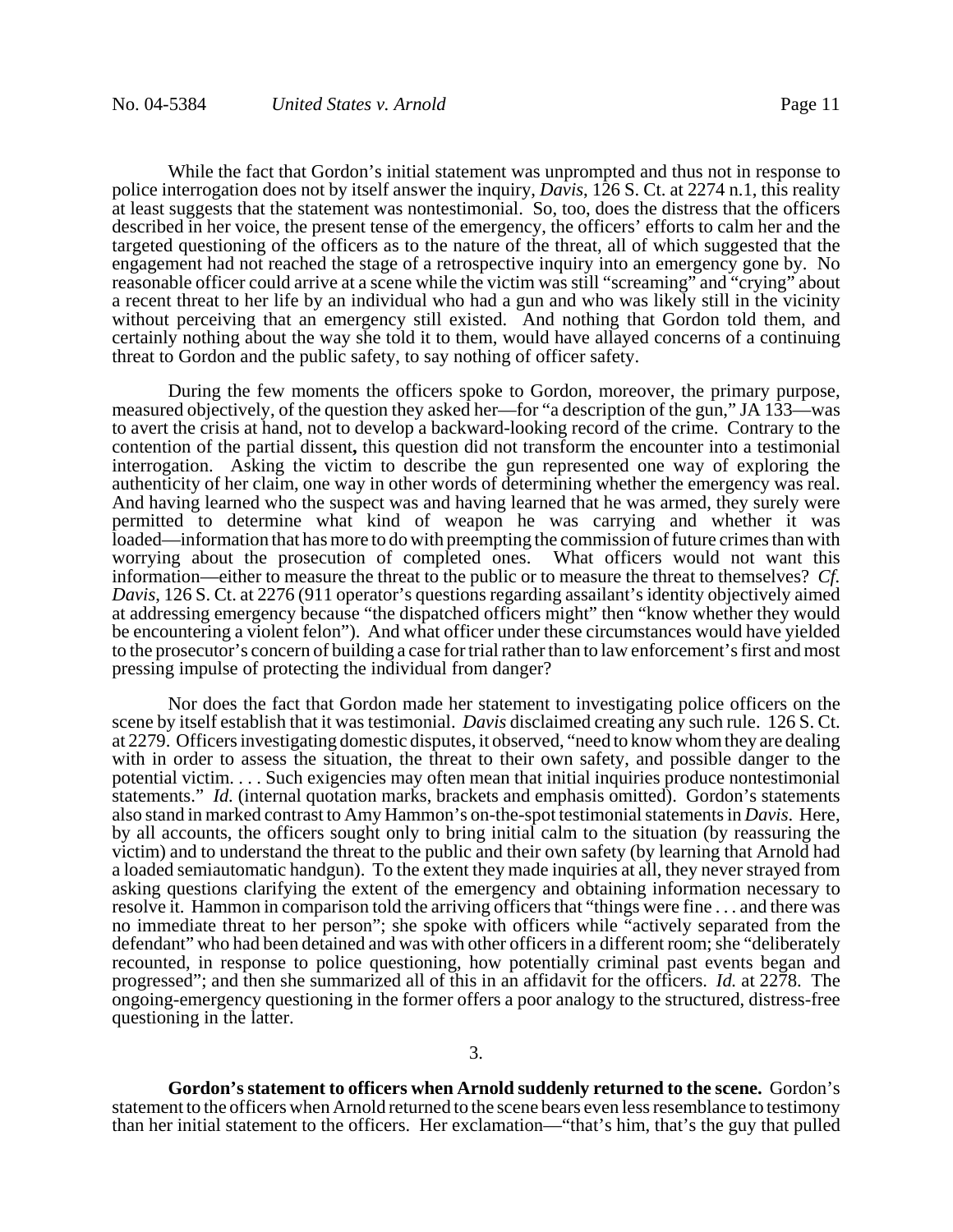While the fact that Gordon's initial statement was unprompted and thus not in response to police interrogation does not by itself answer the inquiry, *Davis*, 126 S. Ct. at 2274 n.1, this reality at least suggests that the statement was nontestimonial. So, too, does the distress that the officers described in her voice, the present tense of the emergency, the officers' efforts to calm her and the targeted questioning of the officers as to the nature of the threat, all of which suggested that the engagement had not reached the stage of a retrospective inquiry into an emergency gone by. No reasonable officer could arrive at a scene while the victim was still "screaming" and "crying" about a recent threat to her life by an individual who had a gun and who was likely still in the vicinity without perceiving that an emergency still existed. And nothing that Gordon told them, and certainly nothing about the way she told it to them, would have allayed concerns of a continuing threat to Gordon and the public safety, to say nothing of officer safety.

During the few moments the officers spoke to Gordon, moreover, the primary purpose, measured objectively, of the question they asked her—for "a description of the gun," JA 133—was to avert the crisis at hand, not to develop a backward-looking record of the crime. Contrary to the contention of the partial dissent**,** this question did not transform the encounter into a testimonial interrogation. Asking the victim to describe the gun represented one way of exploring the authenticity of her claim, one way in other words of determining whether the emergency was real. And having learned who the suspect was and having learned that he was armed, they surely were permitted to determine what kind of weapon he was carrying and whether it was loaded—information that has more to do with preempting the commission of future crimes than with worrying about the prosecution of completed ones. What officers would not want this information—either to measure the threat to the public or to measure the threat to themselves? *Cf. Davis*, 126 S. Ct. at 2276 (911 operator's questions regarding assailant's identity objectively aimed at addressing emergency because "the dispatched officers might" then "know whether they would be encountering a violent felon"). And what officer under these circumstances would have yielded to the prosecutor's concern of building a case for trial rather than to law enforcement's first and most pressing impulse of protecting the individual from danger?

Nor does the fact that Gordon made her statement to investigating police officers on the scene by itself establish that it was testimonial. *Davis* disclaimed creating any such rule. 126 S. Ct. at 2279. Officers investigating domestic disputes, it observed, "need to know whom they are dealing with in order to assess the situation, the threat to their own safety, and possible danger to the potential victim. . . . Such exigencies may often mean that initial inquiries produce nontestimonial statements." *Id.* (internal quotation marks, brackets and emphasis omitted). Gordon's statements also stand in marked contrast to Amy Hammon's on-the-spot testimonial statements in *Davis*. Here, by all accounts, the officers sought only to bring initial calm to the situation (by reassuring the victim) and to understand the threat to the public and their own safety (by learning that Arnold had a loaded semiautomatic handgun). To the extent they made inquiries at all, they never strayed from asking questions clarifying the extent of the emergency and obtaining information necessary to resolve it. Hammon in comparison told the arriving officers that "things were fine . . . and there was no immediate threat to her person"; she spoke with officers while "actively separated from the defendant" who had been detained and was with other officers in a different room; she "deliberately recounted, in response to police questioning, how potentially criminal past events began and progressed"; and then she summarized all of this in an affidavit for the officers. *Id.* at 2278. The ongoing-emergency questioning in the former offers a poor analogy to the structured, distress-free questioning in the latter.

**Gordon's statement to officers when Arnold suddenly returned to the scene.** Gordon's statement to the officers when Arnold returned to the scene bears even less resemblance to testimony than her initial statement to the officers. Her exclamation—"that's him, that's the guy that pulled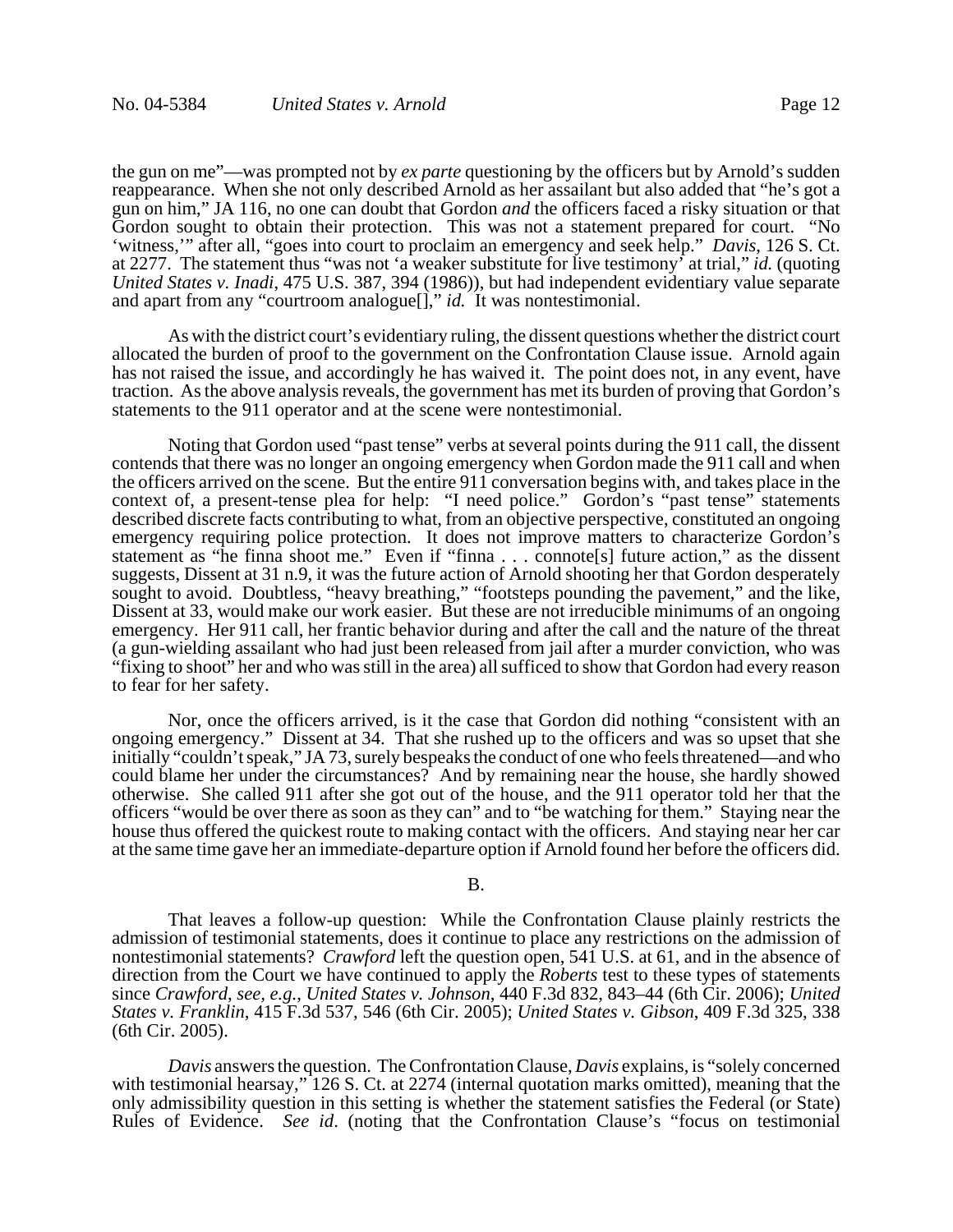the gun on me"—was prompted not by *ex parte* questioning by the officers but by Arnold's sudden reappearance. When she not only described Arnold as her assailant but also added that "he's got a gun on him," JA 116, no one can doubt that Gordon *and* the officers faced a risky situation or that Gordon sought to obtain their protection. This was not a statement prepared for court. "No 'witness,'" after all, "goes into court to proclaim an emergency and seek help." *Davis*, 126 S. Ct. at 2277. The statement thus "was not 'a weaker substitute for live testimony' at trial," *id.* (quoting *United States v. Inadi*, 475 U.S. 387, 394 (1986)), but had independent evidentiary value separate and apart from any "courtroom analogue[]," *id.* It was nontestimonial.

As with the district court's evidentiary ruling, the dissent questions whether the district court allocated the burden of proof to the government on the Confrontation Clause issue. Arnold again has not raised the issue, and accordingly he has waived it. The point does not, in any event, have traction. As the above analysis reveals, the government has met its burden of proving that Gordon's statements to the 911 operator and at the scene were nontestimonial.

Noting that Gordon used "past tense" verbs at several points during the 911 call, the dissent contends that there was no longer an ongoing emergency when Gordon made the 911 call and when the officers arrived on the scene. But the entire 911 conversation begins with, and takes place in the context of, a present-tense plea for help: "I need police." Gordon's "past tense" statements described discrete facts contributing to what, from an objective perspective, constituted an ongoing emergency requiring police protection. It does not improve matters to characterize Gordon's statement as "he finna shoot me." Even if "finna . . . connote[s] future action," as the dissent suggests, Dissent at 31 n.9, it was the future action of Arnold shooting her that Gordon desperately sought to avoid. Doubtless, "heavy breathing," "footsteps pounding the pavement," and the like, Dissent at 33, would make our work easier. But these are not irreducible minimums of an ongoing emergency. Her 911 call, her frantic behavior during and after the call and the nature of the threat (a gun-wielding assailant who had just been released from jail after a murder conviction, who was "fixing to shoot" her and who was still in the area) all sufficed to show that Gordon had every reason to fear for her safety.

Nor, once the officers arrived, is it the case that Gordon did nothing "consistent with an ongoing emergency." Dissent at 34. That she rushed up to the officers and was so upset that she initially "couldn't speak," JA 73, surely bespeaks the conduct of one who feels threatened—and who could blame her under the circumstances? And by remaining near the house, she hardly showed otherwise. She called 911 after she got out of the house, and the 911 operator told her that the officers "would be over there as soon as they can" and to "be watching for them." Staying near the house thus offered the quickest route to making contact with the officers. And staying near her car at the same time gave her an immediate-departure option if Arnold found her before the officers did.

## B.

That leaves a follow-up question: While the Confrontation Clause plainly restricts the admission of testimonial statements, does it continue to place any restrictions on the admission of nontestimonial statements? *Crawford* left the question open, 541 U.S. at 61, and in the absence of direction from the Court we have continued to apply the *Roberts* test to these types of statements since *Crawford*, *see, e.g.*, *United States v. Johnson*, 440 F.3d 832, 843–44 (6th Cir. 2006); *United States v. Franklin*, 415 F.3d 537, 546 (6th Cir. 2005); *United States v. Gibson*, 409 F.3d 325, 338 (6th Cir. 2005).

*Davis* answers the question. The Confrontation Clause, *Davis* explains, is "solely concerned with testimonial hearsay," 126 S. Ct. at 2274 (internal quotation marks omitted), meaning that the only admissibility question in this setting is whether the statement satisfies the Federal (or State) Rules of Evidence. *See id*. (noting that the Confrontation Clause's "focus on testimonial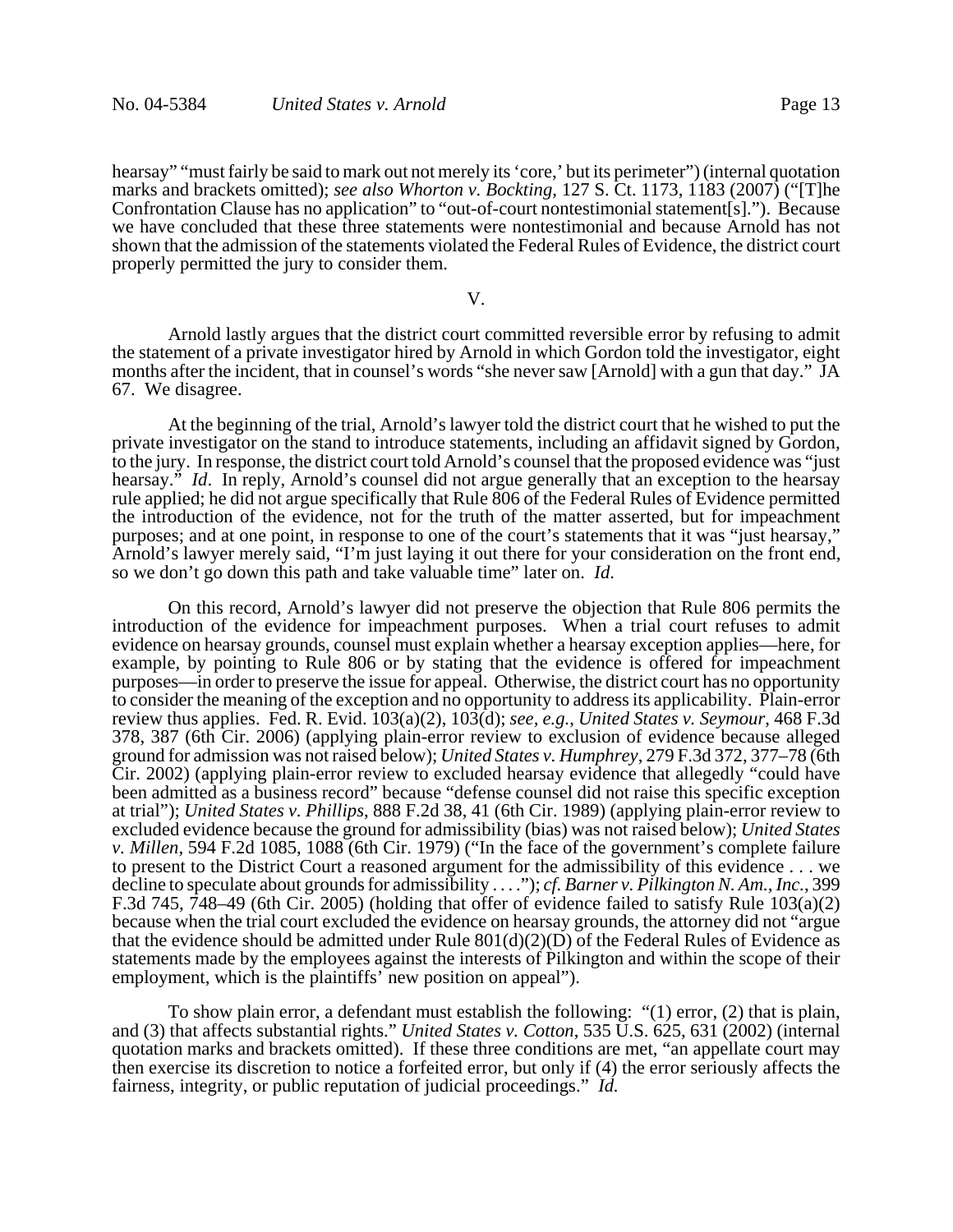hearsay" "must fairly be said to mark out not merely its 'core,' but its perimeter") (internal quotation marks and brackets omitted); *see also Whorton v. Bockting*, 127 S. Ct. 1173, 1183 (2007) ("[T]he Confrontation Clause has no application" to "out-of-court nontestimonial statement[s]."). Because we have concluded that these three statements were nontestimonial and because Arnold has not shown that the admission of the statements violated the Federal Rules of Evidence, the district court properly permitted the jury to consider them.

V.

Arnold lastly argues that the district court committed reversible error by refusing to admit the statement of a private investigator hired by Arnold in which Gordon told the investigator, eight months after the incident, that in counsel's words "she never saw [Arnold] with a gun that day." JA 67. We disagree.

At the beginning of the trial, Arnold's lawyer told the district court that he wished to put the private investigator on the stand to introduce statements, including an affidavit signed by Gordon, to the jury. In response, the district court told Arnold's counsel that the proposed evidence was "just hearsay." *Id*. In reply, Arnold's counsel did not argue generally that an exception to the hearsay rule applied; he did not argue specifically that Rule 806 of the Federal Rules of Evidence permitted the introduction of the evidence, not for the truth of the matter asserted, but for impeachment purposes; and at one point, in response to one of the court's statements that it was "just hearsay," Arnold's lawyer merely said, "I'm just laying it out there for your consideration on the front end, so we don't go down this path and take valuable time" later on. *Id*.

On this record, Arnold's lawyer did not preserve the objection that Rule 806 permits the introduction of the evidence for impeachment purposes. When a trial court refuses to admit evidence on hearsay grounds, counsel must explain whether a hearsay exception applies—here, for example, by pointing to Rule 806 or by stating that the evidence is offered for impeachment purposes—in order to preserve the issue for appeal. Otherwise, the district court has no opportunity to consider the meaning of the exception and no opportunity to address its applicability. Plain-error review thus applies. Fed. R. Evid. 103(a)(2), 103(d); *see, e.g.*, *United States v. Seymour*, 468 F.3d 378, 387 (6th Cir. 2006) (applying plain-error review to exclusion of evidence because alleged ground for admission was not raised below); *United States v. Humphrey*, 279 F.3d 372, 377–78 (6th Cir. 2002) (applying plain-error review to excluded hearsay evidence that allegedly "could have been admitted as a business record" because "defense counsel did not raise this specific exception at trial"); *United States v. Phillips*, 888 F.2d 38, 41 (6th Cir. 1989) (applying plain-error review to excluded evidence because the ground for admissibility (bias) was not raised below); *United States v. Millen*, 594 F.2d 1085, 1088 (6th Cir. 1979) ("In the face of the government's complete failure to present to the District Court a reasoned argument for the admissibility of this evidence . . . we decline to speculate about grounds for admissibility . . . ."); *cf. Barner v. Pilkington N. Am., Inc.*, 399 F.3d 745, 748–49 (6th Cir. 2005) (holding that offer of evidence failed to satisfy Rule 103(a)(2) because when the trial court excluded the evidence on hearsay grounds, the attorney did not "argue that the evidence should be admitted under Rule  $801(d)(2)(D)$  of the Federal Rules of Evidence as statements made by the employees against the interests of Pilkington and within the scope of their employment, which is the plaintiffs' new position on appeal").

To show plain error, a defendant must establish the following: "(1) error, (2) that is plain, and (3) that affects substantial rights." *United States v. Cotton*, 535 U.S. 625, 631 (2002) (internal quotation marks and brackets omitted). If these three conditions are met, "an appellate court may then exercise its discretion to notice a forfeited error, but only if (4) the error seriously affects the fairness, integrity, or public reputation of judicial proceedings." *Id.*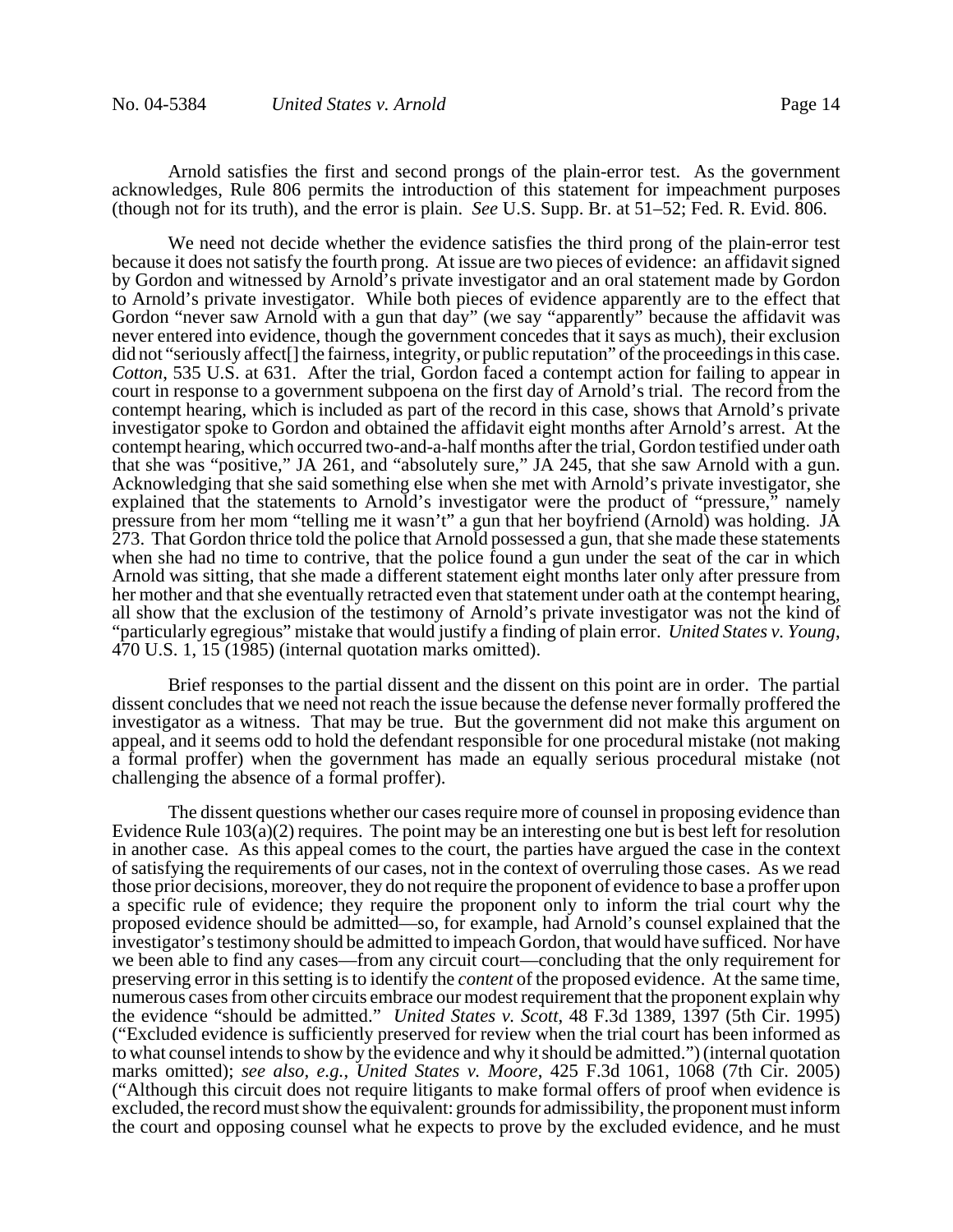Arnold satisfies the first and second prongs of the plain-error test. As the government acknowledges, Rule 806 permits the introduction of this statement for impeachment purposes (though not for its truth), and the error is plain. *See* U.S. Supp. Br. at 51–52; Fed. R. Evid. 806.

We need not decide whether the evidence satisfies the third prong of the plain-error test because it does not satisfy the fourth prong. At issue are two pieces of evidence: an affidavit signed by Gordon and witnessed by Arnold's private investigator and an oral statement made by Gordon to Arnold's private investigator. While both pieces of evidence apparently are to the effect that Gordon "never saw Arnold with a gun that day" (we say "apparently" because the affidavit was never entered into evidence, though the government concedes that it says as much), their exclusion did not "seriously affect[] the fairness, integrity, or public reputation" of the proceedings in this case. *Cotton*, 535 U.S. at 631. After the trial, Gordon faced a contempt action for failing to appear in court in response to a government subpoena on the first day of Arnold's trial. The record from the contempt hearing, which is included as part of the record in this case, shows that Arnold's private investigator spoke to Gordon and obtained the affidavit eight months after Arnold's arrest. At the contempt hearing, which occurred two-and-a-half months after the trial, Gordon testified under oath that she was "positive," JA 261, and "absolutely sure," JA 245, that she saw Arnold with a gun. Acknowledging that she said something else when she met with Arnold's private investigator, she explained that the statements to Arnold's investigator were the product of "pressure," namely pressure from her mom "telling me it wasn't" a gun that her boyfriend (Arnold) was holding. JA 273. That Gordon thrice told the police that Arnold possessed a gun, that she made these statements when she had no time to contrive, that the police found a gun under the seat of the car in which Arnold was sitting, that she made a different statement eight months later only after pressure from her mother and that she eventually retracted even that statement under oath at the contempt hearing, all show that the exclusion of the testimony of Arnold's private investigator was not the kind of "particularly egregious" mistake that would justify a finding of plain error. *United States v. Young*, 470 U.S. 1, 15 (1985) (internal quotation marks omitted).

Brief responses to the partial dissent and the dissent on this point are in order. The partial dissent concludes that we need not reach the issue because the defense never formally proffered the investigator as a witness. That may be true. But the government did not make this argument on appeal, and it seems odd to hold the defendant responsible for one procedural mistake (not making a formal proffer) when the government has made an equally serious procedural mistake (not challenging the absence of a formal proffer).

The dissent questions whether our cases require more of counsel in proposing evidence than Evidence Rule  $103(a)(2)$  requires. The point may be an interesting one but is best left for resolution in another case. As this appeal comes to the court, the parties have argued the case in the context of satisfying the requirements of our cases, not in the context of overruling those cases. As we read those prior decisions, moreover, they do not require the proponent of evidence to base a proffer upon a specific rule of evidence; they require the proponent only to inform the trial court why the proposed evidence should be admitted—so, for example, had Arnold's counsel explained that the investigator's testimony should be admitted to impeach Gordon, that would have sufficed. Nor have we been able to find any cases—from any circuit court—concluding that the only requirement for preserving error in this setting is to identify the *content* of the proposed evidence. At the same time, numerous cases from other circuits embrace our modest requirement that the proponent explain why the evidence "should be admitted." *United States v. Scott*, 48 F.3d 1389, 1397 (5th Cir. 1995) ("Excluded evidence is sufficiently preserved for review when the trial court has been informed as to what counsel intends to show by the evidence and why it should be admitted.") (internal quotation marks omitted); *see also, e.g.*, *United States v. Moore*, 425 F.3d 1061, 1068 (7th Cir. 2005) ("Although this circuit does not require litigants to make formal offers of proof when evidence is excluded, the record must show the equivalent: grounds for admissibility, the proponent must inform the court and opposing counsel what he expects to prove by the excluded evidence, and he must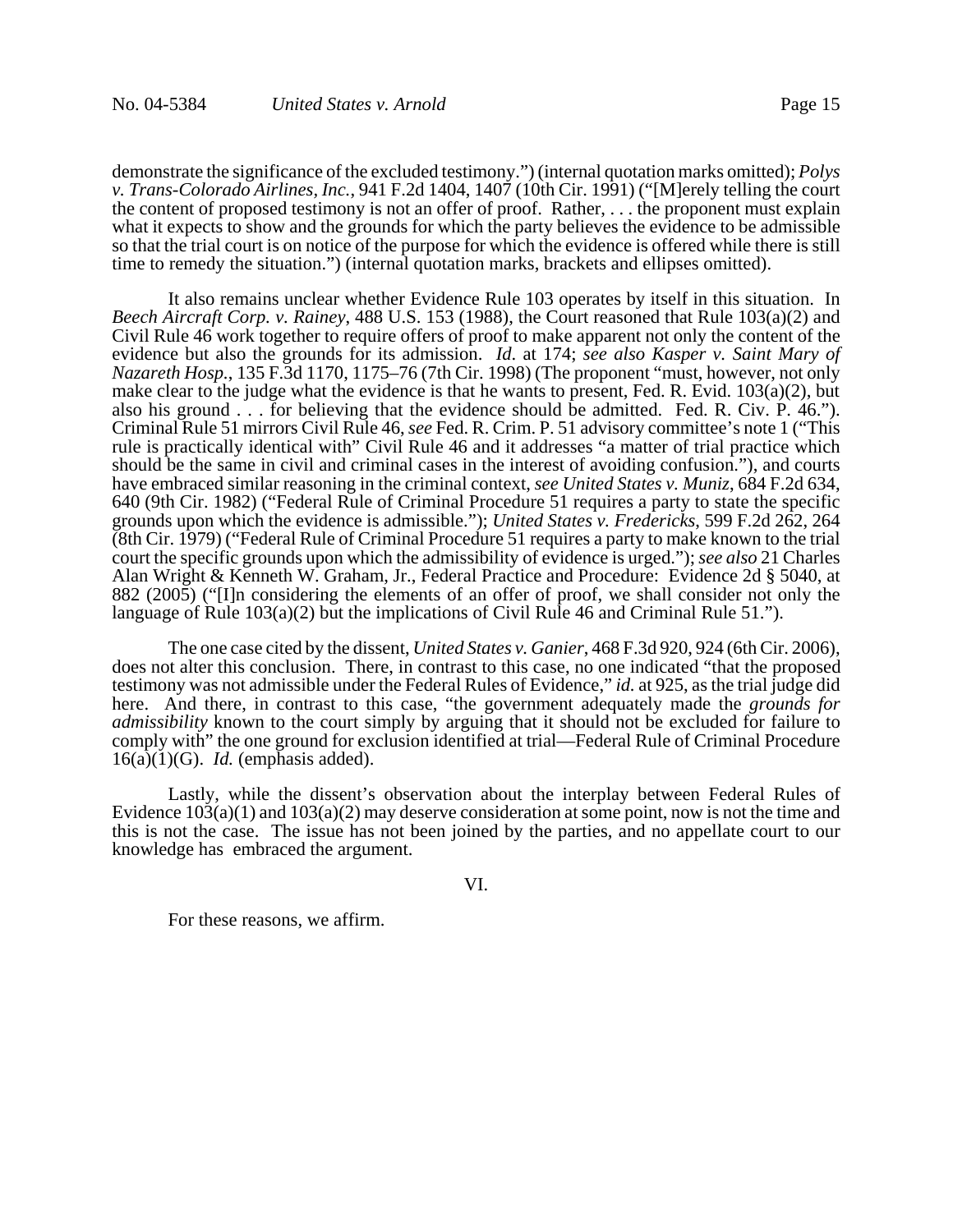demonstrate the significance of the excluded testimony.") (internal quotation marks omitted); *Polys v. Trans-Colorado Airlines, Inc.*, 941 F.2d 1404, 1407 (10th Cir. 1991) ("[M]erely telling the court the content of proposed testimony is not an offer of proof. Rather, . . . the proponent must explain what it expects to show and the grounds for which the party believes the evidence to be admissible so that the trial court is on notice of the purpose for which the evidence is offered while there is still time to remedy the situation.") (internal quotation marks, brackets and ellipses omitted).

It also remains unclear whether Evidence Rule 103 operates by itself in this situation. In *Beech Aircraft Corp. v. Rainey*, 488 U.S. 153 (1988), the Court reasoned that Rule 103(a)(2) and Civil Rule 46 work together to require offers of proof to make apparent not only the content of the evidence but also the grounds for its admission. *Id*. at 174; *see also Kasper v. Saint Mary of Nazareth Hosp.*, 135 F.3d 1170, 1175–76 (7th Cir. 1998) (The proponent "must, however, not only make clear to the judge what the evidence is that he wants to present, Fed. R. Evid.  $103(a)(2)$ , but also his ground . . . for believing that the evidence should be admitted. Fed. R. Civ. P. 46."). Criminal Rule 51 mirrors Civil Rule 46, *see* Fed. R. Crim. P. 51 advisory committee's note 1 ("This rule is practically identical with" Civil Rule 46 and it addresses "a matter of trial practice which should be the same in civil and criminal cases in the interest of avoiding confusion."), and courts have embraced similar reasoning in the criminal context, *see United States v. Muniz*, 684 F.2d 634, 640 (9th Cir. 1982) ("Federal Rule of Criminal Procedure 51 requires a party to state the specific grounds upon which the evidence is admissible."); *United States v. Fredericks*, 599 F.2d 262, 264 (8th Cir. 1979) ("Federal Rule of Criminal Procedure 51 requires a party to make known to the trial court the specific grounds upon which the admissibility of evidence is urged."); *see also* 21 Charles Alan Wright & Kenneth W. Graham, Jr., Federal Practice and Procedure: Evidence 2d § 5040, at 882 (2005) ("[I]n considering the elements of an offer of proof, we shall consider not only the language of Rule 103(a)(2) but the implications of Civil Rule 46 and Criminal Rule 51.").

The one case cited by the dissent, *United States v. Ganier*, 468 F.3d 920, 924 (6th Cir. 2006), does not alter this conclusion. There, in contrast to this case, no one indicated "that the proposed testimony was not admissible under the Federal Rules of Evidence," *id.* at 925, as the trial judge did here. And there, in contrast to this case, "the government adequately made the *grounds for admissibility* known to the court simply by arguing that it should not be excluded for failure to comply with" the one ground for exclusion identified at trial—Federal Rule of Criminal Procedure 16(a)(1)(G). *Id.* (emphasis added).

Lastly, while the dissent's observation about the interplay between Federal Rules of Evidence  $103(a)(1)$  and  $103(a)(2)$  may deserve consideration at some point, now is not the time and this is not the case. The issue has not been joined by the parties, and no appellate court to our knowledge has embraced the argument.

VI.

For these reasons, we affirm.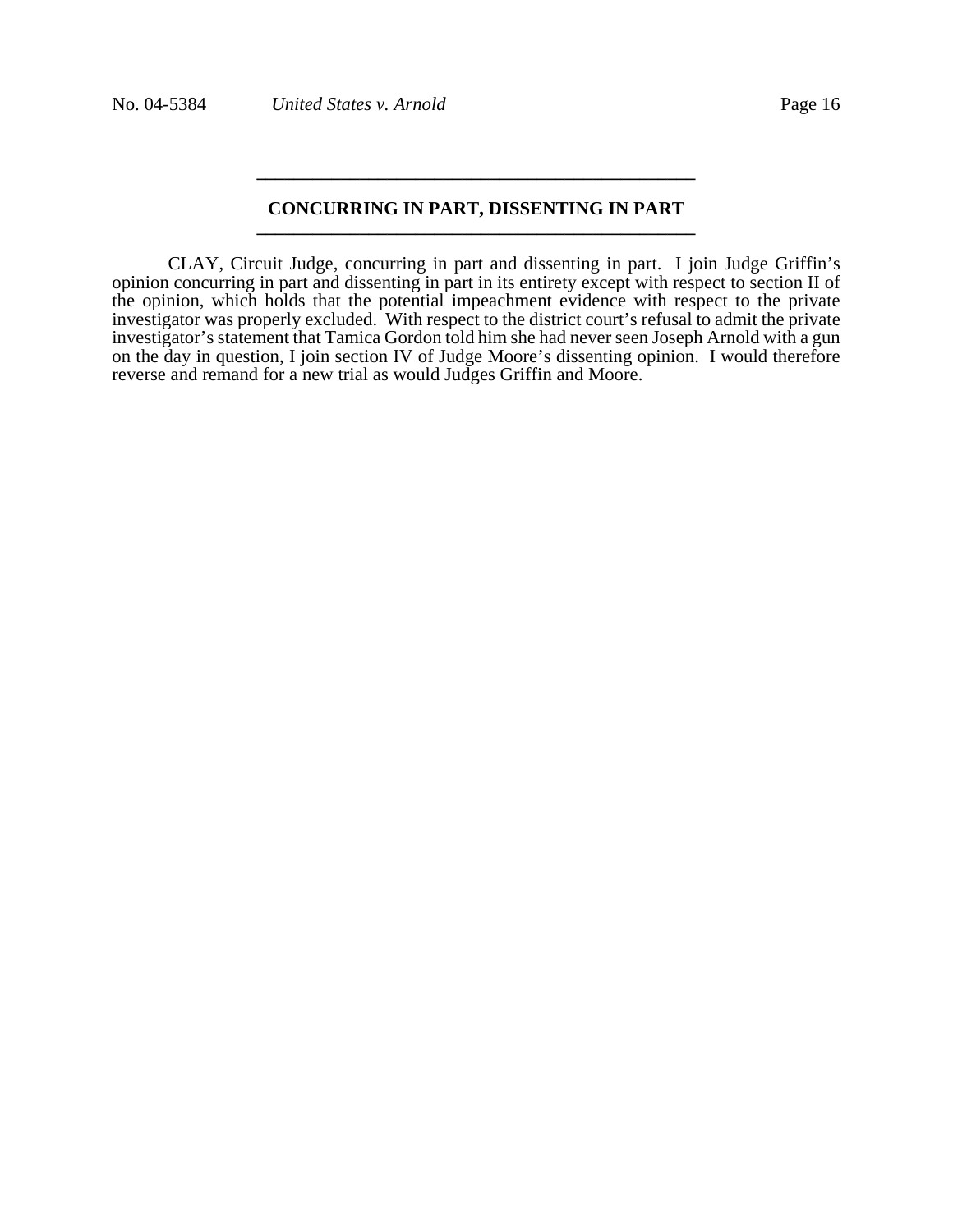# **CONCURRING IN PART, DISSENTING IN PART \_\_\_\_\_\_\_\_\_\_\_\_\_\_\_\_\_\_\_\_\_\_\_\_\_\_\_\_\_\_\_\_\_\_\_\_\_\_\_\_\_\_\_\_\_\_\_**

**\_\_\_\_\_\_\_\_\_\_\_\_\_\_\_\_\_\_\_\_\_\_\_\_\_\_\_\_\_\_\_\_\_\_\_\_\_\_\_\_\_\_\_\_\_\_\_**

CLAY, Circuit Judge, concurring in part and dissenting in part. I join Judge Griffin's opinion concurring in part and dissenting in part in its entirety except with respect to section II of the opinion, which holds that the potential impeachment evidence with respect to the private investigator was properly excluded. With respect to the district court's refusal to admit the private investigator's statement that Tamica Gordon told him she had never seen Joseph Arnold with a gun on the day in question, I join section IV of Judge Moore's dissenting opinion. I would therefore reverse and remand for a new trial as would Judges Griffin and Moore.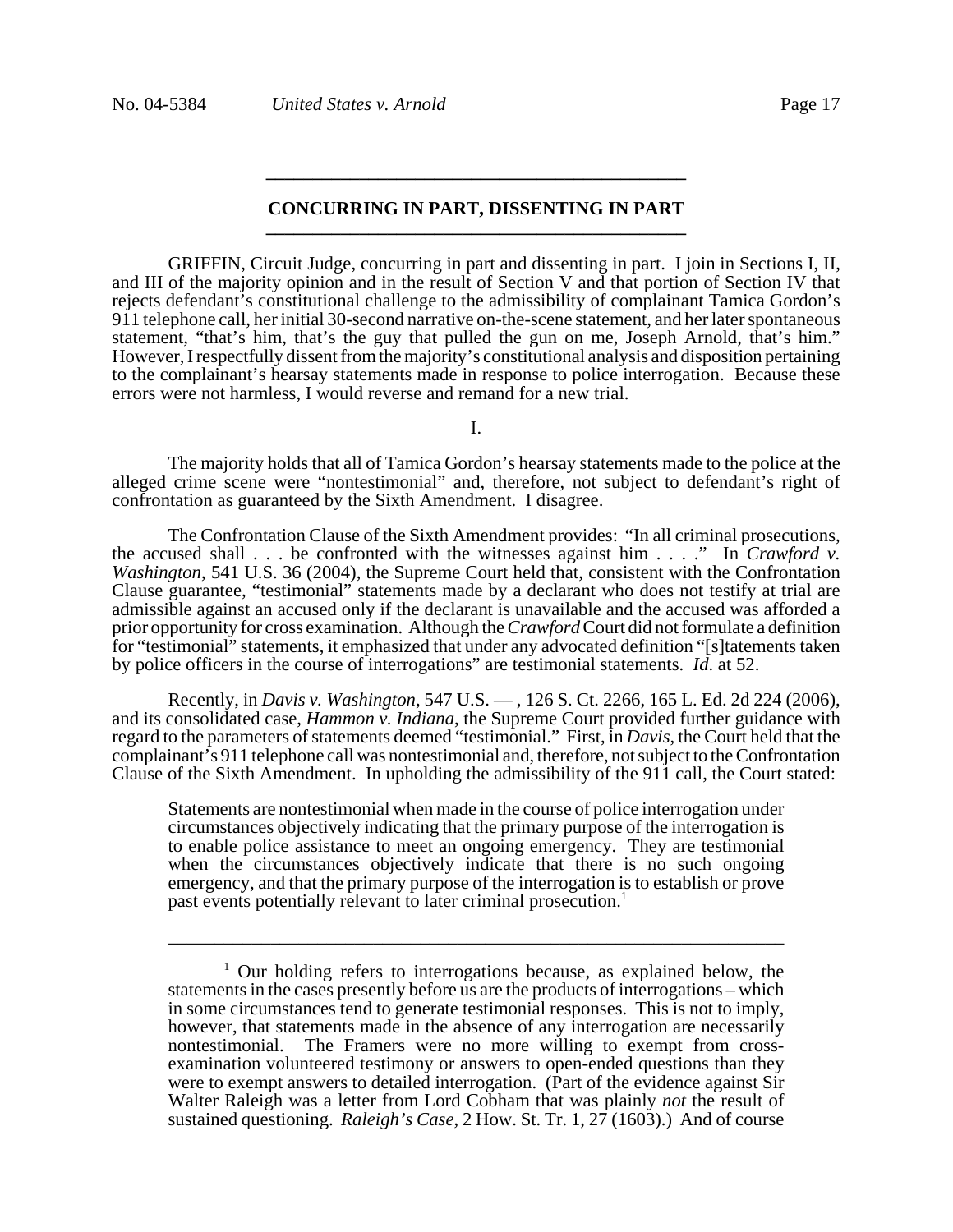## **CONCURRING IN PART, DISSENTING IN PART \_\_\_\_\_\_\_\_\_\_\_\_\_\_\_\_\_\_\_\_\_\_\_\_\_\_\_\_\_\_\_\_\_\_\_\_\_\_\_\_\_\_\_\_\_**

**\_\_\_\_\_\_\_\_\_\_\_\_\_\_\_\_\_\_\_\_\_\_\_\_\_\_\_\_\_\_\_\_\_\_\_\_\_\_\_\_\_\_\_\_\_**

GRIFFIN, Circuit Judge, concurring in part and dissenting in part. I join in Sections I, II, and III of the majority opinion and in the result of Section V and that portion of Section IV that rejects defendant's constitutional challenge to the admissibility of complainant Tamica Gordon's 911 telephone call, her initial 30-second narrative on-the-scene statement, and her later spontaneous statement, "that's him, that's the guy that pulled the gun on me, Joseph Arnold, that's him." However, I respectfully dissent from the majority's constitutional analysis and disposition pertaining to the complainant's hearsay statements made in response to police interrogation. Because these errors were not harmless, I would reverse and remand for a new trial.

I.

The majority holds that all of Tamica Gordon's hearsay statements made to the police at the alleged crime scene were "nontestimonial" and, therefore, not subject to defendant's right of confrontation as guaranteed by the Sixth Amendment. I disagree.

The Confrontation Clause of the Sixth Amendment provides: "In all criminal prosecutions, the accused shall . . . be confronted with the witnesses against him . . . ." In *Crawford v. Washington*, 541 U.S. 36 (2004), the Supreme Court held that, consistent with the Confrontation Clause guarantee, "testimonial" statements made by a declarant who does not testify at trial are admissible against an accused only if the declarant is unavailable and the accused was afforded a prior opportunity for cross examination. Although the *Crawford* Court did not formulate a definition for "testimonial" statements, it emphasized that under any advocated definition "[s]tatements taken by police officers in the course of interrogations" are testimonial statements. *Id*. at 52.

Recently, in *Davis v. Washington*, 547 U.S. — , 126 S. Ct. 2266, 165 L. Ed. 2d 224 (2006), and its consolidated case, *Hammon v. Indiana*, the Supreme Court provided further guidance with regard to the parameters of statements deemed "testimonial." First, in *Davis*, the Court held that the complainant's 911 telephone call was nontestimonial and, therefore, not subject to the Confrontation Clause of the Sixth Amendment. In upholding the admissibility of the 911 call, the Court stated:

Statements are nontestimonial when made in the course of police interrogation under circumstances objectively indicating that the primary purpose of the interrogation is to enable police assistance to meet an ongoing emergency. They are testimonial when the circumstances objectively indicate that there is no such ongoing emergency, and that the primary purpose of the interrogation is to establish or prove past events potentially relevant to later criminal prosecution.<sup>1</sup>

\_\_\_\_\_\_\_\_\_\_\_\_\_\_\_\_\_\_\_\_\_\_\_\_\_\_\_\_\_\_\_\_\_\_\_\_\_\_\_\_\_\_\_\_\_\_\_\_\_\_\_\_\_\_\_\_\_\_\_\_\_\_\_\_\_\_

<sup>&</sup>lt;sup>1</sup> Our holding refers to interrogations because, as explained below, the statements in the cases presently before us are the products of interrogations – which in some circumstances tend to generate testimonial responses. This is not to imply, however, that statements made in the absence of any interrogation are necessarily nontestimonial. The Framers were no more willing to exempt from crossexamination volunteered testimony or answers to open-ended questions than they were to exempt answers to detailed interrogation. (Part of the evidence against Sir Walter Raleigh was a letter from Lord Cobham that was plainly *not* the result of sustained questioning. *Raleigh's Case*, 2 How. St. Tr. 1, 27 (1603).) And of course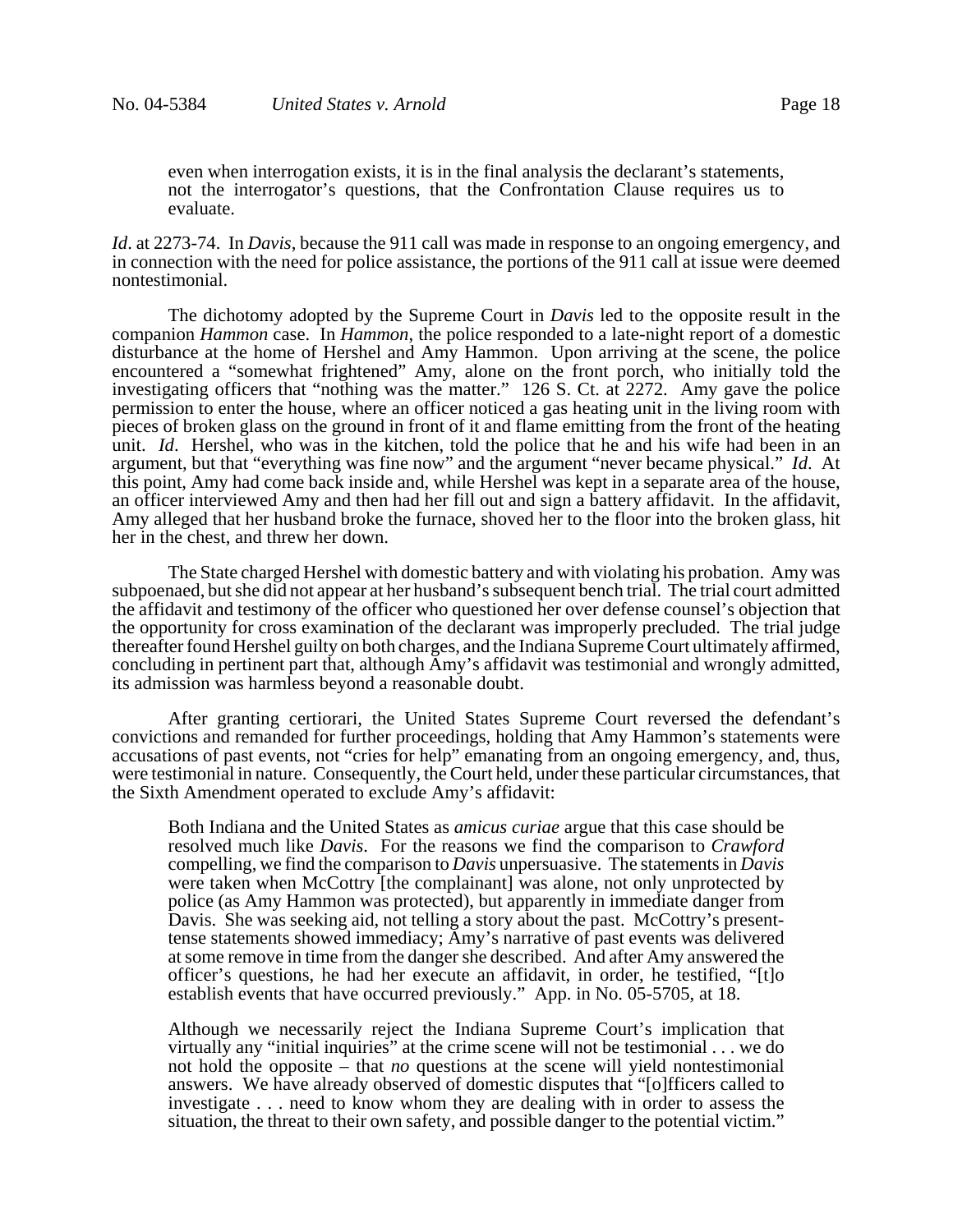even when interrogation exists, it is in the final analysis the declarant's statements, not the interrogator's questions, that the Confrontation Clause requires us to evaluate.

*Id*. at 2273-74. In *Davis*, because the 911 call was made in response to an ongoing emergency, and in connection with the need for police assistance, the portions of the 911 call at issue were deemed nontestimonial.

The dichotomy adopted by the Supreme Court in *Davis* led to the opposite result in the companion *Hammon* case. In *Hammon*, the police responded to a late-night report of a domestic disturbance at the home of Hershel and Amy Hammon. Upon arriving at the scene, the police encountered a "somewhat frightened" Amy, alone on the front porch, who initially told the investigating officers that "nothing was the matter." 126 S. Ct. at 2272. Amy gave the police permission to enter the house, where an officer noticed a gas heating unit in the living room with pieces of broken glass on the ground in front of it and flame emitting from the front of the heating unit. *Id*. Hershel, who was in the kitchen, told the police that he and his wife had been in an argument, but that "everything was fine now" and the argument "never became physical." *Id*. At this point, Amy had come back inside and, while Hershel was kept in a separate area of the house, an officer interviewed Amy and then had her fill out and sign a battery affidavit. In the affidavit, Amy alleged that her husband broke the furnace, shoved her to the floor into the broken glass, hit her in the chest, and threw her down.

The State charged Hershel with domestic battery and with violating his probation. Amy was subpoenaed, but she did not appear at her husband's subsequent bench trial. The trial court admitted the affidavit and testimony of the officer who questioned her over defense counsel's objection that the opportunity for cross examination of the declarant was improperly precluded. The trial judge thereafter found Hershel guilty on both charges, and the Indiana Supreme Court ultimately affirmed, concluding in pertinent part that, although Amy's affidavit was testimonial and wrongly admitted, its admission was harmless beyond a reasonable doubt.

After granting certiorari, the United States Supreme Court reversed the defendant's convictions and remanded for further proceedings, holding that Amy Hammon's statements were accusations of past events, not "cries for help" emanating from an ongoing emergency, and, thus, were testimonial in nature. Consequently, the Court held, under these particular circumstances, that the Sixth Amendment operated to exclude Amy's affidavit:

Both Indiana and the United States as *amicus curiae* argue that this case should be resolved much like *Davis*. For the reasons we find the comparison to *Crawford* compelling, we find the comparison to *Davis* unpersuasive. The statements in *Davis* were taken when McCottry [the complainant] was alone, not only unprotected by police (as Amy Hammon was protected), but apparently in immediate danger from Davis. She was seeking aid, not telling a story about the past. McCottry's presenttense statements showed immediacy; Amy's narrative of past events was delivered at some remove in time from the danger she described. And after Amy answered the officer's questions, he had her execute an affidavit, in order, he testified, "[t]o establish events that have occurred previously." App. in No. 05-5705, at 18.

Although we necessarily reject the Indiana Supreme Court's implication that virtually any "initial inquiries" at the crime scene will not be testimonial . . . we do not hold the opposite – that *no* questions at the scene will yield nontestimonial answers. We have already observed of domestic disputes that "[o]fficers called to investigate . . . need to know whom they are dealing with in order to assess the situation, the threat to their own safety, and possible danger to the potential victim."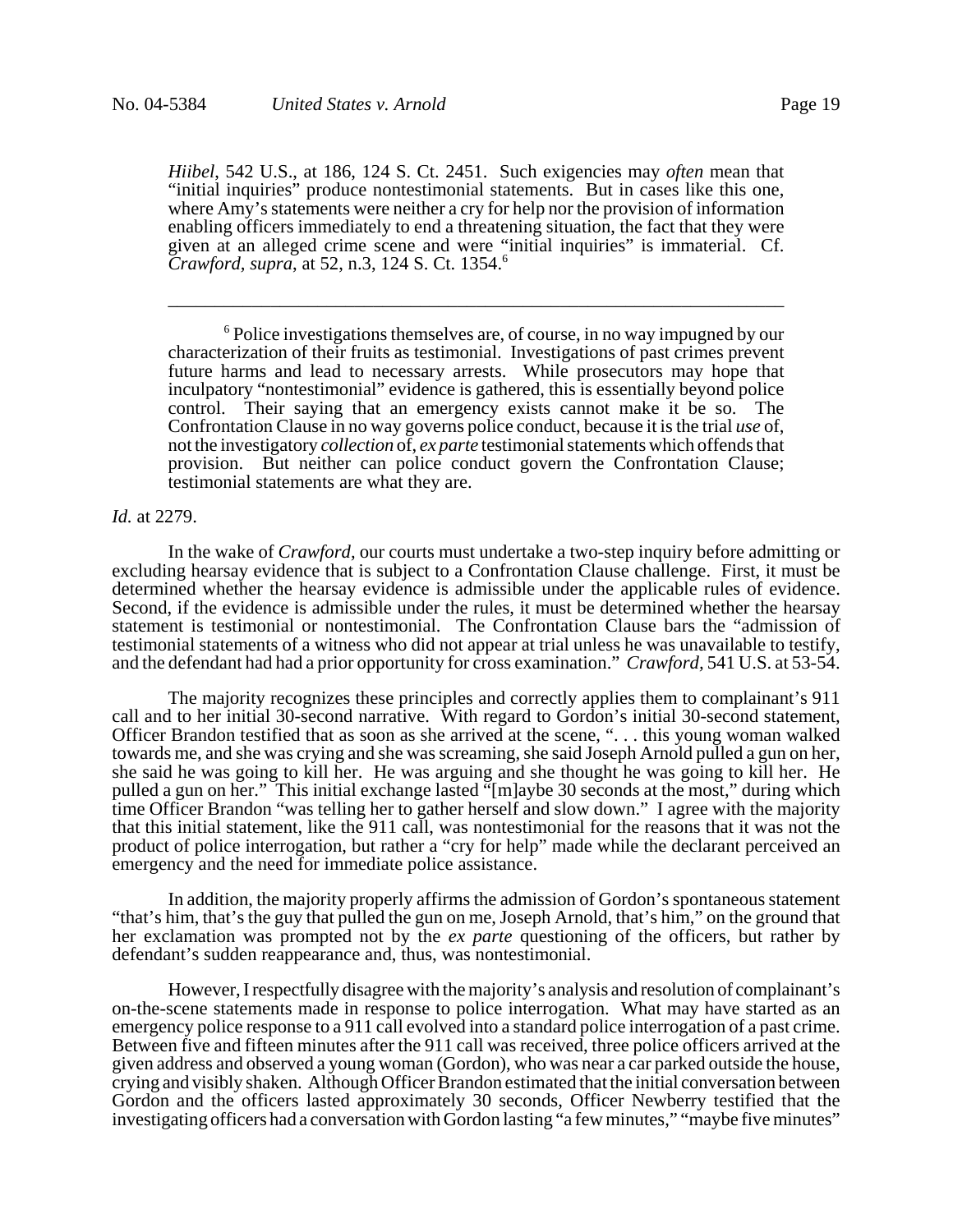*Hiibel*, 542 U.S., at 186, 124 S. Ct. 2451. Such exigencies may *often* mean that "initial inquiries" produce nontestimonial statements. But in cases like this one, where Amy's statements were neither a cry for help nor the provision of information enabling officers immediately to end a threatening situation, the fact that they were given at an alleged crime scene and were "initial inquiries" is immaterial. Cf. *Crawford, supra*, at 52, n.3, 124 S. Ct. 1354.6

\_\_\_\_\_\_\_\_\_\_\_\_\_\_\_\_\_\_\_\_\_\_\_\_\_\_\_\_\_\_\_\_\_\_\_\_\_\_\_\_\_\_\_\_\_\_\_\_\_\_\_\_\_\_\_\_\_\_\_\_\_\_\_\_\_\_

<sup>6</sup> Police investigations themselves are, of course, in no way impugned by our characterization of their fruits as testimonial. Investigations of past crimes prevent future harms and lead to necessary arrests. While prosecutors may hope that inculpatory "nontestimonial" evidence is gathered, this is essentially beyond police control. Their saying that an emergency exists cannot make it be so. The Confrontation Clause in no way governs police conduct, because it is the trial *use* of, not the investigatory *collection* of, *ex parte* testimonial statements which offends that provision. But neither can police conduct govern the Confrontation Clause; testimonial statements are what they are.

## *Id.* at 2279.

In the wake of *Crawford,* our courts must undertake a two-step inquiry before admitting or excluding hearsay evidence that is subject to a Confrontation Clause challenge. First, it must be determined whether the hearsay evidence is admissible under the applicable rules of evidence. Second, if the evidence is admissible under the rules, it must be determined whether the hearsay statement is testimonial or nontestimonial. The Confrontation Clause bars the "admission of testimonial statements of a witness who did not appear at trial unless he was unavailable to testify, and the defendant had had a prior opportunity for cross examination." *Crawford,* 541 U.S. at 53-54.

 The majority recognizes these principles and correctly applies them to complainant's 911 call and to her initial 30-second narrative. With regard to Gordon's initial 30-second statement, Officer Brandon testified that as soon as she arrived at the scene, ". . . this young woman walked towards me, and she was crying and she was screaming, she said Joseph Arnold pulled a gun on her, she said he was going to kill her. He was arguing and she thought he was going to kill her. He pulled a gun on her." This initial exchange lasted "[m]aybe 30 seconds at the most," during which time Officer Brandon "was telling her to gather herself and slow down." I agree with the majority that this initial statement, like the 911 call, was nontestimonial for the reasons that it was not the product of police interrogation, but rather a "cry for help" made while the declarant perceived an emergency and the need for immediate police assistance.

In addition, the majority properly affirms the admission of Gordon's spontaneous statement "that's him, that's the guy that pulled the gun on me, Joseph Arnold, that's him," on the ground that her exclamation was prompted not by the *ex parte* questioning of the officers, but rather by defendant's sudden reappearance and, thus, was nontestimonial.

However, I respectfully disagree with the majority's analysis and resolution of complainant's on-the-scene statements made in response to police interrogation. What may have started as an emergency police response to a 911 call evolved into a standard police interrogation of a past crime. Between five and fifteen minutes after the 911 call was received, three police officers arrived at the given address and observed a young woman (Gordon), who was near a car parked outside the house, crying and visibly shaken. Although Officer Brandon estimated that the initial conversation between Gordon and the officers lasted approximately 30 seconds, Officer Newberry testified that the investigating officers had a conversation with Gordon lasting "a few minutes," "maybe five minutes"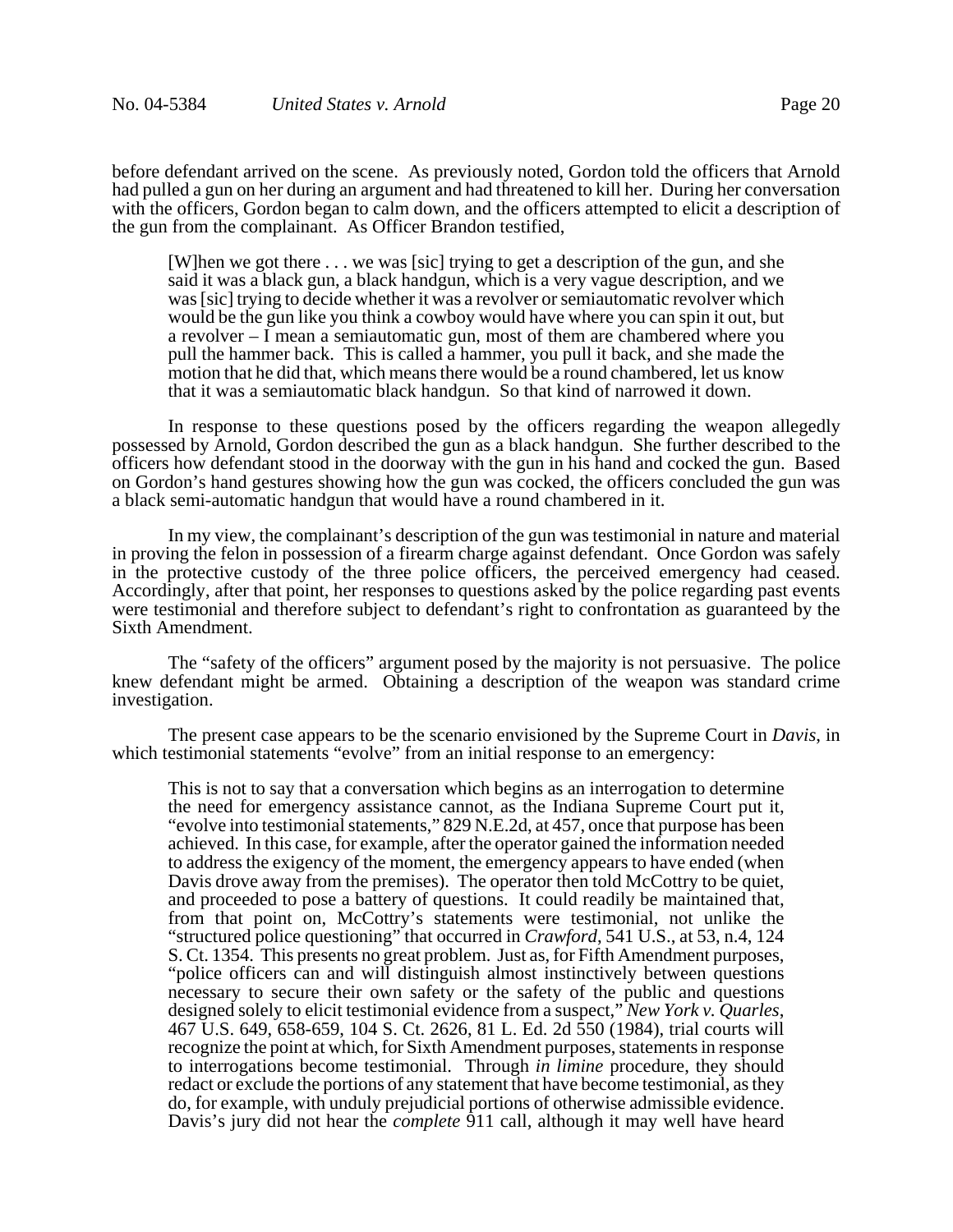before defendant arrived on the scene. As previously noted, Gordon told the officers that Arnold had pulled a gun on her during an argument and had threatened to kill her. During her conversation with the officers, Gordon began to calm down, and the officers attempted to elicit a description of the gun from the complainant. As Officer Brandon testified,

[W]hen we got there . . . we was [sic] trying to get a description of the gun, and she said it was a black gun, a black handgun, which is a very vague description, and we was [sic] trying to decide whether it was a revolver or semiautomatic revolver which would be the gun like you think a cowboy would have where you can spin it out, but a revolver – I mean a semiautomatic gun, most of them are chambered where you pull the hammer back. This is called a hammer, you pull it back, and she made the motion that he did that, which means there would be a round chambered, let us know that it was a semiautomatic black handgun. So that kind of narrowed it down.

In response to these questions posed by the officers regarding the weapon allegedly possessed by Arnold, Gordon described the gun as a black handgun. She further described to the officers how defendant stood in the doorway with the gun in his hand and cocked the gun. Based on Gordon's hand gestures showing how the gun was cocked, the officers concluded the gun was a black semi-automatic handgun that would have a round chambered in it.

In my view, the complainant's description of the gun was testimonial in nature and material in proving the felon in possession of a firearm charge against defendant. Once Gordon was safely in the protective custody of the three police officers, the perceived emergency had ceased. Accordingly, after that point, her responses to questions asked by the police regarding past events were testimonial and therefore subject to defendant's right to confrontation as guaranteed by the Sixth Amendment.

The "safety of the officers" argument posed by the majority is not persuasive. The police knew defendant might be armed. Obtaining a description of the weapon was standard crime investigation.

The present case appears to be the scenario envisioned by the Supreme Court in *Davis*, in which testimonial statements "evolve" from an initial response to an emergency:

This is not to say that a conversation which begins as an interrogation to determine the need for emergency assistance cannot, as the Indiana Supreme Court put it, "evolve into testimonial statements," 829 N.E.2d, at 457, once that purpose has been achieved. In this case, for example, after the operator gained the information needed to address the exigency of the moment, the emergency appears to have ended (when Davis drove away from the premises). The operator then told McCottry to be quiet, and proceeded to pose a battery of questions. It could readily be maintained that, from that point on, McCottry's statements were testimonial, not unlike the "structured police questioning" that occurred in *Crawford*, 541 U.S., at 53, n.4, 124 S. Ct. 1354. This presents no great problem. Just as, for Fifth Amendment purposes, "police officers can and will distinguish almost instinctively between questions necessary to secure their own safety or the safety of the public and questions designed solely to elicit testimonial evidence from a suspect," *New York v. Quarles*, 467 U.S. 649, 658-659, 104 S. Ct. 2626, 81 L. Ed. 2d 550 (1984), trial courts will recognize the point at which, for Sixth Amendment purposes, statements in response to interrogations become testimonial. Through *in limine* procedure, they should redact or exclude the portions of any statement that have become testimonial, as they do, for example, with unduly prejudicial portions of otherwise admissible evidence. Davis's jury did not hear the *complete* 911 call, although it may well have heard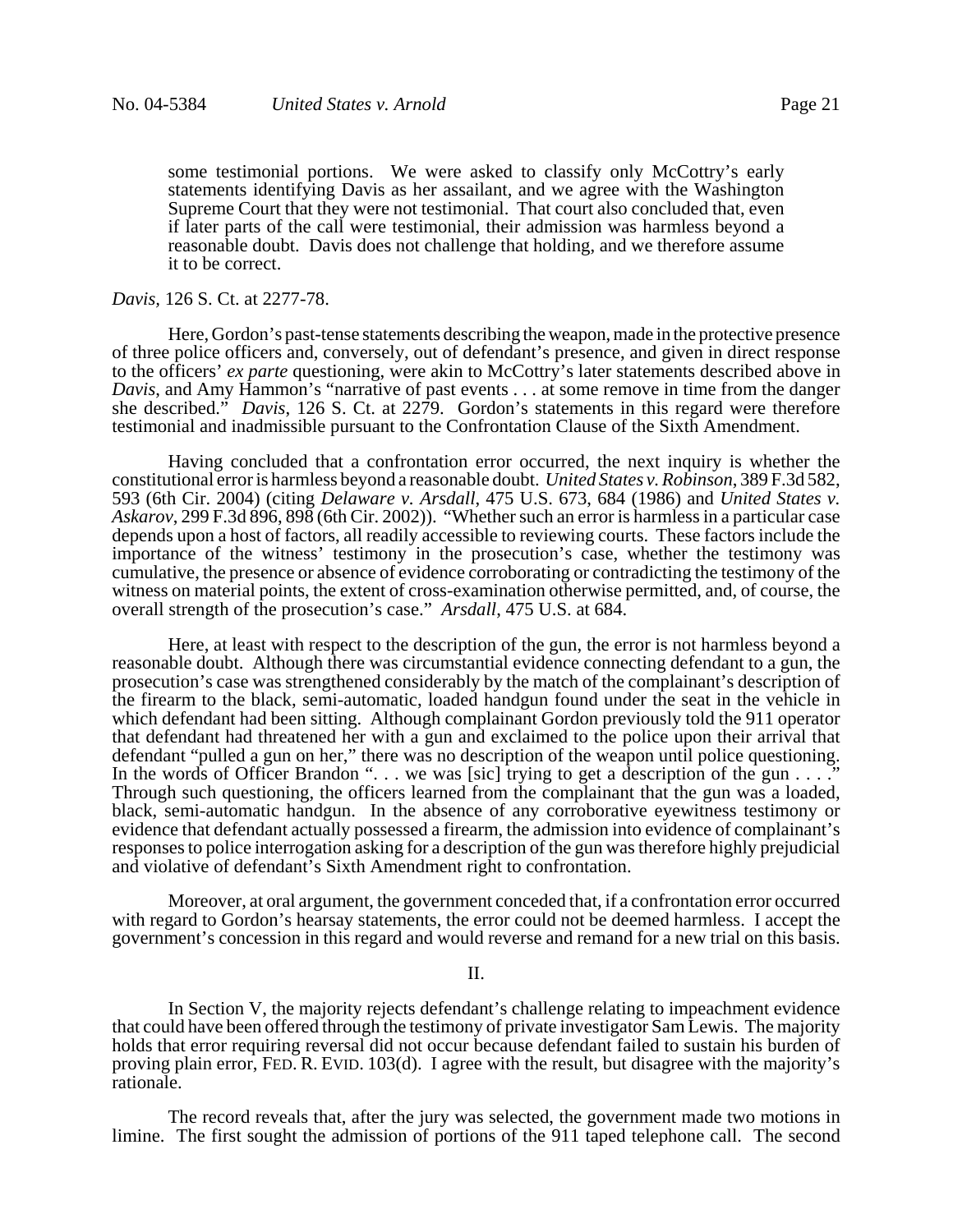some testimonial portions. We were asked to classify only McCottry's early statements identifying Davis as her assailant, and we agree with the Washington Supreme Court that they were not testimonial. That court also concluded that, even if later parts of the call were testimonial, their admission was harmless beyond a reasonable doubt. Davis does not challenge that holding, and we therefore assume it to be correct.

#### *Davis,* 126 S. Ct. at 2277-78.

Here, Gordon's past-tense statements describing the weapon, made in the protective presence of three police officers and, conversely, out of defendant's presence, and given in direct response to the officers' *ex parte* questioning, were akin to McCottry's later statements described above in *Davis*, and Amy Hammon's "narrative of past events . . . at some remove in time from the danger she described." *Davis*, 126 S. Ct. at 2279. Gordon's statements in this regard were therefore testimonial and inadmissible pursuant to the Confrontation Clause of the Sixth Amendment.

Having concluded that a confrontation error occurred, the next inquiry is whether the constitutional error is harmless beyond a reasonable doubt. *United States v. Robinson*, 389 F.3d 582, 593 (6th Cir. 2004) (citing *Delaware v. Arsdall*, 475 U.S. 673, 684 (1986) and *United States v. Askarov*, 299 F.3d 896, 898 (6th Cir. 2002)). "Whether such an error is harmless in a particular case depends upon a host of factors, all readily accessible to reviewing courts. These factors include the importance of the witness' testimony in the prosecution's case, whether the testimony was cumulative, the presence or absence of evidence corroborating or contradicting the testimony of the witness on material points, the extent of cross-examination otherwise permitted, and, of course, the overall strength of the prosecution's case." *Arsdall*, 475 U.S. at 684.

Here, at least with respect to the description of the gun, the error is not harmless beyond a reasonable doubt. Although there was circumstantial evidence connecting defendant to a gun, the prosecution's case was strengthened considerably by the match of the complainant's description of the firearm to the black, semi-automatic, loaded handgun found under the seat in the vehicle in which defendant had been sitting. Although complainant Gordon previously told the 911 operator that defendant had threatened her with a gun and exclaimed to the police upon their arrival that defendant "pulled a gun on her," there was no description of the weapon until police questioning. In the words of Officer Brandon "... we was [sic] trying to get a description of the gun  $\dots$ ". Through such questioning, the officers learned from the complainant that the gun was a loaded, black, semi-automatic handgun. In the absence of any corroborative eyewitness testimony or evidence that defendant actually possessed a firearm, the admission into evidence of complainant's responses to police interrogation asking for a description of the gun was therefore highly prejudicial and violative of defendant's Sixth Amendment right to confrontation.

Moreover, at oral argument, the government conceded that, if a confrontation error occurred with regard to Gordon's hearsay statements, the error could not be deemed harmless. I accept the government's concession in this regard and would reverse and remand for a new trial on this basis.

II.

In Section V, the majority rejects defendant's challenge relating to impeachment evidence that could have been offered through the testimony of private investigator Sam Lewis. The majority holds that error requiring reversal did not occur because defendant failed to sustain his burden of proving plain error, FED. R. EVID. 103(d). I agree with the result, but disagree with the majority's rationale.

The record reveals that, after the jury was selected, the government made two motions in limine. The first sought the admission of portions of the 911 taped telephone call. The second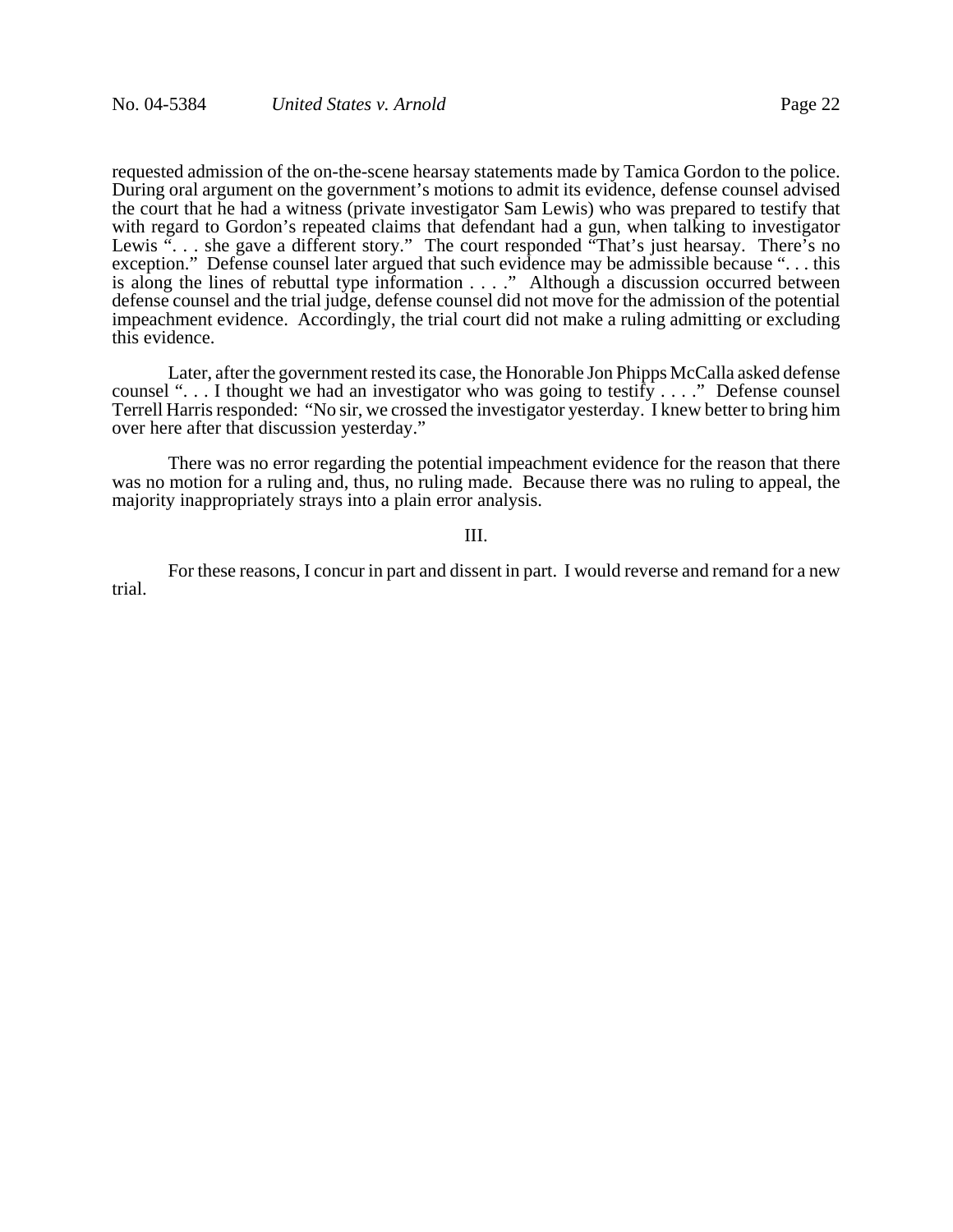requested admission of the on-the-scene hearsay statements made by Tamica Gordon to the police. During oral argument on the government's motions to admit its evidence, defense counsel advised the court that he had a witness (private investigator Sam Lewis) who was prepared to testify that with regard to Gordon's repeated claims that defendant had a gun, when talking to investigator Lewis "... she gave a different story." The court responded "That's just hearsay. There's no exception." Defense counsel later argued that such evidence may be admissible because "... this is along the lines of rebuttal type information . . . ." Although a discussion occurred between defense counsel and the trial judge, defense counsel did not move for the admission of the potential impeachment evidence. Accordingly, the trial court did not make a ruling admitting or excluding this evidence.

Later, after the government rested its case, the Honorable Jon Phipps McCalla asked defense counsel ". . . I thought we had an investigator who was going to testify . . . ." Defense counsel Terrell Harris responded: "No sir, we crossed the investigator yesterday. I knew better to bring him over here after that discussion yesterday."

There was no error regarding the potential impeachment evidence for the reason that there was no motion for a ruling and, thus, no ruling made. Because there was no ruling to appeal, the majority inappropriately strays into a plain error analysis.

#### III.

For these reasons, I concur in part and dissent in part. I would reverse and remand for a new trial.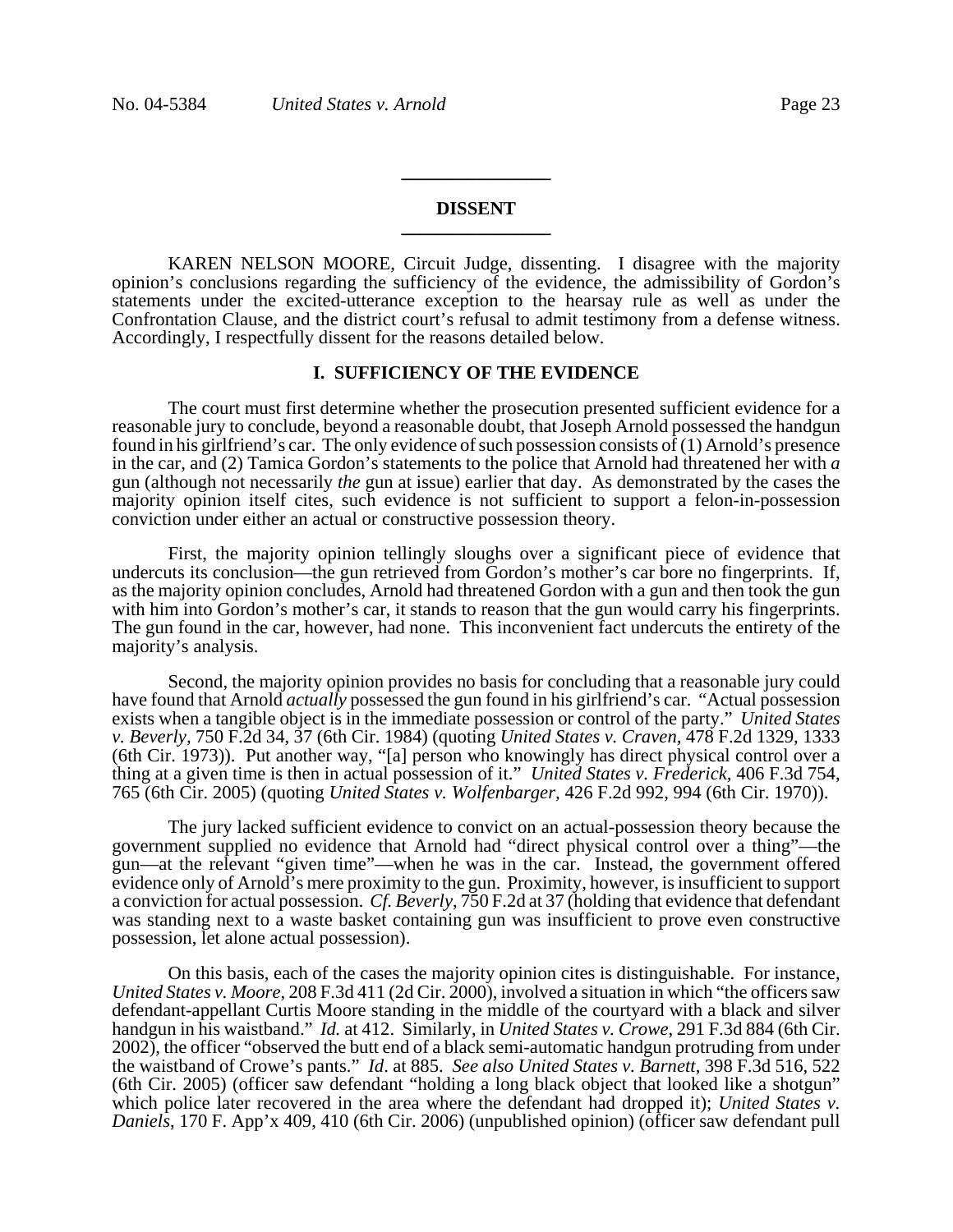## **DISSENT \_\_\_\_\_\_\_\_\_\_\_\_\_\_\_\_**

**\_\_\_\_\_\_\_\_\_\_\_\_\_\_\_\_**

KAREN NELSON MOORE, Circuit Judge, dissenting. I disagree with the majority opinion's conclusions regarding the sufficiency of the evidence, the admissibility of Gordon's statements under the excited-utterance exception to the hearsay rule as well as under the Confrontation Clause, and the district court's refusal to admit testimony from a defense witness. Accordingly, I respectfully dissent for the reasons detailed below.

#### **I. SUFFICIENCY OF THE EVIDENCE**

The court must first determine whether the prosecution presented sufficient evidence for a reasonable jury to conclude, beyond a reasonable doubt, that Joseph Arnold possessed the handgun found in his girlfriend's car. The only evidence of such possession consists of (1) Arnold's presence in the car, and (2) Tamica Gordon's statements to the police that Arnold had threatened her with *a* gun (although not necessarily *the* gun at issue) earlier that day. As demonstrated by the cases the majority opinion itself cites, such evidence is not sufficient to support a felon-in-possession conviction under either an actual or constructive possession theory.

First, the majority opinion tellingly sloughs over a significant piece of evidence that undercuts its conclusion—the gun retrieved from Gordon's mother's car bore no fingerprints. If, as the majority opinion concludes, Arnold had threatened Gordon with a gun and then took the gun with him into Gordon's mother's car, it stands to reason that the gun would carry his fingerprints. The gun found in the car, however, had none. This inconvenient fact undercuts the entirety of the majority's analysis.

Second, the majority opinion provides no basis for concluding that a reasonable jury could have found that Arnold *actually* possessed the gun found in his girlfriend's car. "Actual possession exists when a tangible object is in the immediate possession or control of the party." *United States v. Beverly,* 750 F.2d 34, 37 (6th Cir. 1984) (quoting *United States v. Craven,* 478 F.2d 1329, 1333 (6th Cir. 1973)). Put another way, "[a] person who knowingly has direct physical control over a thing at a given time is then in actual possession of it." *United States v. Frederick,* 406 F.3d 754, 765 (6th Cir. 2005) (quoting *United States v. Wolfenbarger,* 426 F.2d 992, 994 (6th Cir. 1970)).

The jury lacked sufficient evidence to convict on an actual-possession theory because the government supplied no evidence that Arnold had "direct physical control over a thing"—the gun—at the relevant "given time"—when he was in the car. Instead, the government offered evidence only of Arnold's mere proximity to the gun. Proximity, however, is insufficient to support a conviction for actual possession. *Cf. Beverly*, 750 F.2d at 37 (holding that evidence that defendant was standing next to a waste basket containing gun was insufficient to prove even constructive possession, let alone actual possession).

On this basis, each of the cases the majority opinion cites is distinguishable. For instance, *United States v. Moore*, 208 F.3d 411 (2d Cir. 2000), involved a situation in which "the officers saw defendant-appellant Curtis Moore standing in the middle of the courtyard with a black and silver handgun in his waistband." *Id.* at 412. Similarly, in *United States v. Crowe*, 291 F.3d 884 (6th Cir. 2002), the officer "observed the butt end of a black semi-automatic handgun protruding from under the waistband of Crowe's pants." *Id*. at 885. *See also United States v. Barnett*, 398 F.3d 516, 522 (6th Cir. 2005) (officer saw defendant "holding a long black object that looked like a shotgun" which police later recovered in the area where the defendant had dropped it); *United States v. Daniels*, 170 F. App'x 409, 410 (6th Cir. 2006) (unpublished opinion) (officer saw defendant pull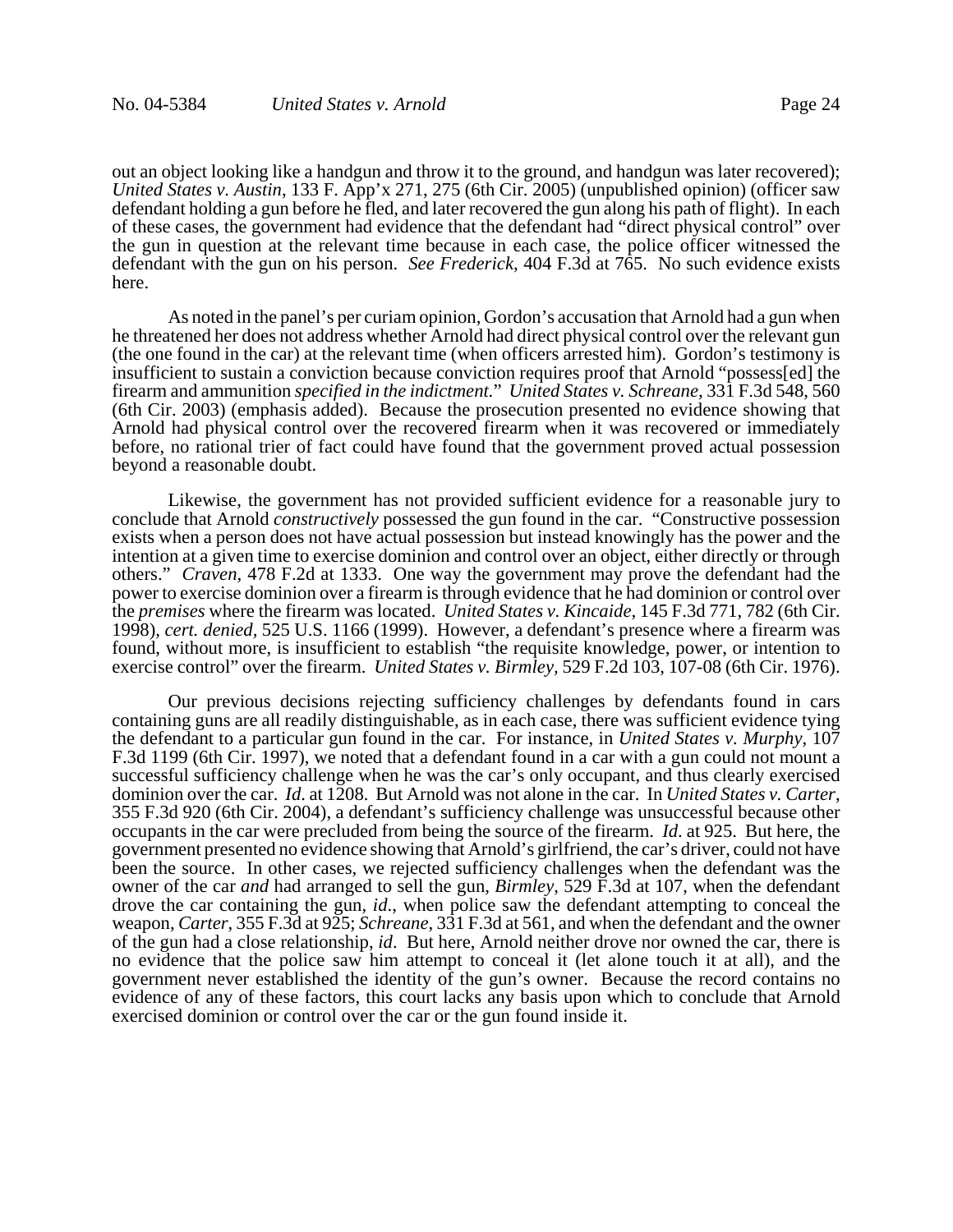out an object looking like a handgun and throw it to the ground, and handgun was later recovered); *United States v. Austin*, 133 F. App'x 271, 275 (6th Cir. 2005) (unpublished opinion) (officer saw defendant holding a gun before he fled, and later recovered the gun along his path of flight). In each of these cases, the government had evidence that the defendant had "direct physical control" over the gun in question at the relevant time because in each case, the police officer witnessed the defendant with the gun on his person. *See Frederick*, 404 F.3d at 765. No such evidence exists here.

As noted in the panel's per curiam opinion, Gordon's accusation that Arnold had a gun when he threatened her does not address whether Arnold had direct physical control over the relevant gun (the one found in the car) at the relevant time (when officers arrested him). Gordon's testimony is insufficient to sustain a conviction because conviction requires proof that Arnold "possess[ed] the firearm and ammunition *specified in the indictment.*" *United States v. Schreane,* 331 F.3d 548, 560 (6th Cir. 2003) (emphasis added). Because the prosecution presented no evidence showing that Arnold had physical control over the recovered firearm when it was recovered or immediately before, no rational trier of fact could have found that the government proved actual possession beyond a reasonable doubt.

Likewise, the government has not provided sufficient evidence for a reasonable jury to conclude that Arnold *constructively* possessed the gun found in the car. "Constructive possession exists when a person does not have actual possession but instead knowingly has the power and the intention at a given time to exercise dominion and control over an object, either directly or through others." *Craven,* 478 F.2d at 1333. One way the government may prove the defendant had the power to exercise dominion over a firearm is through evidence that he had dominion or control over the *premises* where the firearm was located. *United States v. Kincaide,* 145 F.3d 771, 782 (6th Cir. 1998), *cert. denied,* 525 U.S. 1166 (1999). However, a defendant's presence where a firearm was found, without more, is insufficient to establish "the requisite knowledge, power, or intention to exercise control" over the firearm. *United States v. Birmley,* 529 F.2d 103, 107-08 (6th Cir. 1976).

Our previous decisions rejecting sufficiency challenges by defendants found in cars containing guns are all readily distinguishable, as in each case, there was sufficient evidence tying the defendant to a particular gun found in the car. For instance, in *United States v. Murphy*, 107 F.3d 1199 (6th Cir. 1997), we noted that a defendant found in a car with a gun could not mount a successful sufficiency challenge when he was the car's only occupant, and thus clearly exercised dominion over the car. *Id*. at 1208. But Arnold was not alone in the car. In *United States v. Carter*, 355 F.3d 920 (6th Cir. 2004), a defendant's sufficiency challenge was unsuccessful because other occupants in the car were precluded from being the source of the firearm. *Id*. at 925. But here, the government presented no evidence showing that Arnold's girlfriend, the car's driver, could not have been the source. In other cases, we rejected sufficiency challenges when the defendant was the owner of the car *and* had arranged to sell the gun, *Birmley*, 529 F.3d at 107, when the defendant drove the car containing the gun, *id*., when police saw the defendant attempting to conceal the weapon, *Carter*, 355 F.3d at 925; *Schreane*, 331 F.3d at 561, and when the defendant and the owner of the gun had a close relationship, *id*. But here, Arnold neither drove nor owned the car, there is no evidence that the police saw him attempt to conceal it (let alone touch it at all), and the government never established the identity of the gun's owner. Because the record contains no evidence of any of these factors, this court lacks any basis upon which to conclude that Arnold exercised dominion or control over the car or the gun found inside it.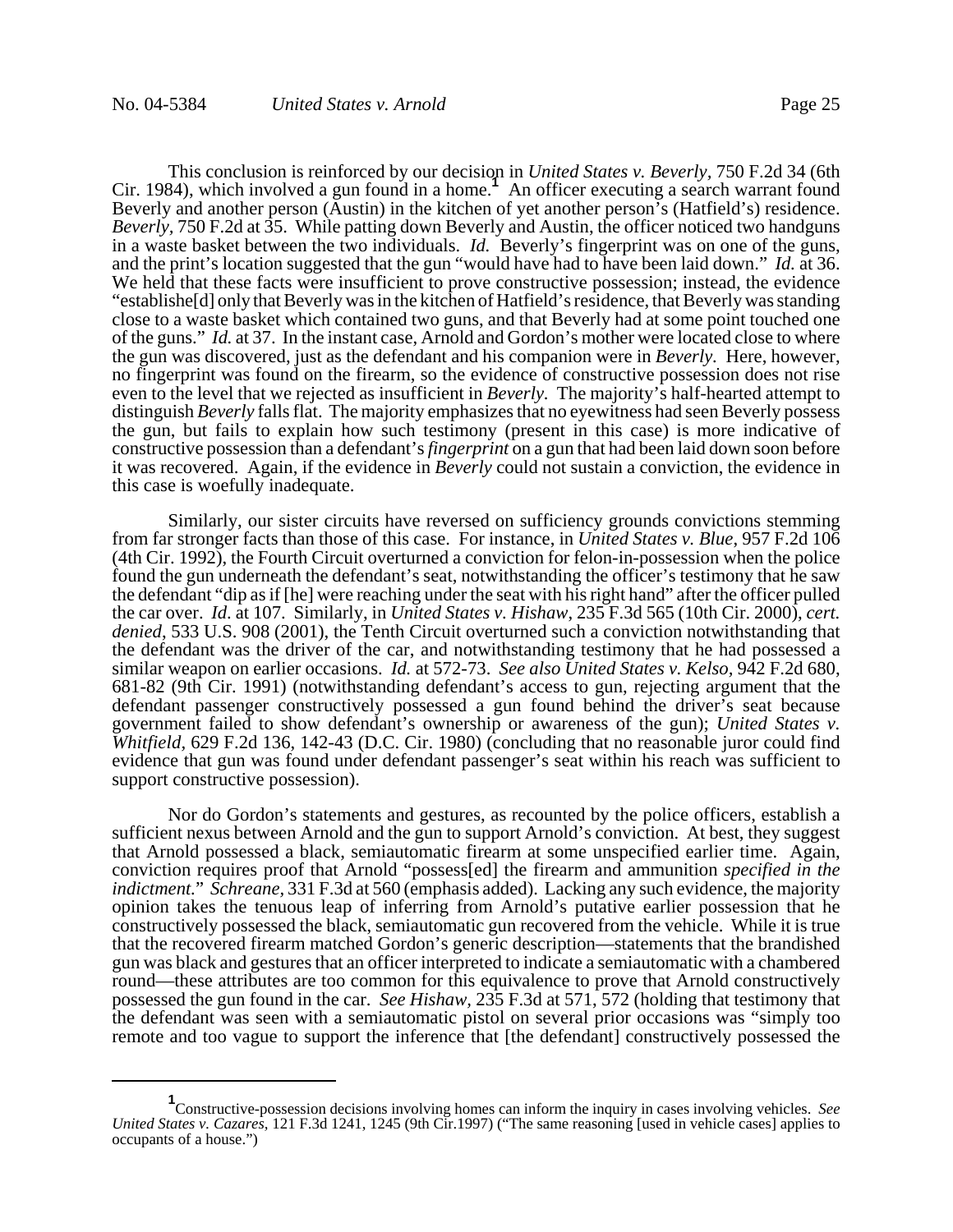This conclusion is reinforced by our decision in *United States v. Beverly,* 750 F.2d 34 (6th Cir. 1984), which involved a gun found in a home.<sup>1</sup> An officer executing a search warrant found Beverly and another person (Austin) in the kitchen of yet another person's (Hatfield's) residence. *Beverly,* 750 F.2d at 35. While patting down Beverly and Austin, the officer noticed two handguns in a waste basket between the two individuals. *Id.* Beverly's fingerprint was on one of the guns, and the print's location suggested that the gun "would have had to have been laid down." *Id.* at 36. We held that these facts were insufficient to prove constructive possession; instead, the evidence "establishe[d] only that Beverly was in the kitchen of Hatfield's residence, that Beverly was standing close to a waste basket which contained two guns, and that Beverly had at some point touched one of the guns." *Id.* at 37. In the instant case, Arnold and Gordon's mother were located close to where the gun was discovered, just as the defendant and his companion were in *Beverly.* Here, however, no fingerprint was found on the firearm, so the evidence of constructive possession does not rise even to the level that we rejected as insufficient in *Beverly.* The majority's half-hearted attempt to distinguish *Beverly* falls flat. The majority emphasizes that no eyewitness had seen Beverly possess the gun, but fails to explain how such testimony (present in this case) is more indicative of constructive possession than a defendant's *fingerprint* on a gun that had been laid down soon before it was recovered. Again, if the evidence in *Beverly* could not sustain a conviction, the evidence in this case is woefully inadequate.

Similarly, our sister circuits have reversed on sufficiency grounds convictions stemming from far stronger facts than those of this case. For instance, in *United States v. Blue*, 957 F.2d 106 (4th Cir. 1992), the Fourth Circuit overturned a conviction for felon-in-possession when the police found the gun underneath the defendant's seat, notwithstanding the officer's testimony that he saw the defendant "dip as if [he] were reaching under the seat with his right hand" after the officer pulled the car over. *Id*. at 107. Similarly, in *United States v. Hishaw*, 235 F.3d 565 (10th Cir. 2000), *cert. denied*, 533 U.S. 908 (2001), the Tenth Circuit overturned such a conviction notwithstanding that the defendant was the driver of the car, and notwithstanding testimony that he had possessed a similar weapon on earlier occasions. *Id.* at 572-73. *See also United States v. Kelso,* 942 F.2d 680, 681-82 (9th Cir. 1991) (notwithstanding defendant's access to gun, rejecting argument that the defendant passenger constructively possessed a gun found behind the driver's seat because government failed to show defendant's ownership or awareness of the gun); *United States v. Whitfield,* 629 F.2d 136, 142-43 (D.C. Cir. 1980) (concluding that no reasonable juror could find evidence that gun was found under defendant passenger's seat within his reach was sufficient to support constructive possession).

Nor do Gordon's statements and gestures, as recounted by the police officers, establish a sufficient nexus between Arnold and the gun to support Arnold's conviction. At best, they suggest that Arnold possessed a black, semiautomatic firearm at some unspecified earlier time. Again, conviction requires proof that Arnold "possess[ed] the firearm and ammunition *specified in the indictment.*" *Schreane,* 331 F.3d at 560 (emphasis added). Lacking any such evidence, the majority opinion takes the tenuous leap of inferring from Arnold's putative earlier possession that he constructively possessed the black, semiautomatic gun recovered from the vehicle. While it is true that the recovered firearm matched Gordon's generic description—statements that the brandished gun was black and gestures that an officer interpreted to indicate a semiautomatic with a chambered round—these attributes are too common for this equivalence to prove that Arnold constructively possessed the gun found in the car. *See Hishaw,* 235 F.3d at 571, 572 (holding that testimony that the defendant was seen with a semiautomatic pistol on several prior occasions was "simply too remote and too vague to support the inference that [the defendant] constructively possessed the

**<sup>1</sup>** Constructive-possession decisions involving homes can inform the inquiry in cases involving vehicles. *See United States v. Cazares,* 121 F.3d 1241, 1245 (9th Cir.1997) ("The same reasoning [used in vehicle cases] applies to occupants of a house.")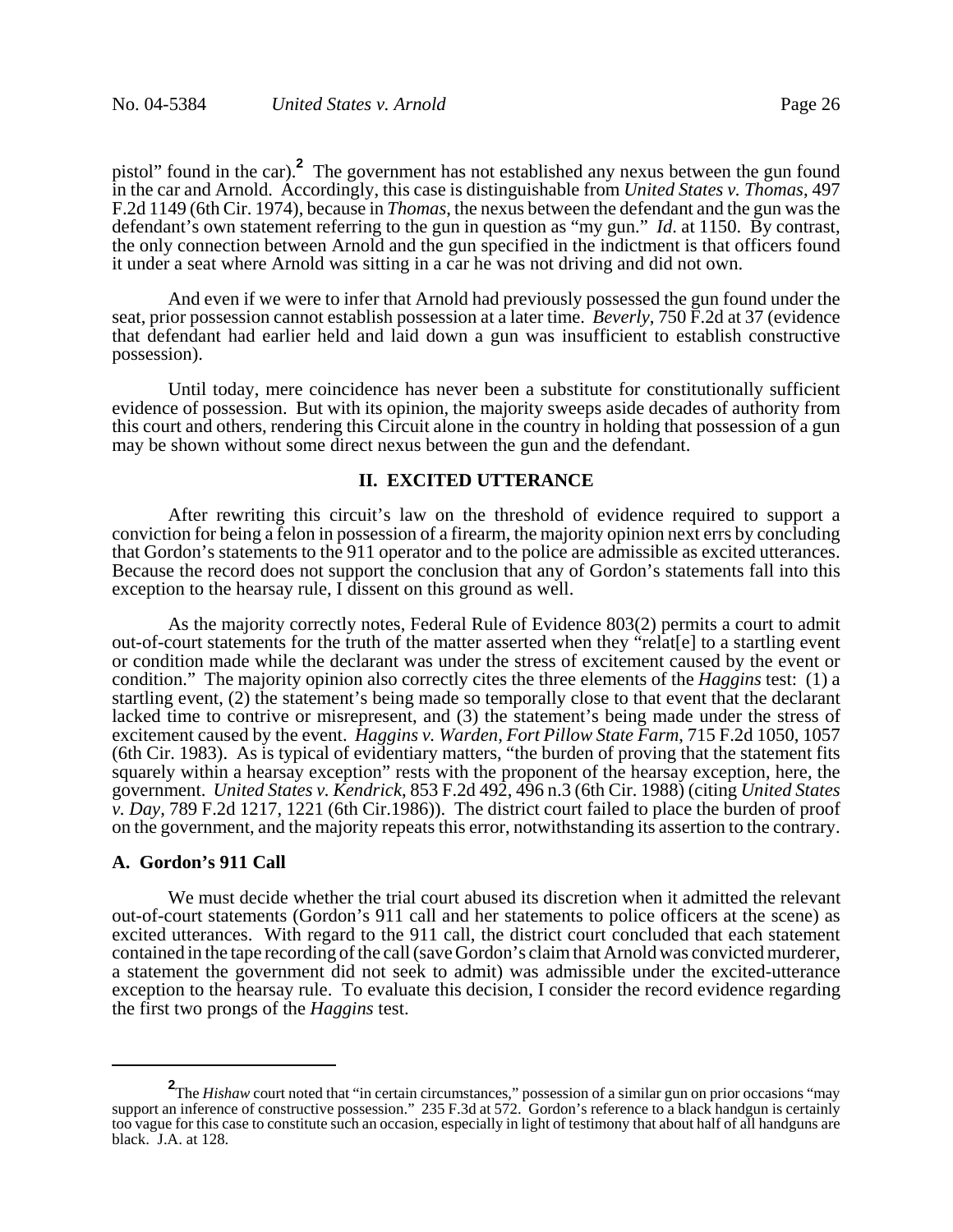pistol" found in the car).**<sup>2</sup>** The government has not established any nexus between the gun found in the car and Arnold. Accordingly, this case is distinguishable from *United States v. Thomas*, 497 F.2d 1149 (6th Cir. 1974), because in *Thomas*, the nexus between the defendant and the gun was the defendant's own statement referring to the gun in question as "my gun." *Id*. at 1150. By contrast, the only connection between Arnold and the gun specified in the indictment is that officers found it under a seat where Arnold was sitting in a car he was not driving and did not own.

And even if we were to infer that Arnold had previously possessed the gun found under the seat, prior possession cannot establish possession at a later time. *Beverly*, 750 F.2d at 37 (evidence that defendant had earlier held and laid down a gun was insufficient to establish constructive possession).

Until today, mere coincidence has never been a substitute for constitutionally sufficient evidence of possession. But with its opinion, the majority sweeps aside decades of authority from this court and others, rendering this Circuit alone in the country in holding that possession of a gun may be shown without some direct nexus between the gun and the defendant.

## **II. EXCITED UTTERANCE**

After rewriting this circuit's law on the threshold of evidence required to support a conviction for being a felon in possession of a firearm, the majority opinion next errs by concluding that Gordon's statements to the 911 operator and to the police are admissible as excited utterances. Because the record does not support the conclusion that any of Gordon's statements fall into this exception to the hearsay rule, I dissent on this ground as well.

As the majority correctly notes, Federal Rule of Evidence 803(2) permits a court to admit out-of-court statements for the truth of the matter asserted when they "relat[e] to a startling event or condition made while the declarant was under the stress of excitement caused by the event or condition." The majority opinion also correctly cites the three elements of the *Haggins* test: (1) a startling event, (2) the statement's being made so temporally close to that event that the declarant lacked time to contrive or misrepresent, and (3) the statement's being made under the stress of excitement caused by the event. *Haggins v. Warden, Fort Pillow State Farm*, 715 F.2d 1050, 1057 (6th Cir. 1983). As is typical of evidentiary matters, "the burden of proving that the statement fits squarely within a hearsay exception" rests with the proponent of the hearsay exception, here, the government. *United States v. Kendrick*, 853 F.2d 492, 496 n.3 (6th Cir. 1988) (citing *United States v. Day,* 789 F.2d 1217, 1221 (6th Cir.1986)). The district court failed to place the burden of proof on the government, and the majority repeats this error, notwithstanding its assertion to the contrary.

## **A. Gordon's 911 Call**

We must decide whether the trial court abused its discretion when it admitted the relevant out-of-court statements (Gordon's 911 call and her statements to police officers at the scene) as excited utterances. With regard to the 911 call, the district court concluded that each statement contained in the tape recording of the call (save Gordon's claim that Arnold was convicted murderer, a statement the government did not seek to admit) was admissible under the excited-utterance exception to the hearsay rule. To evaluate this decision, I consider the record evidence regarding the first two prongs of the *Haggins* test.

**<sup>2</sup>** The *Hishaw* court noted that "in certain circumstances," possession of a similar gun on prior occasions "may support an inference of constructive possession." 235 F.3d at 572. Gordon's reference to a black handgun is certainly too vague for this case to constitute such an occasion, especially in light of testimony that about half of all handguns are black. J.A. at 128.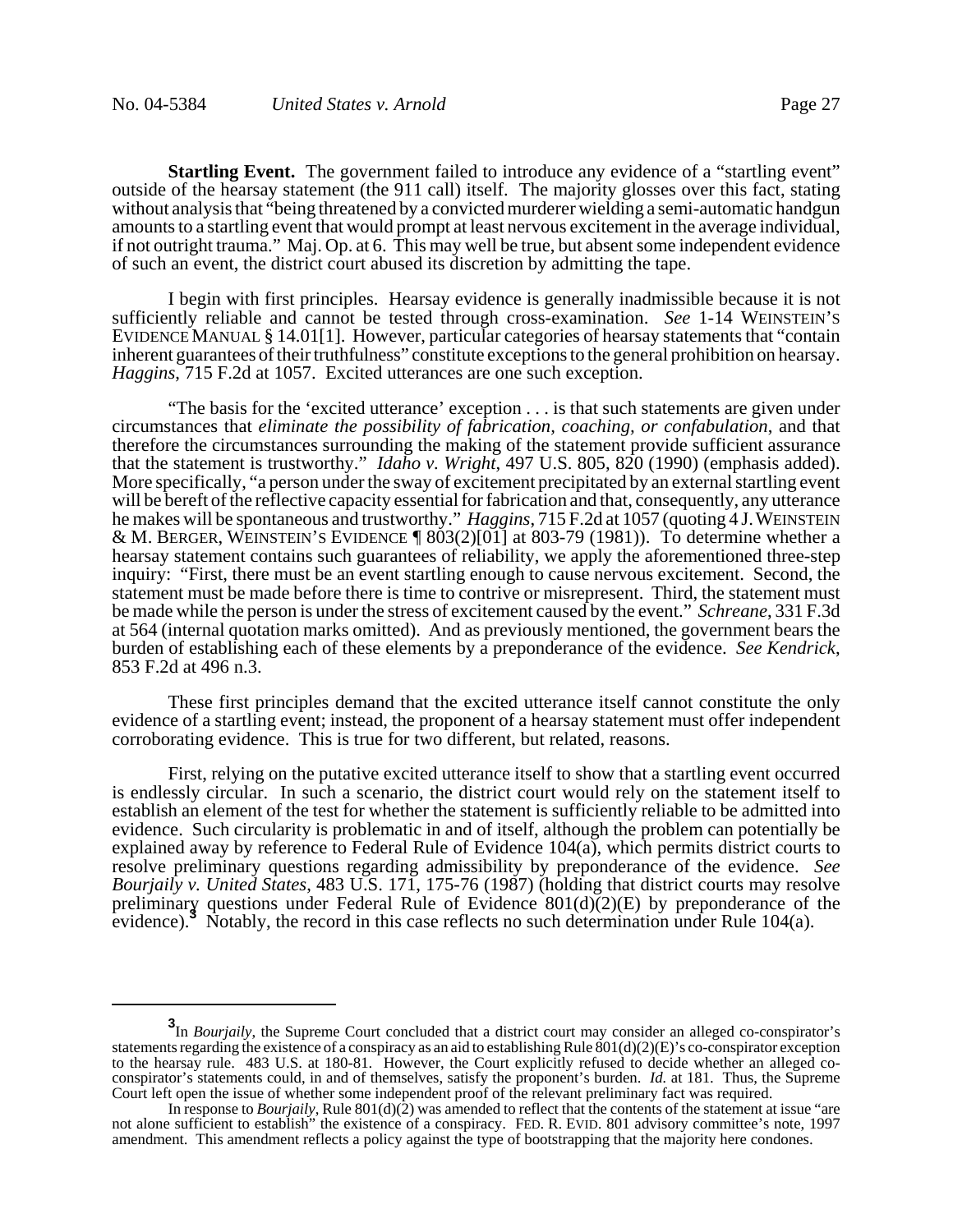**Startling Event.** The government failed to introduce any evidence of a "startling event" outside of the hearsay statement (the 911 call) itself. The majority glosses over this fact, stating without analysis that "being threatened by a convicted murderer wielding a semi-automatic handgun amounts to a startling event that would prompt at least nervous excitement in the average individual, if not outright trauma." Maj. Op. at 6. This may well be true, but absent some independent evidence of such an event, the district court abused its discretion by admitting the tape.

I begin with first principles. Hearsay evidence is generally inadmissible because it is not sufficiently reliable and cannot be tested through cross-examination. *See* 1-14 WEINSTEIN'S EVIDENCE MANUAL § 14.01[1]. However, particular categories of hearsay statements that "contain inherent guarantees of their truthfulness" constitute exceptions to the general prohibition on hearsay. *Haggins*, 715 F.2d at 1057. Excited utterances are one such exception.

"The basis for the 'excited utterance' exception . . . is that such statements are given under circumstances that *eliminate the possibility of fabrication, coaching, or confabulation*, and that therefore the circumstances surrounding the making of the statement provide sufficient assurance that the statement is trustworthy." *Idaho v. Wright*, 497 U.S. 805, 820 (1990) (emphasis added). More specifically, "a person under the sway of excitement precipitated by an external startling event will be bereft of the reflective capacity essential for fabrication and that, consequently, any utterance he makes will be spontaneous and trustworthy." *Haggins*, 715 F.2d at 1057 (quoting 4 J.WEINSTEIN & M. BERGER, WEINSTEIN'S EVIDENCE  $\P$  803(2)[01] at 803-79 (1981)). To determine whether a hearsay statement contains such guarantees of reliability, we apply the aforementioned three-step inquiry: "First, there must be an event startling enough to cause nervous excitement. Second, the statement must be made before there is time to contrive or misrepresent. Third, the statement must be made while the person is under the stress of excitement caused by the event." *Schreane*, 331 F.3d at 564 (internal quotation marks omitted). And as previously mentioned, the government bears the burden of establishing each of these elements by a preponderance of the evidence. *See Kendrick*, 853 F.2d at 496 n.3.

These first principles demand that the excited utterance itself cannot constitute the only evidence of a startling event; instead, the proponent of a hearsay statement must offer independent corroborating evidence. This is true for two different, but related, reasons.

First, relying on the putative excited utterance itself to show that a startling event occurred is endlessly circular. In such a scenario, the district court would rely on the statement itself to establish an element of the test for whether the statement is sufficiently reliable to be admitted into evidence. Such circularity is problematic in and of itself, although the problem can potentially be explained away by reference to Federal Rule of Evidence 104(a), which permits district courts to resolve preliminary questions regarding admissibility by preponderance of the evidence. *See Bourjaily v. United States*, 483 U.S. 171, 175-76 (1987) (holding that district courts may resolve preliminary questions under Federal Rule of Evidence  $801(d)(2)(E)$  by preponderance of the evidence).<sup>3</sup> Notably, the record in this case reflects no such determination under Rule  $104(a)$ .

**<sup>3</sup>** In *Bourjaily*, the Supreme Court concluded that a district court may consider an alleged co-conspirator's statements regarding the existence of a conspiracy as an aid to establishing Rule 801(d)(2)(E)'s co-conspirator exception to the hearsay rule. 483 U.S. at 180-81. However, the Court explicitly refused to decide whether an alleged coconspirator's statements could, in and of themselves, satisfy the proponent's burden. *Id.* at 181. Thus, the Supreme Court left open the issue of whether some independent proof of the relevant preliminary fact was required.

In response to *Bourjaily*, Rule 801(d)(2) was amended to reflect that the contents of the statement at issue "are not alone sufficient to establish" the existence of a conspiracy. FED. R. EVID. 801 advisory committee's note, 1997 amendment. This amendment reflects a policy against the type of bootstrapping that the majority here condones.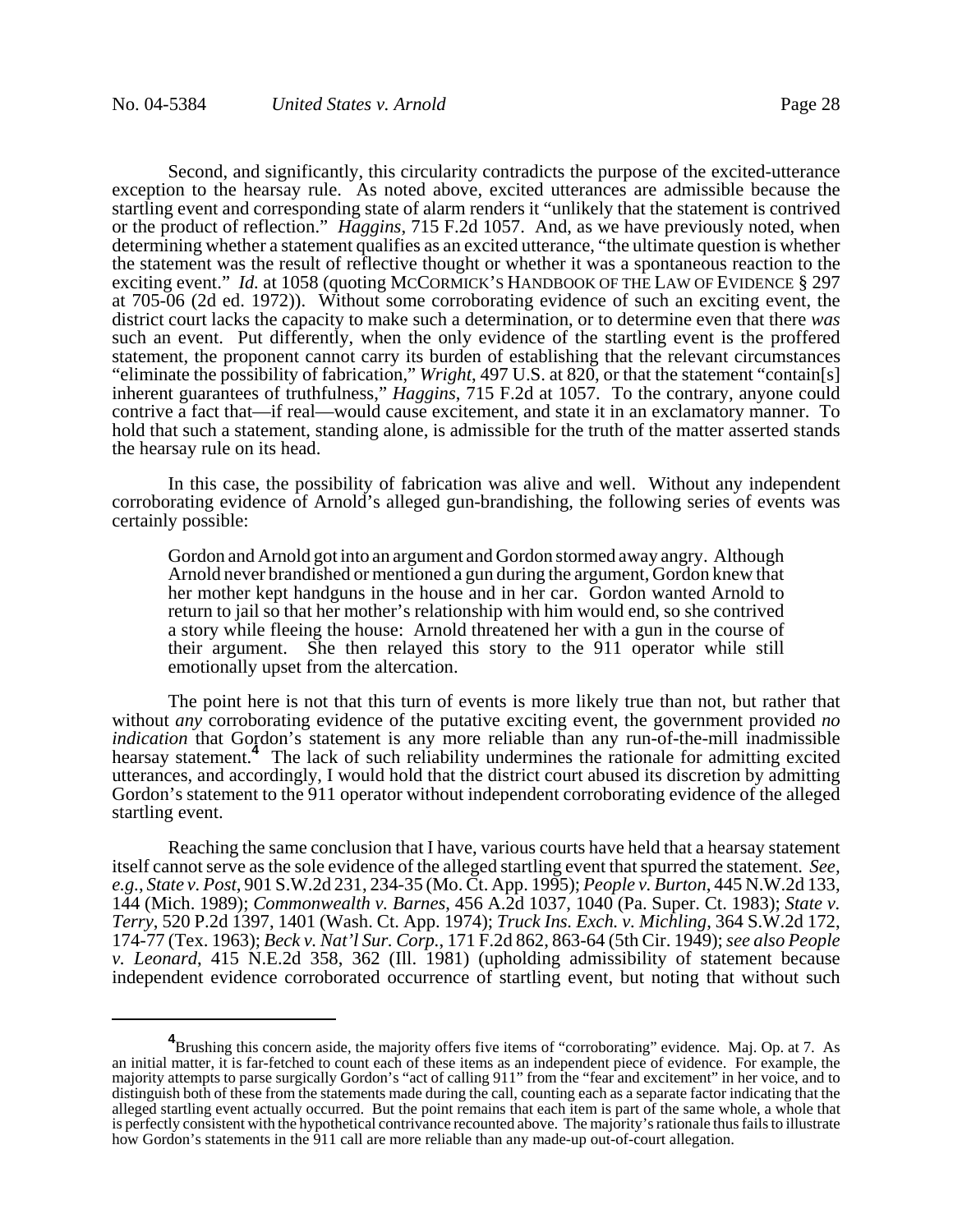Second, and significantly, this circularity contradicts the purpose of the excited-utterance exception to the hearsay rule. As noted above, excited utterances are admissible because the startling event and corresponding state of alarm renders it "unlikely that the statement is contrived or the product of reflection." *Haggins*, 715 F.2d 1057. And, as we have previously noted, when determining whether a statement qualifies as an excited utterance, "the ultimate question is whether the statement was the result of reflective thought or whether it was a spontaneous reaction to the exciting event." *Id.* at 1058 (quoting MCCORMICK's HANDBOOK OF THE LAW OF EVIDENCE § 297 at 705-06 (2d ed. 1972)). Without some corroborating evidence of such an exciting event, the district court lacks the capacity to make such a determination, or to determine even that there *was* such an event. Put differently, when the only evidence of the startling event is the proffered statement, the proponent cannot carry its burden of establishing that the relevant circumstances "eliminate the possibility of fabrication," *Wright*, 497 U.S. at 820, or that the statement "contain[s] inherent guarantees of truthfulness," *Haggins*, 715 F.2d at 1057. To the contrary, anyone could contrive a fact that—if real—would cause excitement, and state it in an exclamatory manner. To hold that such a statement, standing alone, is admissible for the truth of the matter asserted stands the hearsay rule on its head.

In this case, the possibility of fabrication was alive and well. Without any independent corroborating evidence of Arnold's alleged gun-brandishing, the following series of events was certainly possible:

Gordon and Arnold got into an argument and Gordon stormed away angry. Although Arnold never brandished or mentioned a gun during the argument, Gordon knew that her mother kept handguns in the house and in her car. Gordon wanted Arnold to return to jail so that her mother's relationship with him would end, so she contrived a story while fleeing the house: Arnold threatened her with a gun in the course of their argument. She then relayed this story to the 911 operator while still emotionally upset from the altercation.

The point here is not that this turn of events is more likely true than not, but rather that without *any* corroborating evidence of the putative exciting event, the government provided *no indication* that Gordon's statement is any more reliable than any run-of-the-mill inadmissible hearsay statement.<sup>4</sup> The lack of such reliability undermines the rationale for admitting excited utterances, and accordingly, I would hold that the district court abused its discretion by admitting Gordon's statement to the 911 operator without independent corroborating evidence of the alleged startling event.

Reaching the same conclusion that I have, various courts have held that a hearsay statement itself cannot serve as the sole evidence of the alleged startling event that spurred the statement. *See, e.g.*, *State v. Post*, 901 S.W.2d 231, 234-35 (Mo. Ct. App. 1995); *People v. Burton*, 445 N.W.2d 133, 144 (Mich. 1989); *Commonwealth v. Barnes*, 456 A.2d 1037, 1040 (Pa. Super. Ct. 1983); *State v. Terry*, 520 P.2d 1397, 1401 (Wash. Ct. App. 1974); *Truck Ins. Exch. v. Michling*, 364 S.W.2d 172, 174-77 (Tex. 1963); *Beck v. Nat'l Sur. Corp.*, 171 F.2d 862, 863-64 (5th Cir. 1949); *see also People v. Leonard*, 415 N.E.2d 358, 362 (Ill. 1981) (upholding admissibility of statement because independent evidence corroborated occurrence of startling event, but noting that without such

**<sup>4</sup>** Brushing this concern aside, the majority offers five items of "corroborating" evidence. Maj. Op. at 7. As an initial matter, it is far-fetched to count each of these items as an independent piece of evidence. For example, the majority attempts to parse surgically Gordon's "act of calling 911" from the "fear and excitement" in her voice, and to distinguish both of these from the statements made during the call, counting each as a separate factor indicating that the alleged startling event actually occurred. But the point remains that each item is part of the same whole, a whole that is perfectly consistent with the hypothetical contrivance recounted above. The majority's rationale thus fails to illustrate how Gordon's statements in the 911 call are more reliable than any made-up out-of-court allegation.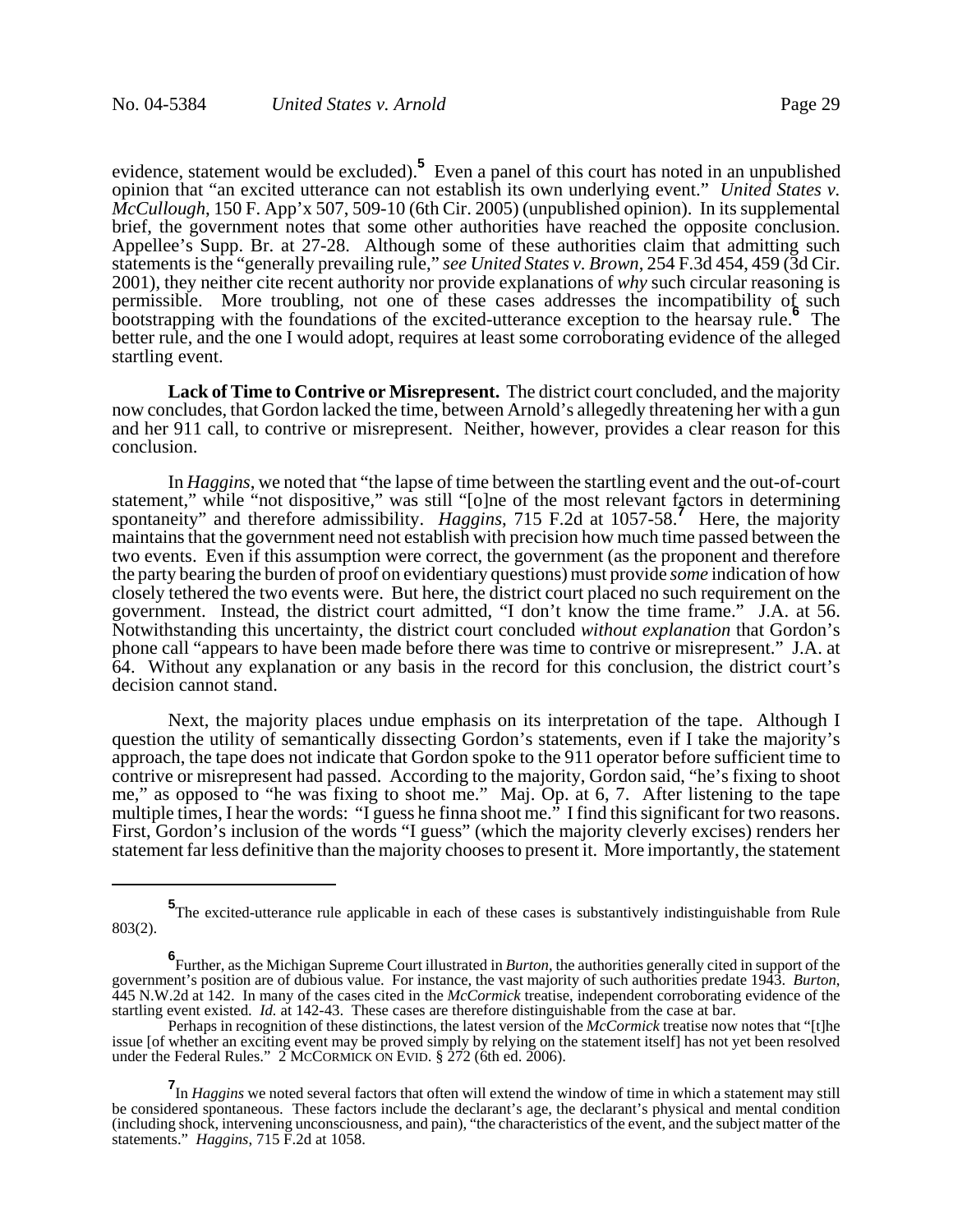evidence, statement would be excluded).**<sup>5</sup>** Even a panel of this court has noted in an unpublished opinion that "an excited utterance can not establish its own underlying event." *United States v. McCullough*, 150 F. App'x 507, 509-10 (6th Cir. 2005) (unpublished opinion). In its supplemental brief, the government notes that some other authorities have reached the opposite conclusion. Appellee's Supp. Br. at 27-28. Although some of these authorities claim that admitting such statements is the "generally prevailing rule," *see United States v. Brown*, 254 F.3d 454, 459 (3d Cir. 2001), they neither cite recent authority nor provide explanations of *why* such circular reasoning is permissible. More troubling, not one of these cases addresses the incompatibility of such bootstrapping with the foundations of the excited-utterance exception to the hearsay rule.<sup><sup>6</sup></sup> The better rule, and the one I would adopt, requires at least some corroborating evidence of the alleged startling event.

**Lack of Time to Contrive or Misrepresent.** The district court concluded, and the majority now concludes, that Gordon lacked the time, between Arnold's allegedly threatening her with a gun and her 911 call, to contrive or misrepresent. Neither, however, provides a clear reason for this conclusion.

In *Haggins*, we noted that "the lapse of time between the startling event and the out-of-court statement," while "not dispositive," was still "[o]ne of the most relevant factors in determining spontaneity" and therefore admissibility. *Haggins*, 715 F.2d at 1057-58. Here, the majority maintains that the government need not establish with precision how much time passed between the two events. Even if this assumption were correct, the government (as the proponent and therefore the party bearing the burden of proof on evidentiary questions) must provide *some* indication of how closely tethered the two events were. But here, the district court placed no such requirement on the government. Instead, the district court admitted, "I don't know the time frame." J.A. at 56. Notwithstanding this uncertainty, the district court concluded *without explanation* that Gordon's phone call "appears to have been made before there was time to contrive or misrepresent." J.A. at 64. Without any explanation or any basis in the record for this conclusion, the district court's decision cannot stand.

Next, the majority places undue emphasis on its interpretation of the tape. Although I question the utility of semantically dissecting Gordon's statements, even if I take the majority's approach, the tape does not indicate that Gordon spoke to the 911 operator before sufficient time to contrive or misrepresent had passed. According to the majority, Gordon said, "he's fixing to shoot me," as opposed to "he was fixing to shoot me." Maj. Op. at 6, 7. After listening to the tape multiple times, I hear the words: "I guess he finna shoot me." I find this significant for two reasons. First, Gordon's inclusion of the words "I guess" (which the majority cleverly excises) renders her statement far less definitive than the majority chooses to present it. More importantly, the statement

**<sup>5</sup>** The excited-utterance rule applicable in each of these cases is substantively indistinguishable from Rule 803(2).

**<sup>6</sup>** Further, as the Michigan Supreme Court illustrated in *Burton*, the authorities generally cited in support of the government's position are of dubious value. For instance, the vast majority of such authorities predate 1943. Burton, 445 N.W.2d at 142. In many of the cases cited in the *McCormick* treatise, independent corroborating evi startling event existed. *Id.* at 142-43. These cases are therefore distinguishable from the case at bar.

Perhaps in recognition of these distinctions, the latest version of the *McCormick* treatise now notes that "[t]he issue [of whether an exciting event may be proved simply by relying on the statement itself] has not yet been resolved under the Federal Rules."  $2 \text{ McCORMICK ON EvID. } \frac{272}{2}$  (6th ed. 2006).

**<sup>7</sup>** In *Haggins* we noted several factors that often will extend the window of time in which a statement may still be considered spontaneous. These factors include the declarant's age, the declarant's physical and mental condition (including shock, intervening unconsciousness, and pain), "the characteristics of the event, and the subject matter of the statements." *Haggins*, 715 F.2d at 1058.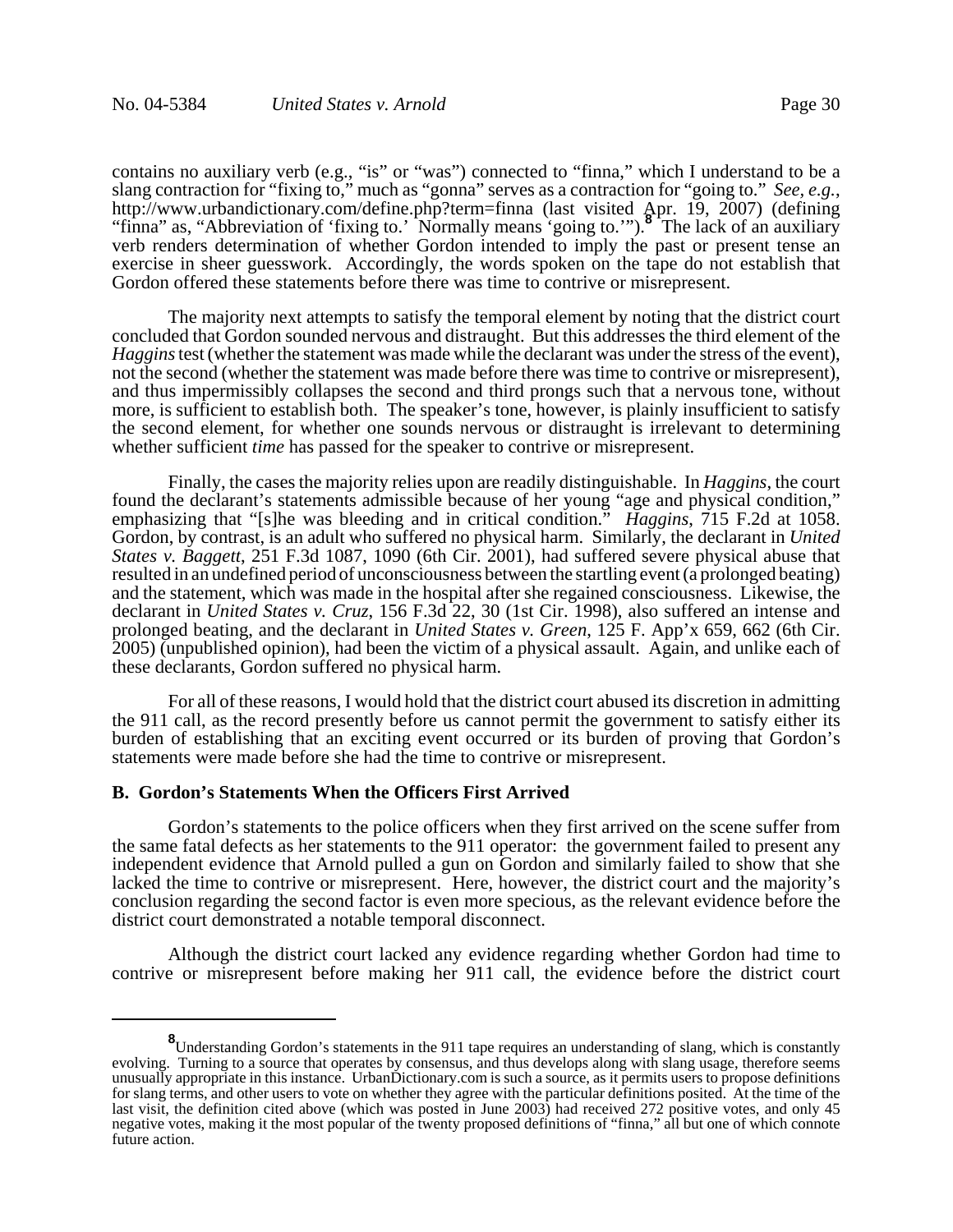contains no auxiliary verb (e.g., "is" or "was") connected to "finna," which I understand to be a slang contraction for "fixing to," much as "gonna" serves as a contraction for "going to." See, e.g., slang contraction for "fixing to," much as "gonna" serves as a contraction for "going to." *See, e.g.*, http://www.urbandictionary.com/define.php?term=finna (last visited Apr. 19, 2007) (defining "finna" as, "Abbreviation of 'fixing to.' Normally means 'going to.'").**<sup>8</sup>** The lack of an auxiliary verb renders determination of whether Gordon intended to imply the past or present tense an exercise in sheer guesswork. Accordingly, the words spoken on the tape do not establish that Gordon offered these statements before there was time to contrive or misrepresent.

The majority next attempts to satisfy the temporal element by noting that the district court concluded that Gordon sounded nervous and distraught. But this addresses the third element of the *Haggins* test (whether the statement was made while the declarant was under the stress of the event), not the second (whether the statement was made before there was time to contrive or misrepresent), and thus impermissibly collapses the second and third prongs such that a nervous tone, without more, is sufficient to establish both. The speaker's tone, however, is plainly insufficient to satisfy the second element, for whether one sounds nervous or distraught is irrelevant to determining whether sufficient *time* has passed for the speaker to contrive or misrepresent.

Finally, the cases the majority relies upon are readily distinguishable. In *Haggins*, the court found the declarant's statements admissible because of her young "age and physical condition," emphasizing that "[s]he was bleeding and in critical condition." *Haggins*, 715 F.2d at 1058. Gordon, by contrast, is an adult who suffered no physical harm. Similarly, the declarant in *United States v. Baggett*, 251 F.3d 1087, 1090 (6th Cir. 2001), had suffered severe physical abuse that resulted in an undefined period of unconsciousness between the startling event (a prolonged beating) and the statement, which was made in the hospital after she regained consciousness. Likewise, the declarant in *United States v. Cruz*, 156 F.3d 22, 30 (1st Cir. 1998), also suffered an intense and prolonged beating, and the declarant in *United States v. Green*, 125 F. App'x 659, 662 (6th Cir. 2005) (unpublished opinion), had been the victim of a physical assault. Again, and unlike each of these declarants, Gordon suffered no physical harm.

For all of these reasons, I would hold that the district court abused its discretion in admitting the 911 call, as the record presently before us cannot permit the government to satisfy either its burden of establishing that an exciting event occurred or its burden of proving that Gordon's statements were made before she had the time to contrive or misrepresent.

#### **B. Gordon's Statements When the Officers First Arrived**

Gordon's statements to the police officers when they first arrived on the scene suffer from the same fatal defects as her statements to the 911 operator: the government failed to present any independent evidence that Arnold pulled a gun on Gordon and similarly failed to show that she lacked the time to contrive or misrepresent. Here, however, the district court and the majority's conclusion regarding the second factor is even more specious, as the relevant evidence before the district court demonstrated a notable temporal disconnect.

Although the district court lacked any evidence regarding whether Gordon had time to contrive or misrepresent before making her 911 call, the evidence before the district court

**<sup>8</sup>** Understanding Gordon's statements in the 911 tape requires an understanding of slang, which is constantly evolving. Turning to a source that operates by consensus, and thus develops along with slang usage, therefore seems unusually appropriate in this instance. UrbanDictionary.com is such a source, as it permits users to propose definitions for slang terms, and other users to vote on whether they agree with the particular definitions posited. At the time of the last visit, the definition cited above (which was posted in June 2003) had received 272 positive votes, and only 45 negative votes, making it the most popular of the twenty proposed definitions of "finna," all but one of which connote future action.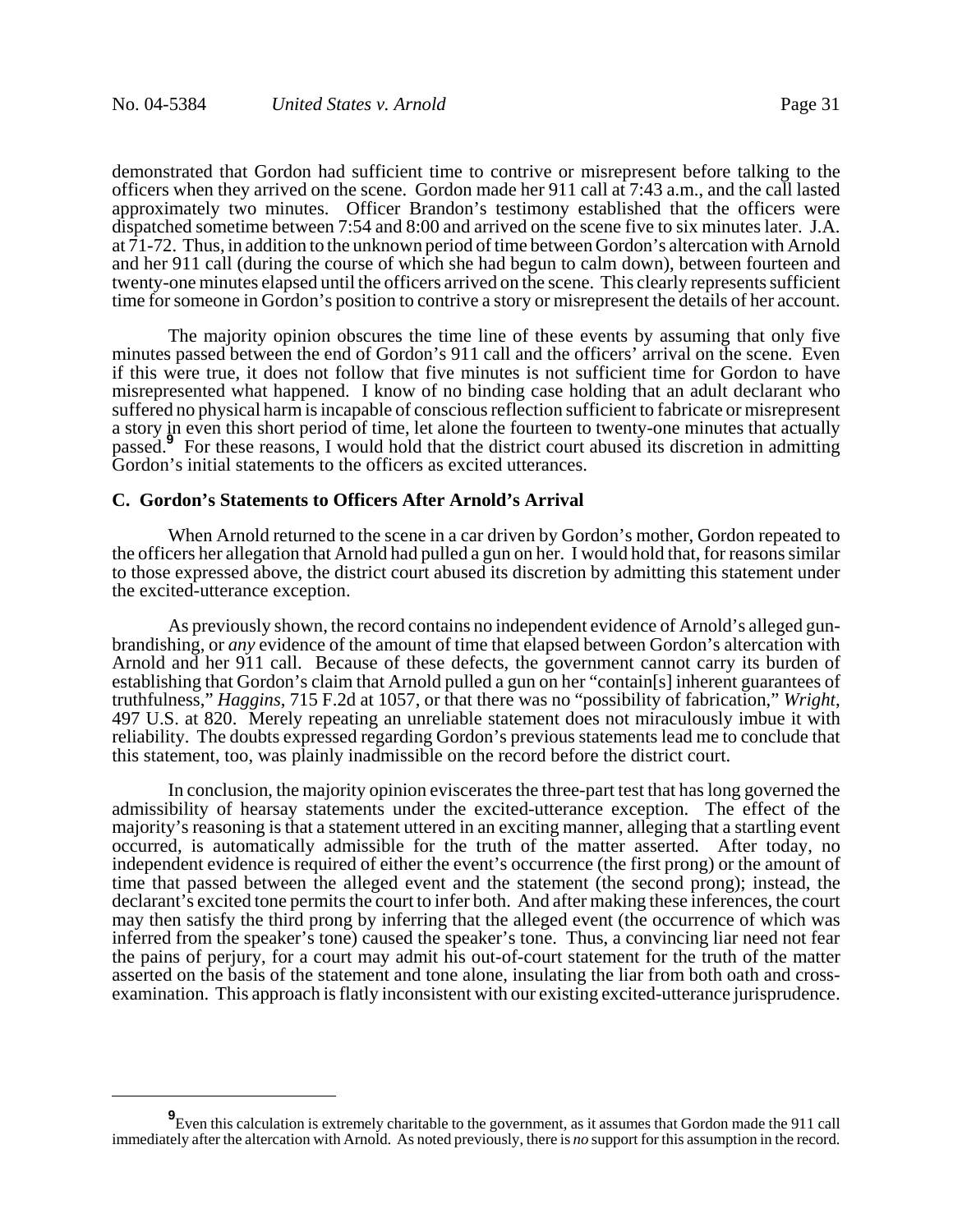demonstrated that Gordon had sufficient time to contrive or misrepresent before talking to the officers when they arrived on the scene. Gordon made her 911 call at 7:43 a.m., and the call lasted approximately two minutes. Officer Brandon's testimony established that the officers were dispatched sometime between 7:54 and 8:00 and arrived on the scene five to six minutes later. J.A. at 71-72. Thus, in addition to the unknown period of time between Gordon's altercation with Arnold and her 911 call (during the course of which she had begun to calm down), between fourteen and twenty-one minutes elapsed until the officers arrived on the scene. This clearly represents sufficient time for someone in Gordon's position to contrive a story or misrepresent the details of her account.

The majority opinion obscures the time line of these events by assuming that only five minutes passed between the end of Gordon's 911 call and the officers' arrival on the scene. Even if this were true, it does not follow that five minutes is not sufficient time for Gordon to have misrepresented what happened. I know of no binding case holding that an adult declarant who suffered no physical harm is incapable of conscious reflection sufficient to fabricate or misrepresent a story in even this short period of time, let alone the fourteen to twenty-one minutes that actually passed. For these reasons, I would hold that the district court abused its discretion in admitting Gordon's initial statements to the officers as excited utterances.

## **C. Gordon's Statements to Officers After Arnold's Arrival**

When Arnold returned to the scene in a car driven by Gordon's mother, Gordon repeated to the officers her allegation that Arnold had pulled a gun on her. I would hold that, for reasons similar to those expressed above, the district court abused its discretion by admitting this statement under the excited-utterance exception.

As previously shown, the record contains no independent evidence of Arnold's alleged gunbrandishing, or *any* evidence of the amount of time that elapsed between Gordon's altercation with Arnold and her 911 call. Because of these defects, the government cannot carry its burden of establishing that Gordon's claim that Arnold pulled a gun on her "contain[s] inherent guarantees of truthfulness," *Haggins*, 715 F.2d at 1057, or that there was no "possibility of fabrication," *Wright*, 497 U.S. at 820. Merely repeating an unreliable statement does not miraculously imbue it with reliability. The doubts expressed regarding Gordon's previous statements lead me to conclude that this statement, too, was plainly inadmissible on the record before the district court.

In conclusion, the majority opinion eviscerates the three-part test that has long governed the admissibility of hearsay statements under the excited-utterance exception. The effect of the majority's reasoning is that a statement uttered in an exciting manner, alleging that a startling event occurred, is automatically admissible for the truth of the matter asserted. After today, no independent evidence is required of either the event's occurrence (the first prong) or the amount of time that passed between the alleged event and the statement (the second prong); instead, the declarant's excited tone permits the court to infer both. And after making these inferences, the court may then satisfy the third prong by inferring that the alleged event (the occurrence of which was inferred from the speaker's tone) caused the speaker's tone. Thus, a convincing liar need not fear the pains of perjury, for a court may admit his out-of-court statement for the truth of the matter asserted on the basis of the statement and tone alone, insulating the liar from both oath and crossexamination. This approach is flatly inconsistent with our existing excited-utterance jurisprudence.

**<sup>9</sup>**<br>Even this calculation is extremely charitable to the government, as it assumes that Gordon made the 911 call immediately after the altercation with Arnold. As noted previously, there is *no* support for this assumption in the record.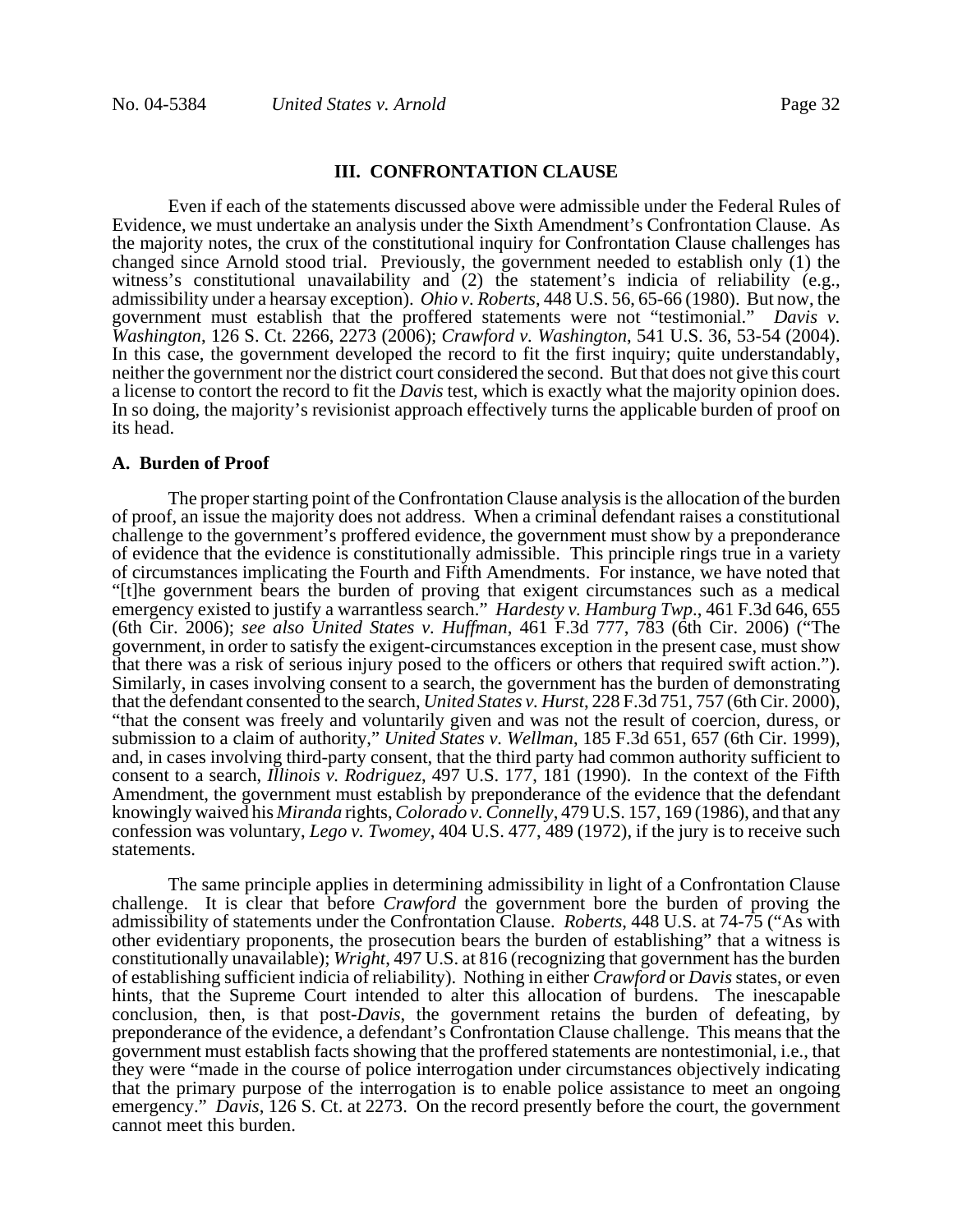## **III. CONFRONTATION CLAUSE**

Even if each of the statements discussed above were admissible under the Federal Rules of Evidence, we must undertake an analysis under the Sixth Amendment's Confrontation Clause. As the majority notes, the crux of the constitutional inquiry for Confrontation Clause challenges has changed since Arnold stood trial. Previously, the government needed to establish only (1) the witness's constitutional unavailability and (2) the statement's indicia of reliability (e.g., admissibility under a hearsay exception). *Ohio v. Roberts*, 448 U.S. 56, 65-66 (1980). But now, the government must establish that the proffered statements were not "testimonial." *Davis v. Washington*, 126 S. Ct. 2266, 2273 (2006); *Crawford v. Washington*, 541 U.S. 36, 53-54 (2004). In this case, the government developed the record to fit the first inquiry; quite understandably, neither the government nor the district court considered the second. But that does not give this court a license to contort the record to fit the *Davis* test, which is exactly what the majority opinion does. In so doing, the majority's revisionist approach effectively turns the applicable burden of proof on its head.

#### **A. Burden of Proof**

The proper starting point of the Confrontation Clause analysis is the allocation of the burden of proof, an issue the majority does not address. When a criminal defendant raises a constitutional challenge to the government's proffered evidence, the government must show by a preponderance of evidence that the evidence is constitutionally admissible. This principle rings true in a variety of circumstances implicating the Fourth and Fifth Amendments. For instance, we have noted that "[t]he government bears the burden of proving that exigent circumstances such as a medical emergency existed to justify a warrantless search." *Hardesty v. Hamburg Twp*., 461 F.3d 646, 655 (6th Cir. 2006); *see also United States v. Huffman*, 461 F.3d 777, 783 (6th Cir. 2006) ("The government, in order to satisfy the exigent-circumstances exception in the present case, must show that there was a risk of serious injury posed to the officers or others that required swift action."). Similarly, in cases involving consent to a search, the government has the burden of demonstrating that the defendant consented to the search, *United States v. Hurst*, 228 F.3d 751, 757 (6th Cir. 2000), "that the consent was freely and voluntarily given and was not the result of coercion, duress, or submission to a claim of authority," *United States v. Wellman*, 185 F.3d 651, 657 (6th Cir. 1999), and, in cases involving third-party consent, that the third party had common authority sufficient to consent to a search, *Illinois v. Rodriguez*, 497 U.S. 177, 181 (1990). In the context of the Fifth Amendment, the government must establish by preponderance of the evidence that the defendant knowingly waived his *Miranda* rights, *Colorado v. Connelly*, 479 U.S. 157, 169 (1986), and that any confession was voluntary, *Lego v. Twomey*, 404 U.S. 477, 489 (1972), if the jury is to receive such statements.

The same principle applies in determining admissibility in light of a Confrontation Clause challenge. It is clear that before *Crawford* the government bore the burden of proving the admissibility of statements under the Confrontation Clause. *Roberts*, 448 U.S. at 74-75 ("As with other evidentiary proponents, the prosecution bears the burden of establishing" that a witness is constitutionally unavailable); *Wright*, 497 U.S. at 816 (recognizing that government has the burden of establishing sufficient indicia of reliability). Nothing in either *Crawford* or *Davis* states, or even hints, that the Supreme Court intended to alter this allocation of burdens. The inescapable conclusion, then, is that post-*Davis*, the government retains the burden of defeating, by preponderance of the evidence, a defendant's Confrontation Clause challenge. This means that the government must establish facts showing that the proffered statements are nontestimonial, i.e., that they were "made in the course of police interrogation under circumstances objectively indicating that the primary purpose of the interrogation is to enable police assistance to meet an ongoing emergency." *Davis*, 126 S. Ct. at 2273. On the record presently before the court, the government cannot meet this burden.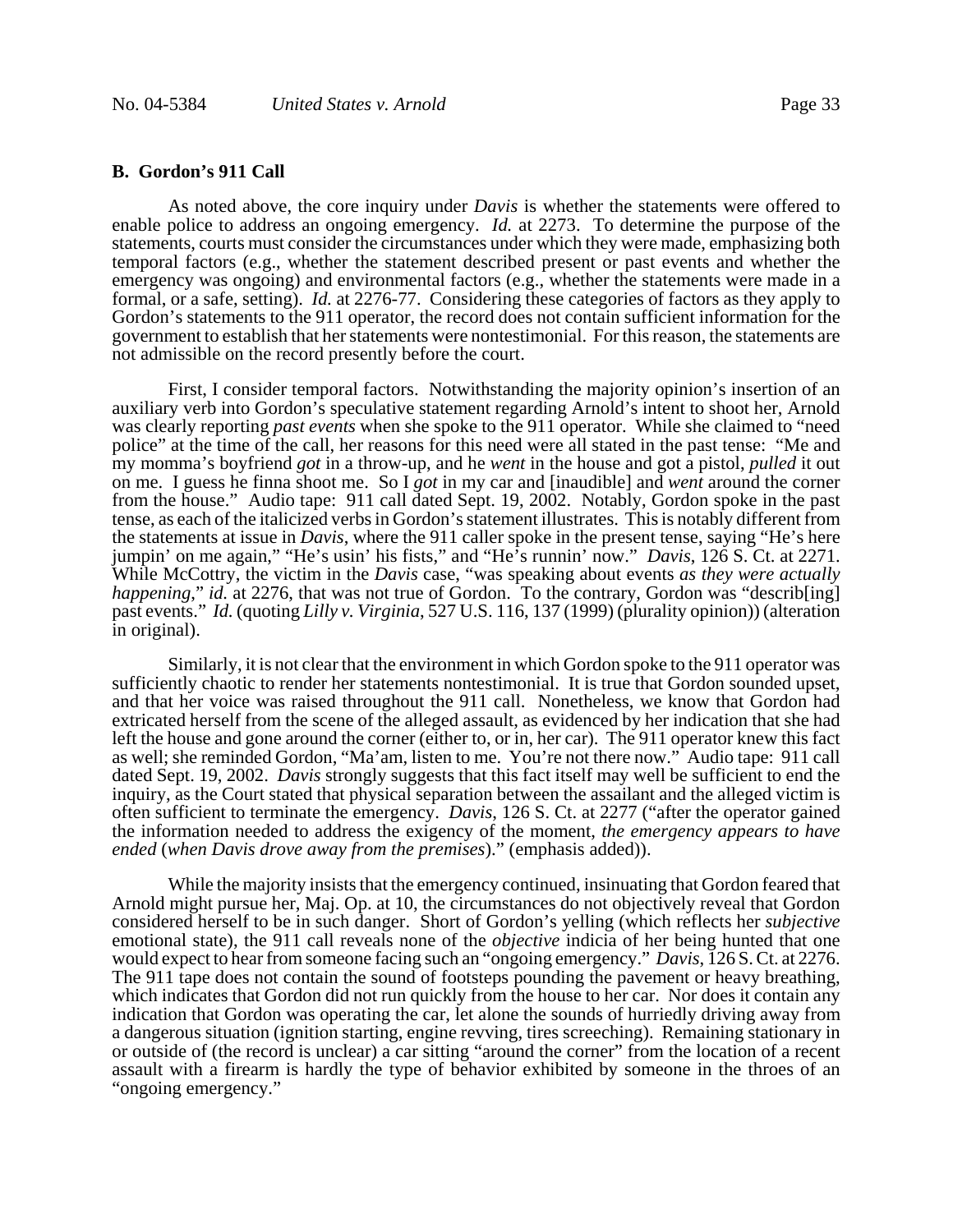#### **B. Gordon's 911 Call**

As noted above, the core inquiry under *Davis* is whether the statements were offered to enable police to address an ongoing emergency. *Id.* at 2273. To determine the purpose of the statements, courts must consider the circumstances under which they were made, emphasizing both temporal factors (e.g., whether the statement described present or past events and whether the emergency was ongoing) and environmental factors (e.g., whether the statements were made in a formal, or a safe, setting). *Id.* at 2276-77. Considering these categories of factors as they apply to Gordon's statements to the 911 operator, the record does not contain sufficient information for the government to establish that her statements were nontestimonial. For this reason, the statements are not admissible on the record presently before the court.

First, I consider temporal factors. Notwithstanding the majority opinion's insertion of an auxiliary verb into Gordon's speculative statement regarding Arnold's intent to shoot her, Arnold was clearly reporting *past events* when she spoke to the 911 operator. While she claimed to "need police" at the time of the call, her reasons for this need were all stated in the past tense: "Me and my momma's boyfriend *got* in a throw-up, and he *went* in the house and got a pistol, *pulled* it out on me. I guess he finna shoot me. So I *got* in my car and [inaudible] and *went* around the corner from the house." Audio tape: 911 call dated Sept. 19, 2002. Notably, Gordon spoke in the past tense, as each of the italicized verbs in Gordon's statement illustrates. This is notably different from the statements at issue in *Davis*, where the 911 caller spoke in the present tense, saying "He's here jumpin' on me again," "He's usin' his fists," and "He's runnin' now." *Davis*, 126 S. Ct. at 2271. While McCottry, the victim in the *Davis* case, "was speaking about events *as they were actually happening*," *id.* at 2276, that was not true of Gordon. To the contrary, Gordon was "describ[ing] past events." *Id.* (quoting *Lilly v. Virginia*, 527 U.S. 116, 137 (1999) (plurality opinion)) (alteration in original).

Similarly, it is not clear that the environment in which Gordon spoke to the 911 operator was sufficiently chaotic to render her statements nontestimonial. It is true that Gordon sounded upset, and that her voice was raised throughout the 911 call. Nonetheless, we know that Gordon had extricated herself from the scene of the alleged assault, as evidenced by her indication that she had left the house and gone around the corner (either to, or in, her car). The 911 operator knew this fact as well; she reminded Gordon, "Ma'am, listen to me. You're not there now." Audio tape: 911 call dated Sept. 19, 2002. *Davis* strongly suggests that this fact itself may well be sufficient to end the inquiry, as the Court stated that physical separation between the assailant and the alleged victim is often sufficient to terminate the emergency. *Davis*, 126 S. Ct. at 2277 ("after the operator gained the information needed to address the exigency of the moment, *the emergency appears to have ended* (*when Davis drove away from the premises*)." (emphasis added)).

While the majority insists that the emergency continued, insinuating that Gordon feared that Arnold might pursue her, Maj. Op. at 10, the circumstances do not objectively reveal that Gordon considered herself to be in such danger. Short of Gordon's yelling (which reflects her *subjective* emotional state), the 911 call reveals none of the *objective* indicia of her being hunted that one would expect to hear from someone facing such an "ongoing emergency." *Davis*, 126 S. Ct. at 2276. The 911 tape does not contain the sound of footsteps pounding the pavement or heavy breathing, which indicates that Gordon did not run quickly from the house to her car. Nor does it contain any indication that Gordon was operating the car, let alone the sounds of hurriedly driving away from a dangerous situation (ignition starting, engine revving, tires screeching). Remaining stationary in or outside of (the record is unclear) a car sitting "around the corner" from the location of a recent assault with a firearm is hardly the type of behavior exhibited by someone in the throes of an "ongoing emergency."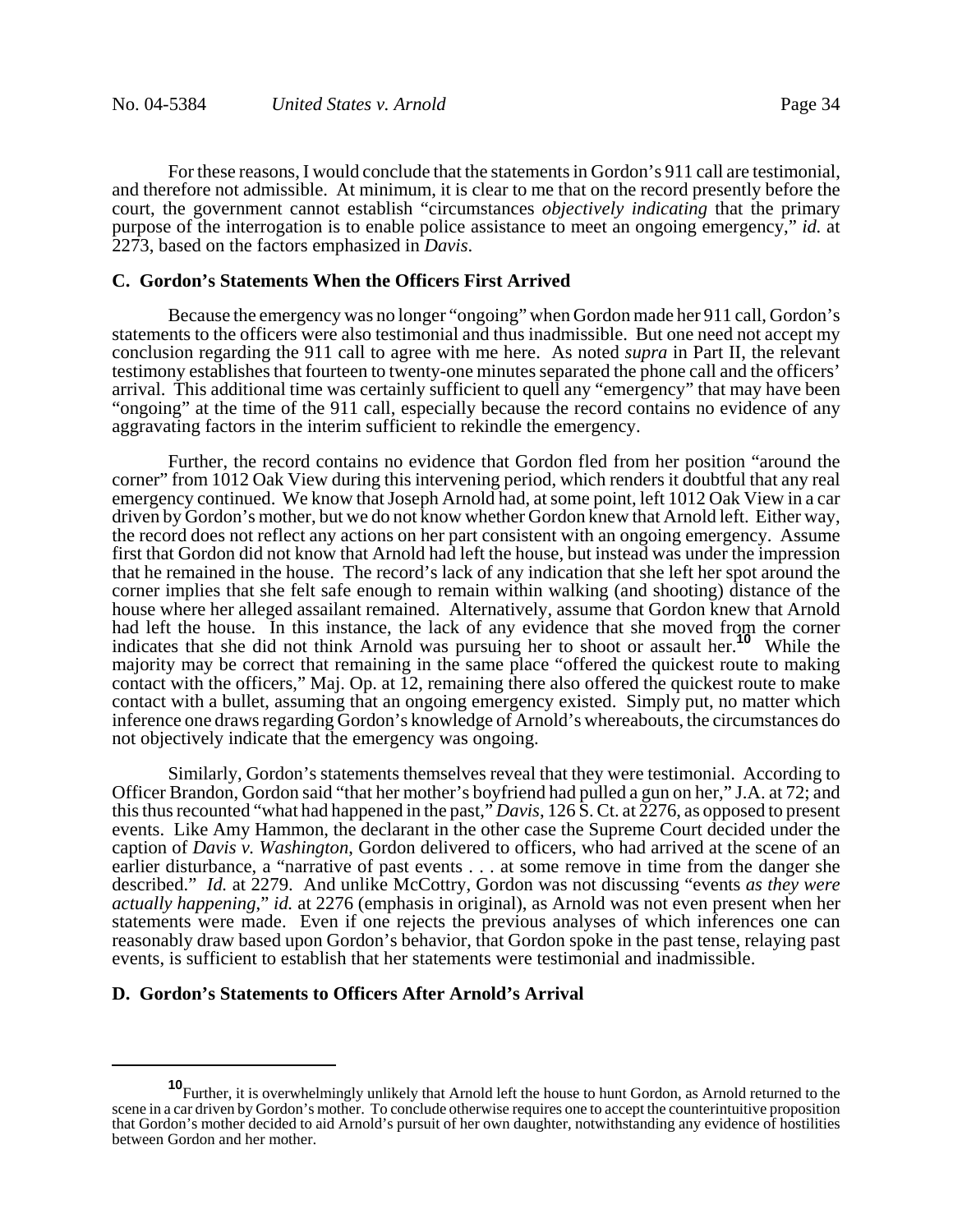For these reasons, I would conclude that the statements in Gordon's 911 call are testimonial, and therefore not admissible. At minimum, it is clear to me that on the record presently before the court, the government cannot establish "circumstances *objectively indicating* that the primary purpose of the interrogation is to enable police assistance to meet an ongoing emergency," *id.* at 2273, based on the factors emphasized in *Davis*.

## **C. Gordon's Statements When the Officers First Arrived**

Because the emergency was no longer "ongoing" when Gordon made her 911 call, Gordon's statements to the officers were also testimonial and thus inadmissible. But one need not accept my conclusion regarding the 911 call to agree with me here. As noted *supra* in Part II, the relevant testimony establishes that fourteen to twenty-one minutes separated the phone call and the officers' arrival. This additional time was certainly sufficient to quell any "emergency" that may have been "ongoing" at the time of the 911 call, especially because the record contains no evidence of any aggravating factors in the interim sufficient to rekindle the emergency.

Further, the record contains no evidence that Gordon fled from her position "around the corner" from 1012 Oak View during this intervening period, which renders it doubtful that any real emergency continued. We know that Joseph Arnold had, at some point, left 1012 Oak View in a car driven by Gordon's mother, but we do not know whether Gordon knew that Arnold left. Either way, the record does not reflect any actions on her part consistent with an ongoing emergency. Assume first that Gordon did not know that Arnold had left the house, but instead was under the impression that he remained in the house. The record's lack of any indication that she left her spot around the corner implies that she felt safe enough to remain within walking (and shooting) distance of the house where her alleged assailant remained. Alternatively, assume that Gordon knew that Arnold had left the house. In this instance, the lack of any evidence that she moved from the corner indicates that she did not think Arnold was pursuing her to shoot or assault her.**<sup>10</sup>** While the majority may be correct that remaining in the same place "offered the quickest route to making contact with the officers," Maj. Op. at 12, remaining there also offered the quickest route to make contact with a bullet, assuming that an ongoing emergency existed. Simply put, no matter which inference one draws regarding Gordon's knowledge of Arnold's whereabouts, the circumstances do not objectively indicate that the emergency was ongoing.

Similarly, Gordon's statements themselves reveal that they were testimonial. According to Officer Brandon, Gordon said "that her mother's boyfriend had pulled a gun on her," J.A. at 72; and this thus recounted "what had happened in the past,"  $Davis$ ,  $126\overline{S}$ . Ct. at  $\overline{2}276$ , as opposed to present events. Like Amy Hammon, the declarant in the other case the Supreme Court decided under the caption of *Davis v. Washington*, Gordon delivered to officers, who had arrived at the scene of an earlier disturbance, a "narrative of past events . . . at some remove in time from the danger she described." *Id.* at 2279. And unlike McCottry, Gordon was not discussing "events *as they were actually happening*," *id.* at 2276 (emphasis in original), as Arnold was not even present when her statements were made. Even if one rejects the previous analyses of which inferences one can reasonably draw based upon Gordon's behavior, that Gordon spoke in the past tense, relaying past events, is sufficient to establish that her statements were testimonial and inadmissible.

## **D. Gordon's Statements to Officers After Arnold's Arrival**

**<sup>10</sup>**Further, it is overwhelmingly unlikely that Arnold left the house to hunt Gordon, as Arnold returned to the scene in a car driven by Gordon's mother. To conclude otherwise requires one to accept the counterintuitive proposition that Gordon's mother decided to aid Arnold's pursuit of her own daughter, notwithstanding any evidence of hostilities between Gordon and her mother.